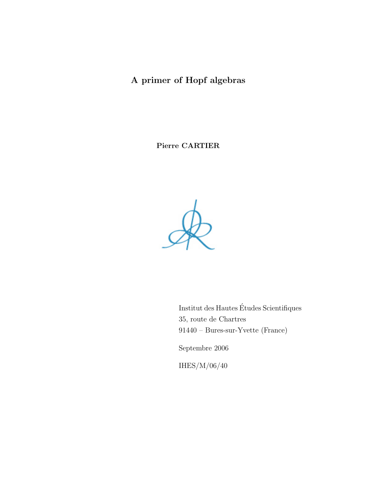# A primer of Hopf algebras

Pierre CARTIER

 $\operatorname{Institut}$  des Hautes Études Scientifiques 35, route de Chartres 91440 – Bures-sur-Yvette (France)

Septembre 2006

IHES/M/06/40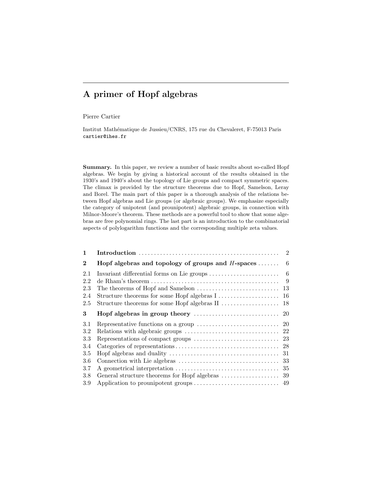# A primer of Hopf algebras

Pierre Cartier

Institut Math´ematique de Jussieu/CNRS, 175 rue du Chevaleret, F-75013 Paris cartier@ihes.fr

Summary. In this paper, we review a number of basic results about so-called Hopf algebras. We begin by giving a historical account of the results obtained in the 1930's and 1940's about the topology of Lie groups and compact symmetric spaces. The climax is provided by the structure theorems due to Hopf, Samelson, Leray and Borel. The main part of this paper is a thorough analysis of the relations between Hopf algebras and Lie groups (or algebraic groups). We emphasize especially the category of unipotent (and prounipotent) algebraic groups, in connection with Milnor-Moore's theorem. These methods are a powerful tool to show that some algebras are free polynomial rings. The last part is an introduction to the combinatorial aspects of polylogarithm functions and the corresponding multiple zeta values.

| 1            |                                                                                                     |    |
|--------------|-----------------------------------------------------------------------------------------------------|----|
| $\mathbf{2}$ | Hopf algebras and topology of groups and $H$ -spaces                                                | 6  |
| 2.1          |                                                                                                     | 6  |
| 2.2          |                                                                                                     | -9 |
| 2.3          |                                                                                                     | 13 |
| 2.4          | Structure theorems for some Hopf algebras I                                                         | 16 |
| 2.5          | Structure theorems for some Hopf algebras II                                                        | 18 |
| 3            |                                                                                                     |    |
|              |                                                                                                     |    |
| 3.1          | Representative functions on a group $\dots \dots \dots \dots \dots \dots \dots \dots$ 20            |    |
| 3.2          | Relations with algebraic groups $\ldots \ldots \ldots \ldots \ldots \ldots \ldots \ldots \ldots$ 22 |    |
| 3.3          | Representations of compact groups $\dots \dots \dots \dots \dots \dots \dots \dots$ 23              |    |
| 3.4          |                                                                                                     |    |
| 3.5          | Hopf algebras and duality $\dots \dots \dots \dots \dots \dots \dots \dots \dots \dots$             | 31 |
| 3.6          |                                                                                                     | 33 |
| 3.7          |                                                                                                     | 35 |
| 3.8          |                                                                                                     | 39 |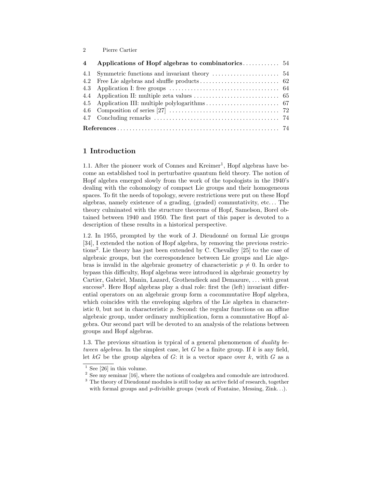| $\Omega$ | Pierre Cartier |
|----------|----------------|
|          |                |

# 1 Introduction

1.1. After the pioneer work of Connes and Kreimer<sup>1</sup>, Hopf algebras have become an established tool in perturbative quantum field theory. The notion of Hopf algebra emerged slowly from the work of the topologists in the 1940's dealing with the cohomology of compact Lie groups and their homogeneous spaces. To fit the needs of topology, severe restrictions were put on these Hopf algebras, namely existence of a grading, (graded) commutativity, etc. . . The theory culminated with the structure theorems of Hopf, Samelson, Borel obtained between 1940 and 1950. The first part of this paper is devoted to a description of these results in a historical perspective.

1.2. In 1955, prompted by the work of J. Dieudonné on formal Lie groups [34], I extended the notion of Hopf algebra, by removing the previous restrictions<sup>2</sup> . Lie theory has just been extended by C. Chevalley [25] to the case of algebraic groups, but the correspondence between Lie groups and Lie algebras is invalid in the algebraic geometry of characteristic  $p \neq 0$ . In order to bypass this difficulty, Hopf algebras were introduced in algebraic geometry by Cartier, Gabriel, Manin, Lazard, Grothendieck and Demazure, . . . with great success<sup>3</sup>. Here Hopf algebras play a dual role: first the (left) invariant differential operators on an algebraic group form a cocommutative Hopf algebra, which coincides with the enveloping algebra of the Lie algebra in characteristic  $0$ , but not in characteristic  $p$ . Second: the regular functions on an affine algebraic group, under ordinary multiplication, form a commutative Hopf algebra. Our second part will be devoted to an analysis of the relations between groups and Hopf algebras.

1.3. The previous situation is typical of a general phenomenon of duality between algebras. In the simplest case, let G be a finite group. If k is any field, let  $kG$  be the group algebra of G: it is a vector space over k, with G as a

 $1$  See [26] in this volume.

<sup>2</sup> See my seminar [16], where the notions of coalgebra and comodule are introduced.

<sup>&</sup>lt;sup>3</sup> The theory of Dieudonné modules is still today an active field of research, together with formal groups and  $p$ -divisible groups (work of Fontaine, Messing, Zink...).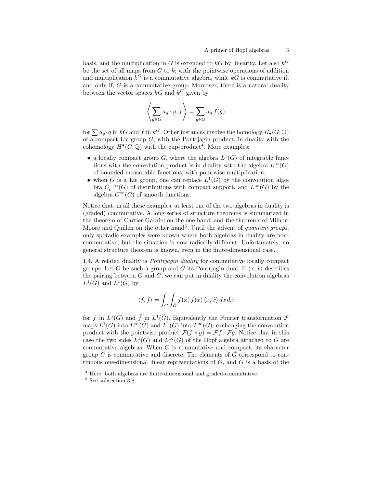basis, and the multiplication in G is extended to  $kG$  by linearity. Let also  $k^G$ be the set of all maps from  $G$  to  $k$ ; with the pointwise operations of addition and multiplication  $k^G$  is a commutative algebra, while  $kG$  is commutative if, and only if,  $G$  is a commutative group. Moreover, there is a natural duality between the vector spaces  $kG$  and  $k^G$  given by

$$
\left\langle \sum_{g \in G} a_g \cdot g, f \right\rangle = \sum_{g \in G} a_g f(g)
$$

for  $\sum a_g \cdot g$  in kG and f in k<sup>G</sup>. Other instances involve the homology  $H_{\bullet}(G; \mathbb{Q})$ of a compact Lie group  $G$ , with the Pontrjagin product, in duality with the cohomology  $H^{\bullet}(G; \mathbb{Q})$  with the cup-product<sup>4</sup>. More examples:

- a locally compact group G, where the algebra  $L^1(G)$  of integrable functions with the convolution product is in duality with the algebra  $L^{\infty}(G)$ of bounded measurable functions, with pointwise multiplication;
- when G is a Lie group, one can replace  $L^1(G)$  by the convolution algebra  $C_c^{-\infty}(G)$  of distributions with compact support, and  $L^{\infty}(G)$  by the algebra  $C^{\infty}(G)$  of smooth functions.

Notice that, in all these examples, at least one of the two algebras in duality is (graded) commutative. A long series of structure theorems is summarized in the theorem of Cartier-Gabriel on the one hand, and the theorems of Milnor-Moore and Quillen on the other hand<sup>5</sup>. Until the advent of *quantum groups*, only sporadic examples were known where both algebras in duality are noncommutative, but the situation is now radically different. Unfortunately, no general structure theorem is known, even in the finite-dimensional case.

1.4. A related duality is Pontrjagin duality for commutative locally compact groups. Let G be such a group and G its Pontriagin dual. If  $\langle x, \hat{x} \rangle$  describes the pairing between G and  $\hat{G}$ , we can put in duality the convolution algebras  $L^1(G)$  and  $L^1(\hat{G})$  by

$$
\langle f, \hat{f} \rangle = \int_G \int_{\hat{G}} f(x) \, \hat{f}(\hat{x}) \, \langle x, \hat{x} \rangle \, dx \, d\hat{x}
$$

for f in  $L^1(G)$  and  $\hat{f}$  in  $L^1(\hat{G})$ . Equivalently the Fourier transformation  $\mathcal F$ maps  $L^1(G)$  into  $L^{\infty}(G)$  and  $L^1(\hat{G})$  into  $L^{\infty}(G)$ , exchanging the convolution product with the pointwise product  $\mathcal{F}(f * g) = \mathcal{F}f \cdot \mathcal{F}g$ . Notice that in this case the two sides  $L^1(G)$  and  $L^{\infty}(G)$  of the Hopf algebra attached to G are commutative algebras. When  $G$  is commutative and compact, its character group  $\tilde{G}$  is commutative and discrete. The elements of  $\tilde{G}$  correspond to continuous one-dimensional linear representations of  $G$ , and  $\hat{G}$  is a basis of the

<sup>4</sup> Here, both algebras are finite-dimensional and graded-commutative.

<sup>5</sup> See subsection 3.8.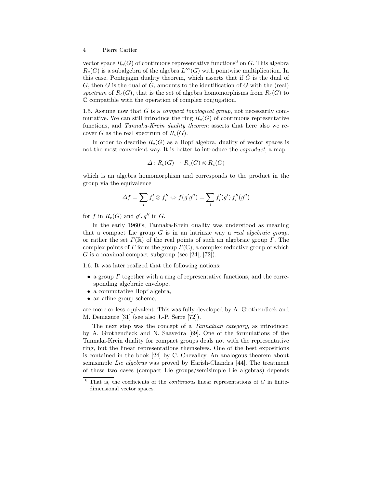vector space  $R_c(G)$  of continuous representative functions<sup>6</sup> on G. This algebra  $R_c(G)$  is a subalgebra of the algebra  $L^{\infty}(G)$  with pointwise multiplication. In this case, Pontriagin duality theorem, which asserts that if  $\hat{G}$  is the dual of G, then G is the dual of  $\hat{G}$ , amounts to the identification of G with the (real) spectrum of  $R_c(G)$ , that is the set of algebra homomorphisms from  $R_c(G)$  to C compatible with the operation of complex conjugation.

1.5. Assume now that  $G$  is a *compact topological group*, not necessarily commutative. We can still introduce the ring  $R_c(G)$  of continuous representative functions, and Tannaka-Krein duality theorem asserts that here also we recover G as the real spectrum of  $R_c(G)$ .

In order to describe  $R_c(G)$  as a Hopf algebra, duality of vector spaces is not the most convenient way. It is better to introduce the *coproduct*, a map

$$
\Delta: R_c(G) \to R_c(G) \otimes R_c(G)
$$

which is an algebra homomorphism and corresponds to the product in the group via the equivalence

$$
\Delta f = \sum_{i} f'_{i} \otimes f''_{i} \Leftrightarrow f(g'g'') = \sum_{i} f'_{i}(g') f''_{i}(g'')
$$

for f in  $R_c(G)$  and  $g', g''$  in G.

In the early 1960's, Tannaka-Krein duality was understood as meaning that a compact Lie group  $G$  is in an intrinsic way a *real algebraic group*, or rather the set  $\Gamma(\mathbb{R})$  of the real points of such an algebraic group  $\Gamma$ . The complex points of  $\Gamma$  form the group  $\Gamma(\mathbb{C})$ , a complex reductive group of which G is a maximal compact subgroup (see [24], [72]).

1.6. It was later realized that the following notions:

- a group  $\Gamma$  together with a ring of representative functions, and the corresponding algebraic envelope,
- a commutative Hopf algebra,
- an affine group scheme,

are more or less equivalent. This was fully developed by A. Grothendieck and M. Demazure [31] (see also J.-P. Serre [72]).

The next step was the concept of a Tannakian category, as introduced by A. Grothendieck and N. Saavedra [69]. One of the formulations of the Tannaka-Krein duality for compact groups deals not with the representative ring, but the linear representations themselves. One of the best expositions is contained in the book [24] by C. Chevalley. An analogous theorem about semisimple Lie algebras was proved by Harish-Chandra [44]. The treatment of these two cases (compact Lie groups/semisimple Lie algebras) depends

 $6$  That is, the coefficients of the *continuous* linear representations of  $G$  in finitedimensional vector spaces.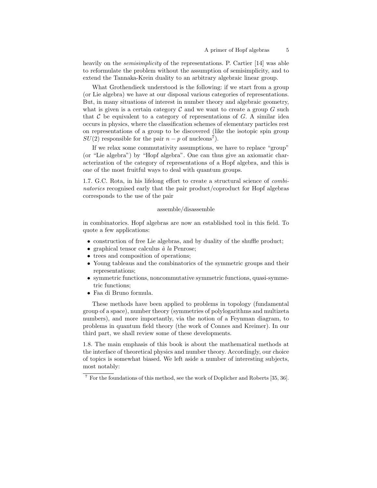heavily on the *semisimplicity* of the representations. P. Cartier [14] was able to reformulate the problem without the assumption of semisimplicity, and to extend the Tannaka-Krein duality to an arbitrary algebraic linear group.

What Grothendieck understood is the following: if we start from a group (or Lie algebra) we have at our disposal various categories of representations. But, in many situations of interest in number theory and algebraic geometry, what is given is a certain category  $\mathcal C$  and we want to create a group  $G$  such that  $\mathcal C$  be equivalent to a category of representations of  $G$ . A similar idea occurs in physics, where the classification schemes of elementary particles rest on representations of a group to be discovered (like the isotopic spin group  $SU(2)$  responsible for the pair  $n - p$  of nucleons<sup>7</sup>).

If we relax some commutativity assumptions, we have to replace "group" (or "Lie algebra") by "Hopf algebra". One can thus give an axiomatic characterization of the category of representations of a Hopf algebra, and this is one of the most fruitful ways to deal with quantum groups.

1.7. G.C. Rota, in his lifelong effort to create a structural science of combinatorics recognised early that the pair product/coproduct for Hopf algebras corresponds to the use of the pair

## assemble/disassemble

in combinatorics. Hopf algebras are now an established tool in this field. To quote a few applications:

- construction of free Lie algebras, and by duality of the shuffle product;
- graphical tensor calculus  $\dot{a}$  la Penrose;
- trees and composition of operations;
- Young tableaus and the combinatorics of the symmetric groups and their representations;
- symmetric functions, noncommutative symmetric functions, quasi-symmetric functions;
- Faa di Bruno formula.

These methods have been applied to problems in topology (fundamental group of a space), number theory (symmetries of polylogarithms and multizeta numbers), and more importantly, via the notion of a Feynman diagram, to problems in quantum field theory (the work of Connes and Kreimer). In our third part, we shall review some of these developments.

1.8. The main emphasis of this book is about the mathematical methods at the interface of theoretical physics and number theory. Accordingly, our choice of topics is somewhat biased. We left aside a number of interesting subjects, most notably:

<sup>7</sup> For the foundations of this method, see the work of Doplicher and Roberts [35, 36].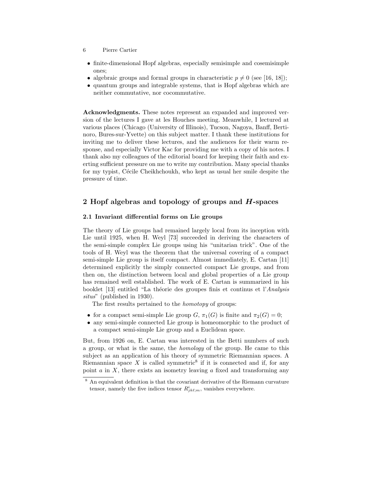- 6 Pierre Cartier
- finite-dimensional Hopf algebras, especially semisimple and cosemisimple ones;
- algebraic groups and formal groups in characteristic  $p \neq 0$  (see [16, 18]);
- quantum groups and integrable systems, that is Hopf algebras which are neither commutative, nor cocommutative.

Acknowledgments. These notes represent an expanded and improved version of the lectures I gave at les Houches meeting. Meanwhile, I lectured at various places (Chicago (University of Illinois), Tucson, Nagoya, Banff, Bertinoro, Bures-sur-Yvette) on this subject matter. I thank these institutions for inviting me to deliver these lectures, and the audiences for their warm response, and especially Victor Kac for providing me with a copy of his notes. I thank also my colleagues of the editorial board for keeping their faith and exerting sufficient pressure on me to write my contribution. Many special thanks for my typist, Cécile Cheikhchoukh, who kept as usual her smile despite the pressure of time.

# 2 Hopf algebras and topology of groups and  $H$ -spaces

## 2.1 Invariant differential forms on Lie groups

The theory of Lie groups had remained largely local from its inception with Lie until 1925, when H. Weyl [73] succeeded in deriving the characters of the semi-simple complex Lie groups using his "unitarian trick". One of the tools of H. Weyl was the theorem that the universal covering of a compact semi-simple Lie group is itself compact. Almost immediately, E. Cartan [11] determined explicitly the simply connected compact Lie groups, and from then on, the distinction between local and global properties of a Lie group has remained well established. The work of E. Cartan is summarized in his booklet [13] entitled "La théorie des groupes finis et continus et l'Analysis situs" (published in 1930).

The first results pertained to the homotopy of groups:

- for a compact semi-simple Lie group  $G$ ,  $\pi_1(G)$  is finite and  $\pi_2(G) = 0$ ;
- any semi-simple connected Lie group is homeomorphic to the product of a compact semi-simple Lie group and a Euclidean space.

But, from 1926 on, E. Cartan was interested in the Betti numbers of such a group, or what is the same, the homology of the group. He came to this subject as an application of his theory of symmetric Riemannian spaces. A Riemannian space  $X$  is called symmetric<sup>8</sup> if it is connected and if, for any point  $a$  in  $X$ , there exists an isometry leaving  $a$  fixed and transforming any

<sup>8</sup> An equivalent definition is that the covariant derivative of the Riemann curvature tensor, namely the five indices tensor  $R_{jk\ell;m}^i$ , vanishes everywhere.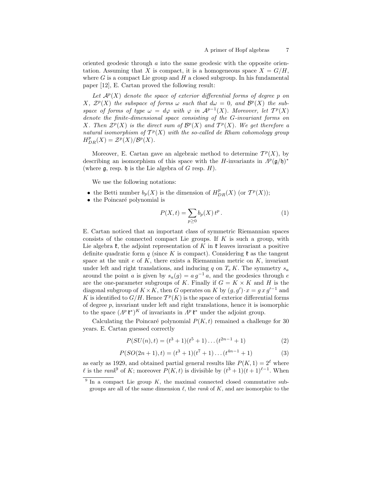oriented geodesic through  $\alpha$  into the same geodesic with the opposite orientation. Assuming that X is compact, it is a homogeneous space  $X = G/H$ , where  $G$  is a compact Lie group and  $H$  a closed subgroup. In his fundamental paper [12], E. Cartan proved the following result:

Let  $\mathcal{A}^p(X)$  denote the space of exterior differential forms of degree p on X,  $\mathcal{Z}^p(X)$  the subspace of forms  $\omega$  such that  $d\omega = 0$ , and  $\mathcal{B}^p(X)$  the subspace of forms of type  $\omega = d\varphi$  with  $\varphi$  in  $A^{p-1}(X)$ . Moreover, let  $T^p(X)$ denote the finite-dimensional space consisting of the G-invariant forms on X. Then  $\mathcal{Z}^p(X)$  is the direct sum of  $\mathcal{B}^p(X)$  and  $\mathcal{T}^p(X)$ . We get therefore a natural isomorphism of  $T^p(X)$  with the so-called de Rham cohomology group  $H_{DR}^p(X) = \mathcal{Z}^p(X)/\mathcal{B}^p(X).$ 

Moreover, E. Cartan gave an algebraic method to determine  $\mathcal{T}^p(X)$ , by describing an isomorphism of this space with the H-invariants in  $\Lambda^p(\mathfrak{g}/\mathfrak{h})^*$ (where  $\mathfrak g$ , resp.  $\mathfrak h$  is the Lie algebra of G resp. H).

We use the following notations:

- the Betti number  $b_p(X)$  is the dimension of  $H^p_{DR}(X)$  (or  $T^p(X)$ );
- $\bullet$  the Poincaré polynomial is

$$
P(X,t) = \sum_{p \ge 0} b_p(X) t^p.
$$
 (1)

E. Cartan noticed that an important class of symmetric Riemannian spaces consists of the connected compact Lie groups. If  $K$  is such a group, with Lie algebra  $\mathfrak k$ , the adjoint representation of K in  $\mathfrak k$  leaves invariant a positive definite quadratic form q (since K is compact). Considering  $\mathfrak k$  as the tangent space at the unit  $e$  of  $K$ , there exists a Riemannian metric on  $K$ , invariant under left and right translations, and inducing q on  $T_e K$ . The symmetry  $s_a$ around the point a is given by  $s_a(g) = a g^{-1} a$ , and the geodesics through e are the one-parameter subgroups of K. Finally if  $G = K \times K$  and H is the diagonal subgroup of  $K \times K$ , then G operates on K by  $(g, g') \cdot x = g x g'^{-1}$  and K is identified to  $G/H$ . Hence  $T^p(K)$  is the space of exterior differential forms of degree  $p$ , invariant under left and right translations, hence it is isomorphic to the space  $(A^p \mathfrak{k}^*)^K$  of invariants in  $A^p \mathfrak{k}^*$  under the adjoint group.

Calculating the Poincaré polynomial  $P(K, t)$  remained a challenge for 30 years. E. Cartan guessed correctly

$$
P(SU(n), t) = (t3 + 1)(t5 + 1) \dots (t2n-1 + 1)
$$
 (2)

$$
P(SO(2n+1), t) = (t3 + 1)(t7 + 1)...(t4n-1 + 1)
$$
\n(3)

as early as 1929, and obtained partial general results like  $P(K, 1) = 2^{\ell}$  where  $\ell$  is the rank<sup>9</sup> of K; moreover  $P(K, t)$  is divisible by  $(t^3 + 1)(t + 1)^{\ell-1}$ . When

 $9 \text{ In a compact Lie group } K$ , the maximal connected closed commutative subgroups are all of the same dimension  $\ell$ , the *rank* of K, and are isomorphic to the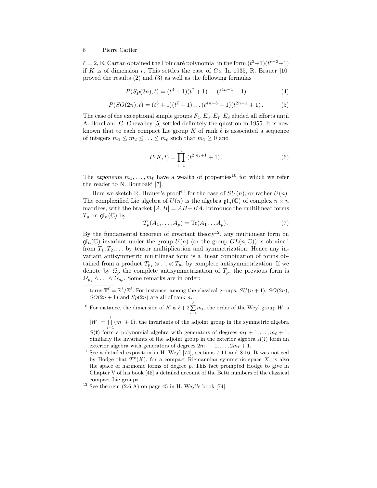$\ell = 2$ , E. Cartan obtained the Poincaré polynomial in the form  $(t^3+1)(t^{r-3}+1)$ if K is of dimension r. This settles the case of  $G_2$ . In 1935, R. Brauer [10] proved the results (2) and (3) as well as the following formulas

$$
P(Sp(2n), t) = (t3 + 1)(t7 + 1)...(t4n-1 + 1)
$$
\n(4)

$$
P(SO(2n), t) = (t3 + 1)(t7 + 1)...(t4n-5 + 1)(t2n-1 + 1).
$$
 (5)

The case of the exceptional simple groups  $F_4, E_6, E_7, E_8$  eluded all efforts until A. Borel and C. Chevalley [5] settled definitely the question in 1955. It is now known that to each compact Lie group  $K$  of rank  $\ell$  is associated a sequence of integers  $m_1 \leq m_2 \leq \ldots \leq m_\ell$  such that  $m_1 \geq 0$  and

$$
P(K,t) = \prod_{i=1}^{\ell} (t^{2m_i+1} + 1).
$$
 (6)

The exponents  $m_1, \ldots, m_\ell$  have a wealth of properties<sup>10</sup> for which we refer the reader to N. Bourbaki [7].

Here we sketch R. Brauer's proof<sup>11</sup> for the case of  $SU(n)$ , or rather  $U(n)$ . The complexified Lie algebra of  $U(n)$  is the algebra  $\mathfrak{gl}_n(\mathbb{C})$  of complex  $n \times n$ matrices, with the bracket  $[A, B] = AB - BA$ . Introduce the multilinear forms  $T_p$  on  $\mathfrak{gl}_n(\mathbb{C})$  by

$$
T_p(A_1, \ldots, A_p) = \text{Tr}(A_1 \ldots A_p). \tag{7}
$$

By the fundamental theorem of invariant theory<sup>12</sup>, any multilinear form on  $\mathfrak{gl}_n(\mathbb{C})$  invariant under the group  $U(n)$  (or the group  $GL(n,\mathbb{C})$ ) is obtained from  $T_1, T_2, \ldots$  by tensor multiplication and symmetrization. Hence any invariant antisymmetric multilinear form is a linear combination of forms obtained from a product  $T_{p_1} \otimes \ldots \otimes T_{p_r}$  by complete antisymmetrization. If we denote by  $\Omega_p$  the complete antisymmetrization of  $T_p$ , the previous form is  $\Omega_{p_1} \wedge \ldots \wedge \Omega_{p_r}$ . Some remarks are in order:

torus  $\mathbb{T}^{\ell} = \mathbb{R}^{\ell}/\mathbb{Z}^{\ell}$ . For instance, among the classical groups,  $SU(n+1), SO(2n),$  $SO(2n+1)$  and  $Sp(2n)$  are all of rank n.

<sup>10</sup> For instance, the dimension of K is  $\ell + 2\sum_{i=1}^{\ell} m_i$ , the order of the Weyl group W is

 $|W| = \prod_{i=1}^{\ell} (m_i + 1)$ , the invariants of the adjoint group in the symmetric algebra

 $S(\mathfrak{k})$  form a polynomial algebra with generators of degrees  $m_1 + 1, \ldots, m_{\ell} + 1$ . Similarly the invariants of the adjoint group in the exterior algebra  $\Lambda(\mathfrak{k})$  form an exterior algebra with generators of degrees  $2m_1 + 1, \ldots, 2m_\ell + 1$ .

- $11$  See a detailed exposition in H. Weyl [74], sections 7.11 and 8.16. It was noticed by Hodge that  $T^p(X)$ , for a compact Riemannian symmetric space X, is also the space of harmonic forms of degree  $p$ . This fact prompted Hodge to give in Chapter V of his book [45] a detailed account of the Betti numbers of the classical compact Lie groups.
- $12$  See theorem (2.6.A) on page 45 in H. Weyl's book [74].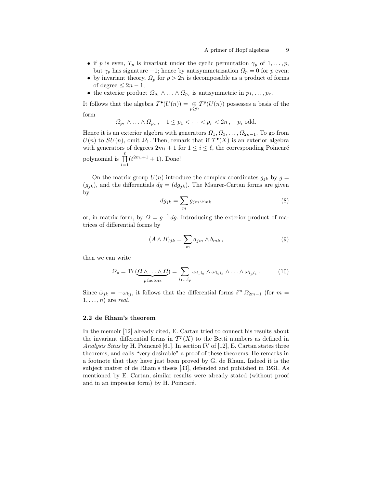- if p is even,  $T_p$  is invariant under the cyclic permutation  $\gamma_p$  of  $1, \ldots, p$ , but  $\gamma_p$  has signature −1; hence by antisymmetrization  $\Omega_p = 0$  for p even;
- by invariant theory,  $\Omega_p$  for  $p > 2n$  is decomposable as a product of forms of degree  $\leq 2n - 1$ ;
- the exterior product  $\Omega_{p_1} \wedge \ldots \wedge \Omega_{p_r}$  is antisymmetric in  $p_1, \ldots, p_r$ .

It follows that the algebra  $T^{\bullet}(U(n)) = \bigoplus_{p\geq 0} T^p(U(n))$  possesses a basis of the form

$$
\Omega_{p_1} \wedge \ldots \wedge \Omega_{p_r}, \quad 1 \le p_1 < \cdots < p_r < 2n, \quad p_i \text{ odd.}
$$

Hence it is an exterior algebra with generators  $\Omega_1, \Omega_3, \ldots, \Omega_{2n-1}$ . To go from  $U(n)$  to  $SU(n)$ , omit  $\Omega_1$ . Then, remark that if  $\mathcal{T}^{\bullet}(X)$  is an exterior algebra with generators of degrees  $2m_i + 1$  for  $1 \leq i \leq \ell$ , the corresponding Poincaré polynomial is  $\prod^{\ell}$  $i=1$  $(t^{2m_i+1}+1)$ . Done!

On the matrix group  $U(n)$  introduce the complex coordinates  $g_{jk}$  by  $g =$  $(g_{ik})$ , and the differentials  $dg = (dg_{ik})$ . The Maurer-Cartan forms are given by

$$
dg_{jk} = \sum_{m} g_{jm} \,\omega_{mk} \tag{8}
$$

or, in matrix form, by  $\Omega = g^{-1} dg$ . Introducing the exterior product of matrices of differential forms by

$$
(A \wedge B)_{jk} = \sum_{m} a_{jm} \wedge b_{mk}, \qquad (9)
$$

then we can write

$$
\Omega_p = \text{Tr}\left(\underbrace{\Omega \wedge \ldots \wedge \Omega}_{p \text{ factors}}\right) = \sum_{i_1 \ldots i_p} \omega_{i_1 i_2} \wedge \omega_{i_2 i_3} \wedge \ldots \wedge \omega_{i_p i_1} \,. \tag{10}
$$

Since  $\bar{\omega}_{jk} = -\omega_{kj}$ , it follows that the differential forms  $i^m \Omega_{2m-1}$  (for  $m =$  $1, \ldots, n$  are real.

## 2.2 de Rham's theorem

In the memoir [12] already cited, E. Cartan tried to connect his results about the invariant differential forms in  $\mathcal{T}^p(X)$  to the Betti numbers as defined in Analysis Situs by H. Poincaré [61]. In section IV of [12], E. Cartan states three theorems, and calls "very desirable" a proof of these theorems. He remarks in a footnote that they have just been proved by G. de Rham. Indeed it is the subject matter of de Rham's thesis [33], defended and published in 1931. As mentioned by E. Cartan, similar results were already stated (without proof and in an imprecise form) by H. Poincaré.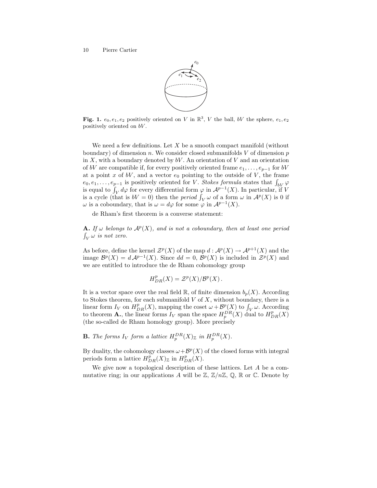

Fig. 1.  $e_0, e_1, e_2$  positively oriented on V in  $\mathbb{R}^3$ , V the ball, bV the sphere,  $e_1, e_2$ positively oriented on  $bV$ .

We need a few definitions. Let  $X$  be a smooth compact manifold (without boundary) of dimension  $n$ . We consider closed submanifolds  $V$  of dimension  $p$ in X, with a boundary denoted by  $bV$ . An orientation of V and an orientation of bV are compatible if, for every positively oriented frame  $e_1, \ldots, e_{p-1}$  for bV at a point x of  $bV$ , and a vector  $e_0$  pointing to the outside of V, the frame  $e_0, e_1, \ldots, e_{p-1}$  is positively oriented for V. Stokes formula states that  $\int_{bV} \varphi$ is equal to  $\int_V d\varphi$  for every differential form  $\varphi$  in  $\mathcal{A}^{p-1}(X)$ . In particular, if V is a cycle (that is  $bV = 0$ ) then the *period*  $\int_V \omega$  of a form  $\omega$  in  $\mathcal{A}^p(X)$  is 0 if  $\omega$  is a coboundary, that is  $\omega = d\varphi$  for some  $\varphi$  in  $\mathcal{A}^{p-1}(X)$ .

de Rham's first theorem is a converse statement:

**A.** If  $\omega$  belongs to  $\mathcal{A}^p(X)$ , and is not a coboundary, then at least one period  $\int_V \omega$  is not zero.

As before, define the kernel  $\mathcal{Z}^p(X)$  of the map  $d: \mathcal{A}^p(X) \to \mathcal{A}^{p+1}(X)$  and the image  $\mathcal{B}^p(X) = d\mathcal{A}^{p-1}(X)$ . Since  $dd = 0$ ,  $\mathcal{B}^p(X)$  is included in  $\mathcal{Z}^p(X)$  and we are entitled to introduce the de Rham cohomology group

$$
H_{DR}^p(X) = \mathcal{Z}^p(X)/\mathcal{B}^p(X).
$$

It is a vector space over the real field  $\mathbb{R}$ , of finite dimension  $b_p(X)$ . According to Stokes theorem, for each submanifold  $V$  of  $X$ , without boundary, there is a linear form  $I_V$  on  $H^p_{DR}(X)$ , mapping the coset  $\omega + \mathcal{B}^p(X)$  to  $\int_V \omega$ . According to theorem **A**., the linear forms  $I_V$  span the space  $H_p^{DR}(X)$  dual to  $H_{DR}^p(X)$ (the so-called de Rham homology group). More precisely

**B.** The forms  $I_V$  form a lattice  $H_p^{DR}(X)_{\mathbb{Z}}$  in  $H_p^{DR}(X)$ .

By duality, the cohomology classes  $\omega + \mathcal{B}^p(X)$  of the closed forms with integral periods form a lattice  $H_{DR}^p(X)_{\mathbb{Z}}$  in  $H_{DR}^p(X)$ .

We give now a topological description of these lattices. Let A be a commutative ring; in our applications A will be  $\mathbb{Z}, \mathbb{Z}/n\mathbb{Z}, \mathbb{Q}, \mathbb{R}$  or  $\mathbb{C}$ . Denote by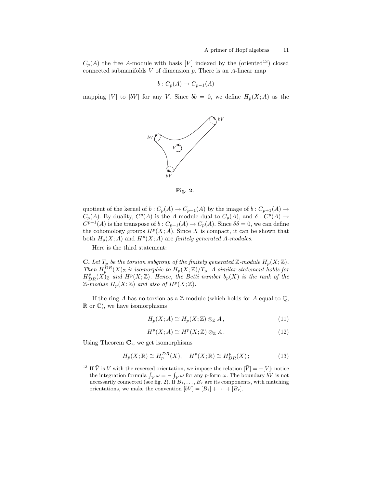$C_p(A)$  the free A-module with basis [V] indexed by the (oriented<sup>13</sup>) closed connected submanifolds  $V$  of dimension  $p$ . There is an  $A$ -linear map

$$
b:C_p(A)\to C_{p-1}(A)
$$

mapping [V] to [bV] for any V. Since  $bb = 0$ , we define  $H_p(X;A)$  as the





quotient of the kernel of  $b:C_p(A)\to C_{p-1}(A)$  by the image of  $b:C_{p+1}(A)\to C_p(A)$  $C_p(A)$ . By duality,  $C^p(A)$  is the A-module dual to  $C_p(A)$ , and  $\delta: C^p(A) \to$  $C^{p+1}(A)$  is the transpose of  $b: C_{p+1}(A) \to C_p(A)$ . Since  $\delta \delta = 0$ , we can define the cohomology groups  $H^p(X; A)$ . Since X is compact, it can be shown that both  $H_p(X; A)$  and  $H^p(X; A)$  are finitely generated A-modules.

Here is the third statement:

**C.** Let  $T_p$  be the torsion subgroup of the finitely generated  $\mathbb{Z}$ -module  $H_p(X;\mathbb{Z})$ . Then  $H_p^{DR}(X)_{\mathbb{Z}}$  is isomorphic to  $H_p(X;\mathbb{Z})/T_p$ . A similar statement holds for  $H_{DR}^p(X)$  and  $H^p(X;\mathbb{Z})$ . Hence, the Betti number  $b_p(X)$  is the rank of the  $\mathbb{Z}\text{-module }H_p(X;\mathbb{Z})$  and also of  $H^p(X;\mathbb{Z})$ .

If the ring A has no torsion as a  $\mathbb{Z}$ -module (which holds for A equal to  $\mathbb{Q}$ ,  $\mathbb R$  or  $\mathbb C$ ), we have isomorphisms

$$
H_p(X;A) \cong H_p(X;\mathbb{Z}) \otimes_{\mathbb{Z}} A,\tag{11}
$$

$$
H^p(X;A) \cong H^p(X;\mathbb{Z}) \otimes_{\mathbb{Z}} A. \tag{12}
$$

Using Theorem C., we get isomorphisms

$$
H_p(X; \mathbb{R}) \cong H_p^{DR}(X), \quad H^p(X; \mathbb{R}) \cong H_{DR}^p(X); \tag{13}
$$

<sup>&</sup>lt;sup>13</sup> If  $\overline{V}$  is V with the reversed orientation, we impose the relation  $[\overline{V}] = -[V]$ : notice the integration formula  $\int_{\bar{V}} \omega = -\int_{V} \omega$  for any p-form  $\omega$ . The boundary bV is not necessarily connected (see fig. 2). If  $B_1, \ldots, B_r$  are its components, with matching orientations, we make the convention  $[bV] = [B_1] + \cdots + [B_r].$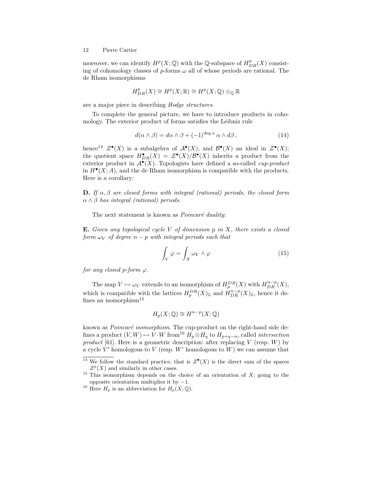moreover, we can identify  $H^p(X; \mathbb{Q})$  with the Q-subspace of  $H^p_{DR}(X)$  consisting of cohomology classes of  $p$ -forms  $\omega$  all of whose periods are rational. The de Rham isomorphisms

$$
H^p_{DR}(X) \cong H^p(X; \mathbb{R}) \cong H^p(X; \mathbb{Q}) \otimes_{\mathbb{Q}} \mathbb{R}
$$

are a major piece in describing Hodge structures.

To complete the general picture, we have to introduce products in cohomology. The exterior product of forms satisfies the Leibniz rule

$$
d(\alpha \wedge \beta) = d\alpha \wedge \beta + (-1)^{\deg \alpha} \alpha \wedge d\beta, \qquad (14)
$$

hence<sup>14</sup>  $\mathcal{Z}^{\bullet}(X)$  is a subalgebra of  $\mathcal{A}^{\bullet}(X)$ , and  $\mathcal{B}^{\bullet}(X)$  an ideal in  $\mathcal{Z}^{\bullet}(X)$ ; the quotient space  $H_{DR}^{\bullet}(X) = \mathcal{Z}^{\bullet}(X)/\mathcal{B}^{\bullet}(X)$  inherits a product from the exterior product in  $\mathcal{A}^{\bullet}(X)$ . Topologists have defined a so-called *cup-product* in  $H^{\bullet}(X; A)$ , and the de Rham isomorphism is compatible with the products. Here is a corollary:

**D.** If  $\alpha, \beta$  are closed forms with integral (rational) periods, the closed form  $\alpha \wedge \beta$  has integral (rational) periods.

The next statement is known as  $Poincaré$  duality:

**E.** Given any topological cycle V of dimension  $p$  in  $X$ , there exists a closed form  $\omega_V$  of degree  $n-p$  with integral periods such that

$$
\int_{V} \varphi = \int_{X} \omega_{V} \wedge \varphi \tag{15}
$$

for any closed p-form  $\varphi$ .

The map  $V \mapsto \omega_V$  extends to an isomorphism of  $H_p^{DR}(X)$  with  $H_{DR}^{n-p}(X)$ , which is compatible with the lattices  $H_p^{DR}(X)_{\mathbb{Z}}$  and  $\dot{H}_{DR}^{n-p}(X)_{\mathbb{Z}}$ , hence it defines an isomorphism<sup>15</sup>

$$
H_p(X; \mathbb{Q}) \cong H^{n-p}(X; \mathbb{Q})
$$

known as *Poincaré isomorphism*. The cup-product on the right-hand side defines a product  $(V, W) \mapsto V \cdot W$  from<sup>16</sup>  $H_p \otimes H_q$  to  $H_{p+q-n}$ , called *intersection* product [61]. Here is a geometric description: after replacing  $V$  (resp.  $W$ ) by a cycle  $V'$  homologous to V (resp.  $W'$  homologous to W) we can assume that

<sup>&</sup>lt;sup>14</sup> We follow the standard practice, that is  $\mathcal{Z}^{\bullet}(X)$  is the direct sum of the spaces  $\mathcal{Z}^p(X)$  and similarly in other cases.

 $15$  This isomorphism depends on the choice of an orientation of X; going to the opposite orientation multiplies it by −1.

<sup>&</sup>lt;sup>16</sup> Here  $H_p$  is an abbreviation for  $H_p(X; \mathbb{Q})$ .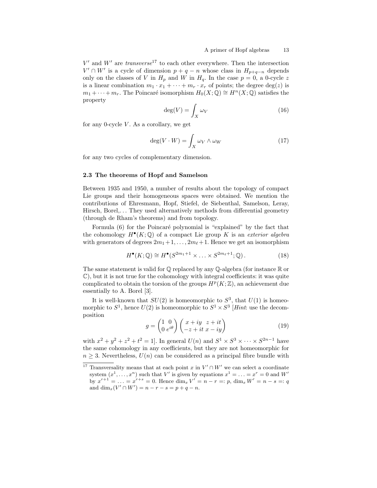$V'$  and  $W'$  are transverse<sup>17</sup> to each other everywhere. Then the intersection  $V' \cap W'$  is a cycle of dimension  $p + q - n$  whose class in  $H_{p+q-n}$  depends only on the classes of V in  $H_p$  and W in  $H_q$ . In the case  $p = 0$ , a 0-cycle z is a linear combination  $m_1 \cdot x_1 + \cdots + m_r \cdot x_r$  of points; the degree  $deg(z)$  is  $m_1 + \cdots + m_r$ . The Poincaré isomorphism  $H_0(X; \mathbb{Q}) \cong H^n(X; \mathbb{Q})$  satisfies the property

$$
\deg(V) = \int_X \omega_V \tag{16}
$$

for any 0-cycle  $V$ . As a corollary, we get

$$
\deg(V \cdot W) = \int_X \omega_V \wedge \omega_W \tag{17}
$$

for any two cycles of complementary dimension.

#### 2.3 The theorems of Hopf and Samelson

Between 1935 and 1950, a number of results about the topology of compact Lie groups and their homogeneous spaces were obtained. We mention the contributions of Ehresmann, Hopf, Stiefel, de Siebenthal, Samelson, Leray, Hirsch, Borel,... They used alternatively methods from differential geometry (through de Rham's theorems) and from topology.

Formula (6) for the Poincaré polynomial is "explained" by the fact that the cohomology  $H^{\bullet}(K; \mathbb{Q})$  of a compact Lie group K is an *exterior algebra* with generators of degrees  $2m_1+1, \ldots, 2m_\ell+1$ . Hence we get an isomorphism

$$
H^{\bullet}(K; \mathbb{Q}) \cong H^{\bullet}(S^{2m_1+1} \times \ldots \times S^{2m_{\ell}+1}; \mathbb{Q})
$$
 (18)

The same statement is valid for  $\mathbb O$  replaced by any  $\mathbb O$ -algebra (for instance  $\mathbb R$  or  $\mathbb{C}$ , but it is not true for the cohomology with integral coefficients: it was quite complicated to obtain the torsion of the groups  $H^p(K;\mathbb{Z})$ , an achievement due essentially to A. Borel [3].

It is well-known that  $SU(2)$  is homeomorphic to  $S^3$ , that  $U(1)$  is homeomorphic to  $S^1$ , hence  $U(2)$  is homeomorphic to  $S^1 \times S^3$  [Hint: use the decomposition

$$
g = \begin{pmatrix} 1 & 0 \\ 0 & e^{i\theta} \end{pmatrix} \begin{pmatrix} x + iy & z + it \\ -z + it & x - iy \end{pmatrix}
$$
 (19)

with  $x^2 + y^2 + z^2 + t^2 = 1$ . In general  $U(n)$  and  $S^1 \times S^3 \times \cdots \times S^{2n-1}$  have the same cohomology in any coefficients, but they are not homeomorphic for  $n \geq 3$ . Nevertheless,  $U(n)$  can be considered as a principal fibre bundle with

<sup>&</sup>lt;sup>17</sup> Transversality means that at each point x in  $V' \cap W'$  we can select a coordinate system  $(x^1, \ldots, x^n)$  such that V' is given by equations  $x^1 = \ldots = x^r = 0$  and W' by  $x^{r+1} = \ldots = x^{r+s} = 0$ . Hence  $\dim_x V' = n - r =: p$ ,  $\dim_x W' = n - s =: q$ and  $\dim_x(V' \cap W') = n - r - s = p + q - n$ .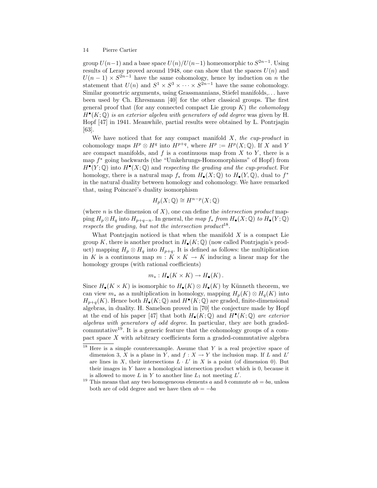group  $U(n-1)$  and a base space  $U(n)/U(n-1)$  homeomorphic to  $S^{2n-1}$ . Using results of Leray proved around 1948, one can show that the spaces  $U(n)$  and  $U(n-1) \times S^{2n-1}$  have the same cohomology, hence by induction on n the statement that  $U(n)$  and  $S^1 \times S^3 \times \cdots \times S^{2n-1}$  have the same cohomology. Similar geometric arguments, using Grassmannians, Stiefel manifolds,. . . have been used by Ch. Ehresmann [40] for the other classical groups. The first general proof that (for any connected compact Lie group  $K$ ) the cohomology  $H^{\bullet}(K; \mathbb{Q})$  is an exterior algebra with generators of odd degree was given by H. Hopf [47] in 1941. Meanwhile, partial results were obtained by L. Pontrjagin [63].

We have noticed that for any compact manifold  $X$ , the cup-product in cohomology maps  $H^p \otimes H^q$  into  $H^{p+q}$ , where  $H^p := H^p(X; \mathbb{Q})$ . If X and Y are compact manifolds, and  $f$  is a continuous map from  $X$  to  $Y$ , there is a map f <sup>∗</sup> going backwards (the "Umkehrungs-Homomorphisms" of Hopf) from  $H^{\bullet}(Y; \mathbb{Q})$  into  $H^{\bullet}(X; \mathbb{Q})$  and respecting the grading and the cup-product. For homology, there is a natural map  $f_*$  from  $H_{\bullet}(X; \mathbb{Q})$  to  $H_{\bullet}(Y, \mathbb{Q})$ , dual to  $f^*$ in the natural duality between homology and cohomology. We have remarked that, using Poincaré's duality isomorphism

$$
H_p(X; \mathbb{Q}) \cong H^{n-p}(X; \mathbb{Q})
$$

(where n is the dimension of  $X$ ), one can define the *intersection product* mapping  $H_p \otimes H_q$  into  $H_{p+q-n}$ . In general, the map  $f_*$  from  $H_{\bullet}(X; \mathbb{Q})$  to  $H_{\bullet}(Y; \mathbb{Q})$ respects the grading, but not the intersection product<sup>18</sup>.

What Pontrjagin noticed is that when the manifold  $X$  is a compact Lie group K, there is another product in  $H_{\bullet}(K; \mathbb{Q})$  (now called Pontrjagin's product) mapping  $H_p \otimes H_q$  into  $H_{p+q}$ . It is defined as follows: the multiplication in K is a continuous map  $m: K \times K \to K$  inducing a linear map for the homology groups (with rational coefficients)

$$
m_*: H_{\bullet}(K \times K) \to H_{\bullet}(K).
$$

Since  $H_{\bullet}(K \times K)$  is isomorphic to  $H_{\bullet}(K) \otimes H_{\bullet}(K)$  by Künneth theorem, we can view  $m_*$  as a multiplication in homology, mapping  $H_p(K) \otimes H_q(K)$  into  $H_{p+q}(K)$ . Hence both  $H_{\bullet}(K; \mathbb{Q})$  and  $H^{\bullet}(K; \mathbb{Q})$  are graded, finite-dimensional algebras, in duality. H. Samelson proved in [70] the conjecture made by Hopf at the end of his paper [47] that both  $H_{\bullet}(K; \mathbb{Q})$  and  $H^{\bullet}(K; \mathbb{Q})$  are exterior algebras with generators of odd degree. In particular, they are both gradedcommutative<sup>19</sup>. It is a generic feature that the cohomology groups of a compact space  $X$  with arbitrary coefficients form a graded-commutative algebra

<sup>&</sup>lt;sup>18</sup> Here is a simple counterexample. Assume that  $Y$  is a real projective space of dimension 3, X is a plane in Y, and  $f: X \to Y$  the inclusion map. If L and L' are lines in X, their intersections  $L \cdot L'$  in X is a point (of dimension 0). But their images in  $Y$  have a homological intersection product which is  $0$ , because it is allowed to move L in Y to another line  $L_1$  not meeting  $L'$ .

<sup>&</sup>lt;sup>19</sup> This means that any two homogeneous elements a and b commute  $ab = ba$ , unless both are of odd degree and we have then  $ab = -ba$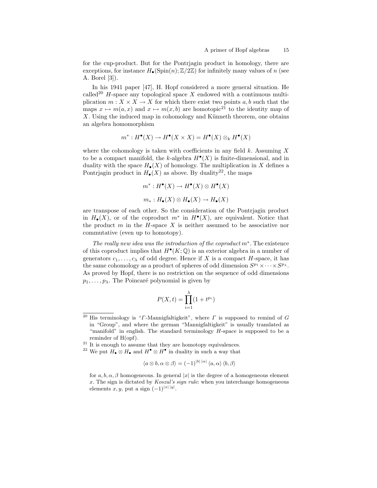for the cup-product. But for the Pontrjagin product in homology, there are exceptions, for instance  $H_{\bullet}(\text{Spin}(n);\mathbb{Z}/2\mathbb{Z})$  for infinitely many values of n (see A. Borel [3]).

In his 1941 paper [47], H. Hopf considered a more general situation. He called<sup>20</sup> H-space any topological space X endowed with a continuous multiplication  $m: X \times X \to X$  for which there exist two points  $a, b$  such that the maps  $x \mapsto m(a, x)$  and  $x \mapsto m(x, b)$  are homotopic<sup>21</sup> to the identity map of  $X$ . Using the induced map in cohomology and Künneth theorem, one obtains an algebra homomorphism

$$
m^*: H^{\bullet}(X) \to H^{\bullet}(X \times X) = H^{\bullet}(X) \otimes_k H^{\bullet}(X)
$$

where the cohomology is taken with coefficients in any field k. Assuming X to be a compact manifold, the k-algebra  $H^{\bullet}(X)$  is finite-dimensional, and in duality with the space  $H_{\bullet}(X)$  of homology. The multiplication in X defines a Pontrjagin product in  $H_{\bullet}(X)$  as above. By duality<sup>22</sup>, the maps

$$
m^*: H^{\bullet}(X) \to H^{\bullet}(X) \otimes H^{\bullet}(X)
$$
  

$$
m_*: H_{\bullet}(X) \otimes H_{\bullet}(X) \to H_{\bullet}(X)
$$

are transpose of each other. So the consideration of the Pontrjagin product in  $H_{\bullet}(X)$ , or of the coproduct  $m^*$  in  $H^{\bullet}(X)$ , are equivalent. Notice that the product  $m$  in the  $H$ -space  $X$  is neither assumed to be associative nor commutative (even up to homotopy).

The really new idea was the introduction of the coproduct  $m^*$ . The existence of this coproduct implies that  $H^{\bullet}(K; \mathbb{Q})$  is an exterior algebra in a number of generators  $c_1, \ldots, c_\lambda$  of odd degree. Hence if X is a compact H-space, it has the same cohomology as a product of spheres of odd dimension  $S^{p_1} \times \cdots \times S^{p_\lambda}$ . As proved by Hopf, there is no restriction on the sequence of odd dimensions  $p_1, \ldots, p_\lambda$ . The Poincaré polynomial is given by

$$
P(X,t) = \prod_{i=1}^{\lambda} (1 + t^{p_i})
$$

$$
\langle a \otimes b, \alpha \otimes \beta \rangle = (-1)^{|b| |\alpha|} \langle a, \alpha \rangle \langle b, \beta \rangle
$$

for  $a, b, \alpha, \beta$  homogeneous. In general |x| is the degree of a homogeneous element  $x$ . The sign is dictated by *Koszul's sign rule*: when you interchange homogeneous elements  $x, y$ , put a sign  $(-1)^{|x| |y|}$ .

<sup>&</sup>lt;sup>20</sup> His terminology is "Γ-Mannigfaltigkeit", where  $\Gamma$  is supposed to remind of G in "Group", and where the german "Mannigfaltigkeit" is usually translated as "manifold" in english. The standard terminology  $H$ -space is supposed to be a reminder of H(opf).

 $21$  It is enough to assume that they are homotopy equivalences.

<sup>&</sup>lt;sup>22</sup> We put  $H_{\bullet} \otimes H_{\bullet}$  and  $H^{\bullet} \otimes H^{\bullet}$  in duality in such a way that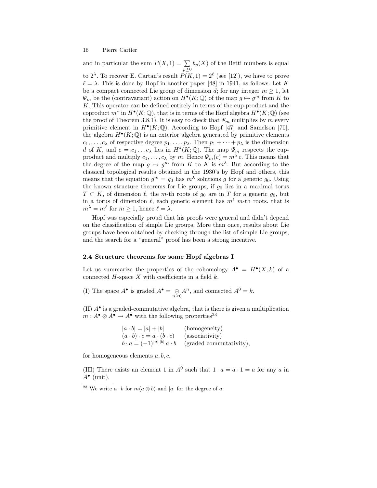and in particular the sum  $P(X, 1) = \sum$  $\sum_{p\geq 0} b_p(X)$  of the Betti numbers is equal to  $2^{\lambda}$ . To recover E. Cartan's result  $P(K, 1) = 2^{\ell}$  (see [12]), we have to prove  $\ell = \lambda$ . This is done by Hopf in another paper [48] in 1941, as follows. Let K be a compact connected Lie group of dimension d; for any integer  $m \geq 1$ , let  $\Psi_m$  be the (contravariant) action on  $H^{\bullet}(K; \mathbb{Q})$  of the map  $g \mapsto g^m$  from K to K. This operator can be defined entirely in terms of the cup-product and the coproduct  $m^*$  in  $H^{\bullet}(K; \mathbb{Q})$ , that is in terms of the Hopf algebra  $H^{\bullet}(K; \mathbb{Q})$  (see the proof of Theorem 3.8.1). It is easy to check that  $\Psi_m$  multiplies by m every primitive element in  $H^{\bullet}(K; \mathbb{Q})$ . According to Hopf [47] and Samelson [70], the algebra  $H^{\bullet}(K; \mathbb{Q})$  is an exterior algebra generated by primitive elements  $c_1, \ldots, c_\lambda$  of respective degree  $p_1, \ldots, p_\lambda$ . Then  $p_1 + \cdots + p_\lambda$  is the dimension d of K, and  $c = c_1 \ldots c_\lambda$  lies in  $H^d(K; \mathbb{Q})$ . The map  $\Psi_m$  respects the cupproduct and multiply  $c_1, \ldots, c_\lambda$  by m. Hence  $\Psi_m(c) = m^\lambda c$ . This means that the degree of the map  $g \mapsto g^m$  from K to K is  $m^{\lambda}$ . But according to the classical topological results obtained in the 1930's by Hopf and others, this means that the equation  $g^m = g_0$  has  $m^{\lambda}$  solutions g for a generic  $g_0$ . Using the known structure theorems for Lie groups, if  $g_0$  lies in a maximal torus  $T \subset K$ , of dimension  $\ell$ , the m-th roots of  $g_0$  are in T for a generic  $g_0$ , but in a torus of dimension  $\ell$ , each generic element has  $m^{\ell}$  m-th roots. that is  $m^{\lambda} = m^{\ell}$  for  $m \geq 1$ , hence  $\ell = \lambda$ .

Hopf was especially proud that his proofs were general and didn't depend on the classification of simple Lie groups. More than once, results about Lie groups have been obtained by checking through the list of simple Lie groups, and the search for a "general" proof has been a strong incentive.

## 2.4 Structure theorems for some Hopf algebras I

Let us summarize the properties of the cohomology  $A^{\bullet} = H^{\bullet}(X;k)$  of a connected  $H$ -space  $X$  with coefficients in a field  $k$ .

(I) The space  $A^{\bullet}$  is graded  $A^{\bullet} = \bigoplus_{n \geq 0} A^n$ , and connected  $A^0 = k$ .

(II)  $A^{\bullet}$  is a graded-commutative algebra, that is there is given a multiplication  $m: A^{\bullet} \otimes A^{\bullet} \to A^{\bullet}$  with the following properties<sup>23</sup>

| $ a \cdot b  =  a  +  b $                   | (homogeneity)           |
|---------------------------------------------|-------------------------|
| $(a \cdot b) \cdot c = a \cdot (b \cdot c)$ | (associativity)         |
| $b \cdot a = (-1)^{ a   b } a \cdot b$      | (graded commutativity), |

for homogeneous elements  $a, b, c$ .

(III) There exists an element 1 in  $A^0$  such that  $1 \cdot a = a \cdot 1 = a$  for any a in  $A^{\bullet}$  (unit).

<sup>&</sup>lt;sup>23</sup> We write  $a \cdot b$  for  $m(a \otimes b)$  and |a| for the degree of a.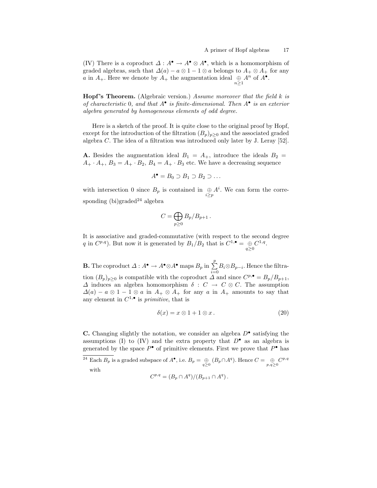(IV) There is a coproduct  $\Delta: A^{\bullet} \to A^{\bullet} \otimes A^{\bullet}$ , which is a homomorphism of graded algebras, such that  $\Delta(a) - a \otimes 1 - 1 \otimes a$  belongs to  $A_+ \otimes A_+$  for any a in  $A_+$ . Here we denote by  $A_+$  the augmentation ideal  $\bigoplus_{n\geq 1} A^n$  of  $A^{\bullet}$ .

**Hopf's Theorem.** (Algebraic version.) Assume moreover that the field  $k$  is of characteristic 0, and that  $A^{\bullet}$  is finite-dimensional. Then  $A^{\bullet}$  is an exterior algebra generated by homogeneous elements of odd degree.

Here is a sketch of the proof. It is quite close to the original proof by Hopf, except for the introduction of the filtration  $(B_p)_{p\geq 0}$  and the associated graded algebra C. The idea of a filtration was introduced only later by J. Leray [52].

**A.** Besides the augmentation ideal  $B_1 = A_+$ , introduce the ideals  $B_2 =$  $A_+ \cdot A_+$ ,  $B_3 = A_+ \cdot B_2$ ,  $B_4 = A_+ \cdot B_3$  etc. We have a decreasing sequence

$$
A^{\bullet} = B_0 \supset B_1 \supset B_2 \supset \dots
$$

with intersection 0 since  $B_p$  is contained in  $\bigoplus_{i \geq p} A^i$ . We can form the corresponding (bi)graded<sup>24</sup> algebra

$$
C = \bigoplus_{p \geq 0} B_p / B_{p+1} \, .
$$

It is associative and graded-commutative (with respect to the second degree q in  $C^{p,q}$ ). But now it is generated by  $B_1/B_2$  that is  $C^{1,\bullet} = \bigoplus_{q\geq 0} C^{1,q}$ .

**B.** The coproduct  $\Delta: A^{\bullet} \to A^{\bullet} \otimes A^{\bullet}$  maps  $B_p$  in  $\sum_{i=0}^p B_i \otimes B_{p-i}$ . Hence the filtration  $(B_p)_{p\geq 0}$  is compatible with the coproduct  $\Delta$  and since  $C^{p,\bullet} = B_p/B_{p+1}$ ,  $\Delta$  induces an algebra homomorphism  $\delta : C \to C \otimes C$ . The assumption  $\Delta(a) - a \otimes 1 - 1 \otimes a$  in  $A_+ \otimes A_+$  for any a in  $A_+$  amounts to say that any element in  $C^{1,\bullet}$  is *primitive*, that is

$$
\delta(x) = x \otimes 1 + 1 \otimes x. \tag{20}
$$

**C.** Changing slightly the notation, we consider an algebra  $D^{\bullet}$  satisfying the assumptions (I) to (IV) and the extra property that  $D^{\bullet}$  as an algebra is generated by the space  $P^{\bullet}$  of primitive elements. First we prove that  $P^{\bullet}$  has

<sup>24</sup> Each  $B_p$  is a graded subspace of  $A^{\bullet}$ , i.e.  $B_p = \bigoplus_{q \geq 0} (B_p \cap A^q)$ . Hence  $C = \bigoplus_{p,q \geq 0} C^{p,q}$ with

$$
C^{p,q} = (B_p \cap A^q)/(B_{p+1} \cap A^q).
$$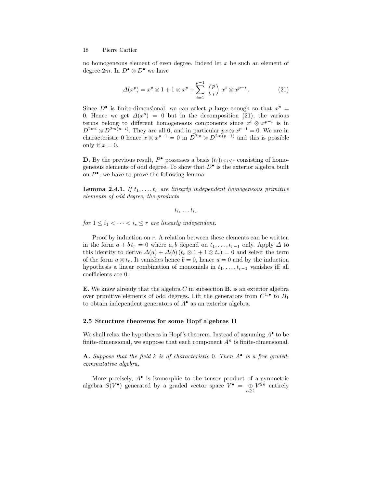no homogeneous element of even degree. Indeed let x be such an element of degree 2m. In  $D^{\bullet} \otimes D^{\bullet}$  we have

$$
\Delta(x^p) = x^p \otimes 1 + 1 \otimes x^p + \sum_{i=1}^{p-1} {p \choose i} x^i \otimes x^{p-i}.
$$
 (21)

Since  $D^{\bullet}$  is finite-dimensional, we can select p large enough so that  $x^p =$ 0. Hence we get  $\Delta(x^p) = 0$  but in the decomposition (21), the various terms belong to different homogeneous components since  $x^i \otimes x^{p-i}$  is in  $D^{2mi} \otimes D^{2m(p-i)}$ . They are all 0, and in particular  $px \otimes x^{p-1} = 0$ . We are in characteristic 0 hence  $x \otimes x^{p-1} = 0$  in  $D^{2m} \otimes D^{2m(p-1)}$  and this is possible only if  $x = 0$ .

**D.** By the previous result,  $P^{\bullet}$  possesses a basis  $(t_i)_{1 \leq i \leq r}$  consisting of homogeneous elements of odd degree. To show that  $D^{\bullet}$  is the exterior algebra built on  $P^{\bullet}$ , we have to prove the following lemma:

**Lemma 2.4.1.** If  $t_1, \ldots, t_r$  are linearly independent homogeneous primitive elements of odd degree, the products

 $t_{i_1} \dots t_{i_s}$ 

for  $1 \leq i_1 < \cdots < i_s \leq r$  are linearly independent.

Proof by induction on  $r$ . A relation between these elements can be written in the form  $a + bt_r = 0$  where a, b depend on  $t_1, \ldots, t_{r-1}$  only. Apply  $\Delta$  to this identity to derive  $\Delta(a) + \Delta(b) (t_r \otimes 1 + 1 \otimes t_r) = 0$  and select the term of the form  $u \otimes t_r$ . It vanishes hence  $b = 0$ , hence  $a = 0$  and by the induction hypothesis a linear combination of monomials in  $t_1, \ldots, t_{r-1}$  vanishes iff all coefficients are 0.

**E.** We know already that the algebra  $C$  in subsection  $\bf{B}$ , is an exterior algebra over primitive elements of odd degrees. Lift the generators from  $C^{1,\bullet}$  to  $B_1$ to obtain independent generators of  $A^{\bullet}$  as an exterior algebra.

## 2.5 Structure theorems for some Hopf algebras II

We shall relax the hypotheses in Hopf's theorem. Instead of assuming  $A^{\bullet}$  to be finite-dimensional, we suppose that each component  $A<sup>n</sup>$  is finite-dimensional.

**A.** Suppose that the field  $k$  is of characteristic 0. Then  $A^{\bullet}$  is a free gradedcommutative algebra.

More precisely,  $A^{\bullet}$  is isomorphic to the tensor product of a symmetric algebra  $S(V^{\bullet})$  generated by a graded vector space  $V^{\bullet} = \bigoplus_{n \geq 1} V^{2n}$  entirely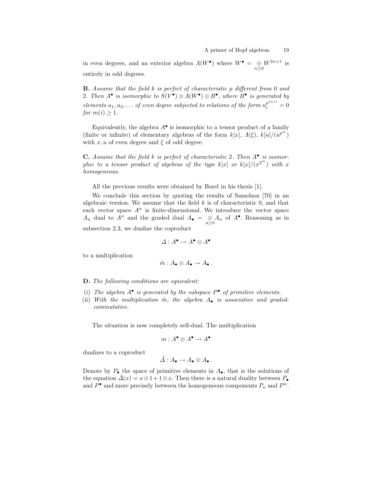in even degrees, and an exterior algebra  $\Lambda(W^{\bullet})$  where  $W^{\bullet} = \bigoplus_{n \geq 0} W^{2n+1}$  is entirely in odd degrees.

**B.** Assume that the field  $k$  is perfect of characteristic p different from 0 and 2. Then  $A^{\bullet}$  is isomorphic to  $S(V^{\bullet}) \otimes \Lambda(W^{\bullet}) \otimes B^{\bullet}$ , where  $B^{\bullet}$  is generated by elements  $u_1, u_2, \ldots$  of even degree subjected to relations of the form  $u_i^{p^{m(i)}} = 0$ for  $m(i) \geq 1$ .

Equivalently, the algebra  $A^{\bullet}$  is isomorphic to a tensor product of a family (finite or infinite) of elementary algebras of the form  $k[x]$ ,  $\Lambda(\xi)$ ,  $k[u]/(u^{p^{m}})$ with  $x, u$  of even degree and  $\xi$  of odd degree.

**C.** Assume that the field  $k$  is perfect of characteristic 2. Then  $A^{\bullet}$  is isomorphic to a tensor product of algebras of the type  $k[x]$  or  $k[x]/(x^{2^m})$  with x homogeneous.

All the previous results were obtained by Borel in his thesis [1].

We conclude this section by quoting the results of Samelson [70] in an algebraic version. We assume that the field  $k$  is of characteristic 0, and that each vector space  $A<sup>n</sup>$  is finite-dimensional. We introduce the vector space  $A_n$  dual to  $A^n$  and the graded dual  $A_{\bullet} = \bigoplus_{n\geq 0} A_n$  of  $A^{\bullet}$ . Reasoning as in subsection 2.3, we dualize the coproduct

$$
\varDelta:A^\bullet\to A^\bullet\otimes A^\bullet
$$

to a multiplication

$$
\tilde{m}: A_{\bullet} \otimes A_{\bullet} \to A_{\bullet}.
$$

#### D. The following conditions are equivalent:

- (i) The algebra  $A^{\bullet}$  is generated by the subspace  $P^{\bullet}$  of primitive elements.
- (ii) With the multiplication  $\tilde{m}$ , the algebra  $A_{\bullet}$  is associative and gradedcommutative.

The situation is now completely self-dual. The multiplication

$$
m:A^\bullet\otimes A^\bullet\to A^\bullet
$$

dualizes to a coproduct

$$
\tilde{\varDelta}:A_{\bullet}\to A_{\bullet}\otimes A_{\bullet}.
$$

Denote by  $P_{\bullet}$  the space of primitive elements in  $A_{\bullet}$ , that is the solutions of the equation  $\Delta(x) = x \otimes 1 + 1 \otimes x$ . Then there is a natural duality between  $P_{\bullet}$ and  $P^{\bullet}$  and more precisely between the homogeneous components  $P_n$  and  $P^n$ .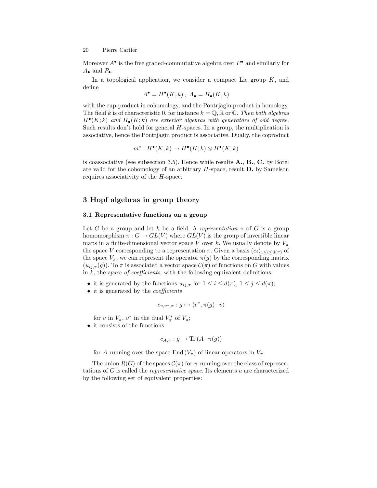Moreover  $A^{\bullet}$  is the free graded-commutative algebra over  $P^{\bullet}$  and similarly for  $A_{\bullet}$  and  $P_{\bullet}$ .

In a topological application, we consider a compact Lie group  $K$ , and define

$$
A^{\bullet} = H^{\bullet}(K;k) , A_{\bullet} = H_{\bullet}(K;k)
$$

with the cup-product in cohomology, and the Pontrjagin product in homology. The field k is of characteristic 0, for instance  $k = \mathbb{Q}, \mathbb{R}$  or  $\mathbb{C}$ . Then both algebras  $H^{\bullet}(K;k)$  and  $H_{\bullet}(K;k)$  are exterior algebras with generators of odd degree. Such results don't hold for general  $H$ -spaces. In a group, the multiplication is associative, hence the Pontrjagin product is associative. Dually, the coproduct

$$
m^*: H^{\bullet}(K;k) \to H^{\bullet}(K;k) \otimes H^{\bullet}(K;k)
$$

is coassociative (see subsection 3.5). Hence while results A., B., C. by Borel are valid for the cohomology of an arbitrary  $H$ -space, result  $D$ . by Samelson requires associativity of the H-space.

# 3 Hopf algebras in group theory

## 3.1 Representative functions on a group

Let G be a group and let k be a field. A representation  $\pi$  of G is a group homomorphism  $\pi : G \to GL(V)$  where  $GL(V)$  is the group of invertible linear maps in a finite-dimensional vector space V over k. We usually denote by  $V_{\pi}$ the space V corresponding to a representation  $\pi$ . Given a basis  $(e_i)_{1\leq i\leq d(\pi)}$  of the space  $V_\pi$ , we can represent the operator  $\pi(q)$  by the corresponding matrix  $(u_{ij,\pi}(g))$ . To  $\pi$  is associated a vector space  $\mathcal{C}(\pi)$  of functions on G with values in  $k$ , the *space of coefficients*, with the following equivalent definitions:

- it is generated by the functions  $u_{ij,\pi}$  for  $1 \leq i \leq d(\pi)$ ,  $1 \leq j \leq d(\pi)$ ;
- it is generated by the *coefficients*

$$
c_{v,v^*,\pi}:g\mapsto \langle v^*,\pi(g)\cdot v\rangle
$$

for v in  $V_{\pi}$ ,  $v^*$  in the dual  $V_{\pi}^*$  of  $V_{\pi}$ ;

• it consists of the functions

$$
c_{A,\pi}: g \mapsto \text{Tr}\left(A \cdot \pi(g)\right)
$$

for A running over the space End  $(V_\pi)$  of linear operators in  $V_\pi$ .

The union  $R(G)$  of the spaces  $\mathcal{C}(\pi)$  for  $\pi$  running over the class of representations of G is called the representative space. Its elements u are characterized by the following set of equivalent properties: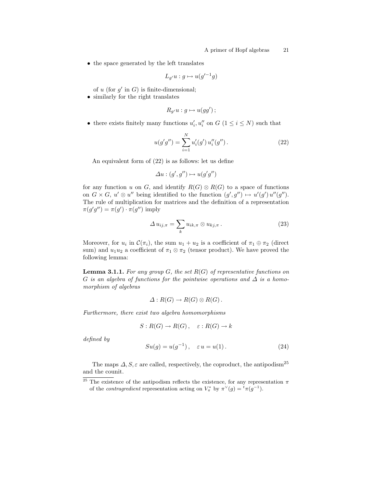• the space generated by the left translates

$$
L_{g'}u:g\mapsto u(g'^{-1}g)
$$

of  $u$  (for  $g'$  in  $G$ ) is finite-dimensional;

• similarly for the right translates

$$
R_{g'}u:g\mapsto u(gg')\,;
$$

• there exists finitely many functions  $u'_i, u''_i$  on  $G$   $(1 \leq i \leq N)$  such that

$$
u(g'g'') = \sum_{i=1}^{N} u'_i(g') u''_i(g'').
$$
 (22)

An equivalent form of (22) is as follows: let us define

$$
\Delta u : (g', g'') \mapsto u(g'g'')
$$

for any function u on G, and identify  $R(G) \otimes R(G)$  to a space of functions on  $G \times G$ ,  $u' \otimes u''$  being identified to the function  $(g', g'') \mapsto u'(g')u''(g'')$ . The rule of multiplication for matrices and the definition of a representation  $\pi(g'g'') = \pi(g') \cdot \pi(g'')$  imply

$$
\Delta u_{ij,\pi} = \sum_{k} u_{ik,\pi} \otimes u_{kj,\pi} . \tag{23}
$$

Moreover, for  $u_i$  in  $\mathcal{C}(\pi_i)$ , the sum  $u_1 + u_2$  is a coefficient of  $\pi_1 \oplus \pi_2$  (direct sum) and  $u_1u_2$  a coefficient of  $\pi_1 \otimes \pi_2$  (tensor product). We have proved the following lemma:

**Lemma 3.1.1.** For any group  $G$ , the set  $R(G)$  of representative functions on G is an algebra of functions for the pointwise operations and  $\Delta$  is a homomorphism of algebras

$$
\Delta: R(G) \to R(G) \otimes R(G).
$$

Furthermore, there exist two algebra homomorphisms

$$
S: R(G) \to R(G), \quad \varepsilon: R(G) \to k
$$

defined by

$$
Su(g) = u(g^{-1}), \quad \varepsilon u = u(1). \tag{24}
$$

The maps  $\Delta, S, \varepsilon$  are called, respectively, the coproduct, the antipodism<sup>25</sup> and the counit.

 $^{25}$  The existence of the antipodism reflects the existence, for any representation  $\pi$ of the *contragredient* representation acting on  $V^*_{\pi}$  by  $\pi^{\vee}(g) = {}^t \pi(g^{-1})$ .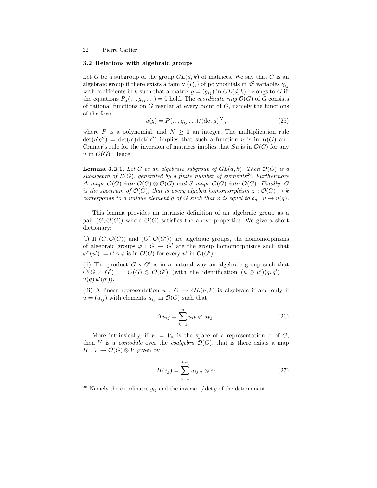#### 3.2 Relations with algebraic groups

Let G be a subgroup of the group  $GL(d, k)$  of matrices. We say that G is an algebraic group if there exists a family  $(P_{\alpha})$  of polynomials in  $d^2$  variables  $\gamma_{ij}$ with coefficients in k such that a matrix  $g = (g_{ij})$  in  $GL(d, k)$  belongs to G iff the equations  $P_{\alpha}(\ldots g_{ij} \ldots) = 0$  hold. The *coordinate ring*  $\mathcal{O}(G)$  of G consists of rational functions on  $G$  regular at every point of  $G$ , namely the functions of the form

$$
u(g) = P(\dots g_{ij} \dots) / (\det g)^N , \qquad (25)
$$

where P is a polynomial, and  $N \geq 0$  an integer. The multiplication rule  $\det(g'g'') = \det(g') \det(g'')$  implies that such a function u is in  $R(G)$  and Cramer's rule for the inversion of matrices implies that Su is in  $\mathcal{O}(G)$  for any u in  $\mathcal{O}(G)$ . Hence:

**Lemma 3.2.1.** Let G be an algebraic subgroup of  $GL(d, k)$ . Then  $\mathcal{O}(G)$  is a subalgebra of  $R(G)$ , generated by a finite number of elements<sup>26</sup>. Furthermore  $\Delta$  maps  $\mathcal{O}(G)$  into  $\mathcal{O}(G) \otimes \mathcal{O}(G)$  and S maps  $\mathcal{O}(G)$  into  $\mathcal{O}(G)$ . Finally, G is the spectrum of  $\mathcal{O}(G)$ , that is every algebra homomorphism  $\varphi : \mathcal{O}(G) \to k$ corresponds to a unique element g of G such that  $\varphi$  is equal to  $\delta_q : u \mapsto u(g)$ .

This lemma provides an intrinsic definition of an algebraic group as a pair  $(G, \mathcal{O}(G))$  where  $\mathcal{O}(G)$  satisfies the above properties. We give a short dictionary:

(i) If  $(G, \mathcal{O}(G))$  and  $(G', \mathcal{O}(G'))$  are algebraic groups, the homomorphisms of algebraic groups  $\varphi : G \to G'$  are the group homomorphisms such that  $\varphi^*(u') := u' \circ \varphi$  is in  $\mathcal{O}(G)$  for every u' in  $\mathcal{O}(G')$ .

(ii) The product  $G \times G'$  is in a natural way an algebraic group such that  $\mathcal{O}(G \times G') = \mathcal{O}(G) \otimes \mathcal{O}(G')$  (with the identification  $(u \otimes u')(g,g') =$  $u(g) u'(g'))$ .

(iii) A linear representation  $u : G \to GL(n,k)$  is algebraic if and only if  $u = (u_{ij})$  with elements  $u_{ij}$  in  $\mathcal{O}(G)$  such that

$$
\Delta u_{ij} = \sum_{k=1}^{n} u_{ik} \otimes u_{kj} . \qquad (26)
$$

More intrinsically, if  $V = V_{\pi}$  is the space of a representation  $\pi$  of G, then V is a comodule over the coalgebra  $\mathcal{O}(G)$ , that is there exists a map  $\Pi: V \to \mathcal{O}(G) \otimes V$  given by

$$
\Pi(e_j) = \sum_{i=1}^{d(\pi)} u_{ij,\pi} \otimes e_i \tag{27}
$$

<sup>&</sup>lt;sup>26</sup> Namely the coordinates  $g_{ij}$  and the inverse  $1/\det g$  of the determinant.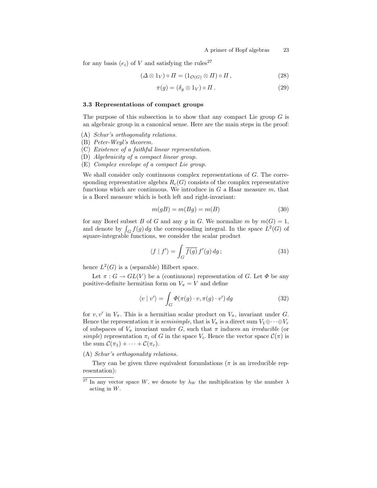for any basis  $(e_i)$  of V and satisfying the rules<sup>27</sup>

$$
(\Delta \otimes 1_V) \circ \Pi = (1_{\mathcal{O}(G)} \otimes \Pi) \circ \Pi , \qquad (28)
$$

$$
\pi(g) = (\delta_g \otimes 1_V) \circ \Pi . \tag{29}
$$

## 3.3 Representations of compact groups

The purpose of this subsection is to show that any compact Lie group  $G$  is an algebraic group in a canonical sense. Here are the main steps in the proof:

- (A) Schur's orthogonality relations.
- (B) Peter-Weyl's theorem.
- (C) Existence of a faithful linear representation.
- (D) Algebraicity of a compact linear group.
- (E) Complex envelope of a compact Lie group.

We shall consider only continuous complex representations of  $G$ . The corresponding representative algebra  $R_c(G)$  consists of the complex representative functions which are continuous. We introduce in  $G$  a Haar measure  $m$ , that is a Borel measure which is both left and right-invariant:

$$
m(gB) = m(Bg) = m(B)
$$
\n<sup>(30)</sup>

for any Borel subset B of G and any g in G. We normalize m by  $m(G) = 1$ , and denote by  $\int_G f(g) dg$  the corresponding integral. In the space  $L^2(G)$  of square-integrable functions, we consider the scalar product

$$
\langle f | f' \rangle = \int_G \overline{f(g)} f'(g) \, dg \, ; \tag{31}
$$

hence  $L^2(G)$  is a (separable) Hilbert space.

Let  $\pi: G \to GL(V)$  be a (continuous) representation of G. Let  $\Phi$  be any positive-definite hermitian form on  $V_\pi = V$  and define

$$
\langle v | v' \rangle = \int_G \varPhi(\pi(g) \cdot v, \pi(g) \cdot v') \, dg \tag{32}
$$

for  $v, v'$  in  $V_\pi$ . This is a hermitian scalar product on  $V_\pi$ , invariant under G. Hence the representation  $\pi$  is *semisimple*, that is  $V_{\pi}$  is a direct sum  $V_1 \oplus \cdots \oplus V_r$ of subspaces of  $V_{\pi}$  invariant under G, such that  $\pi$  induces an *irreducible* (or simple) representation  $\pi_i$  of G in the space  $V_i$ . Hence the vector space  $\mathcal{C}(\pi)$  is the sum  $\mathcal{C}(\pi_1) + \cdots + \mathcal{C}(\pi_r)$ .

## (A) Schur's orthogonality relations.

They can be given three equivalent formulations ( $\pi$  is an irreducible representation):

 $^{27}$  In any vector space  $W,$  we denote by  $\lambda_W$  the multiplication by the number  $\lambda$ acting in W.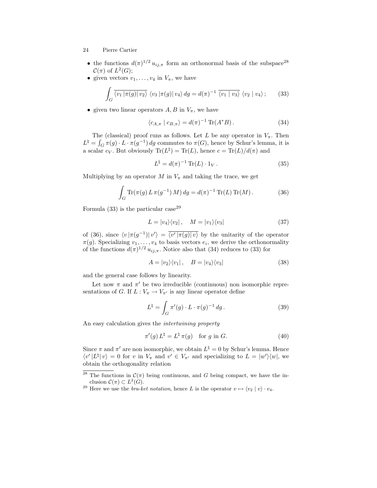- 24 Pierre Cartier
	- the functions  $d(\pi)^{1/2} u_{ij,\pi}$  form an orthonormal basis of the subspace<sup>28</sup>  $\mathcal{C}(\pi)$  of  $L^2(G);$
	- given vectors  $v_1, \ldots, v_4$  in  $V_\pi$ , we have

$$
\int_G \overline{\langle v_1 | \pi(g) | v_2 \rangle} \langle v_3 | \pi(g) | v_4 \rangle dg = d(\pi)^{-1} \overline{\langle v_1 | v_3 \rangle} \langle v_2 | v_4 \rangle;
$$
 (33)

• given two linear operators  $A, B$  in  $V_\pi$ , we have

$$
\langle c_{A,\pi} \mid c_{B,\pi} \rangle = d(\pi)^{-1} \operatorname{Tr}(A^*B). \tag{34}
$$

The (classical) proof runs as follows. Let L be any operator in  $V_{\pi}$ . Then  $L^{\natural} = \int_G \pi(g) \cdot L \cdot \pi(g^{-1}) dg$  commutes to  $\pi(G)$ , hence by Schur's lemma, it is a scalar  $c_V$ . But obviously  $\text{Tr}(L^{\dagger}) = \text{Tr}(L)$ , hence  $c = \text{Tr}(L)/d(\pi)$  and

$$
L^{\natural} = d(\pi)^{-1} \operatorname{Tr}(L) \cdot 1_V. \tag{35}
$$

Multiplying by an operator M in  $V_{\pi}$  and taking the trace, we get

$$
\int_G \text{Tr}(\pi(g) L \pi(g^{-1}) M) dg = d(\pi)^{-1} \text{Tr}(L) \text{Tr}(M).
$$
 (36)

Formula  $(33)$  is the particular case<sup>29</sup>

$$
L = |v_4\rangle\langle v_2| \,, \quad M = |v_1\rangle\langle v_3| \tag{37}
$$

of (36), since  $\langle v | \pi(g^{-1}) | v' \rangle = \overline{\langle v' | \pi(g) | v \rangle}$  by the unitarity of the operator  $\pi(g)$ . Specializing  $v_1, \ldots, v_4$  to basis vectors  $e_i$ , we derive the orthonormality of the functions  $d(\pi)^{1/2} u_{ij,\pi}$ . Notice also that (34) reduces to (33) for

$$
A = |v_2\rangle\langle v_1|, \quad B = |v_4\rangle\langle v_3| \tag{38}
$$

and the general case follows by linearity.

Let now  $\pi$  and  $\pi'$  be two irreducible (continuous) non isomorphic representations of G. If  $L : V_{\pi} \to V_{\pi'}$  is any linear operator define

$$
L^{\natural} = \int_{G} \pi'(g) \cdot L \cdot \pi(g)^{-1} dg.
$$
 (39)

An easy calculation gives the intertwining property

$$
\pi'(g) L^{\natural} = L^{\natural} \pi(g) \quad \text{for } g \text{ in } G. \tag{40}
$$

Since  $\pi$  and  $\pi'$  are non isomorphic, we obtain  $L^{\natural} = 0$  by Schur's lemma. Hence  $\langle v' | L^{\natural} | v \rangle = 0$  for v in  $V_{\pi}$  and  $v' \in V_{\pi'}$  and specializing to  $L = |w'\rangle\langle w|$ , we obtain the orthogonality relation

<sup>&</sup>lt;sup>28</sup> The functions in  $\mathcal{C}(\pi)$  being continuous, and G being compact, we have the inclusion  $\mathcal{C}(\pi) \subset L^2(G)$ .

<sup>&</sup>lt;sup>29</sup> Here we use the *bra-ket notation*, hence L is the operator  $v \mapsto \langle v_2 | v \rangle \cdot v_4$ .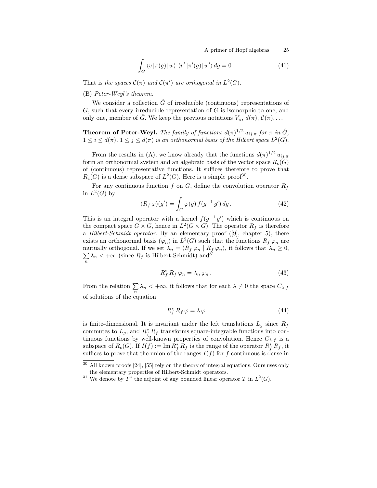A primer of Hopf algebras 25

$$
\int_{G} \overline{\langle v \, |\pi(g)| \, w \rangle} \, \langle v' \, |\pi'(g)| \, w' \rangle \, dg = 0 \,. \tag{41}
$$

That is the spaces  $\mathcal{C}(\pi)$  and  $\mathcal{C}(\pi')$  are orthogonal in  $L^2(G)$ .

#### (B) Peter-Weyl's theorem.

We consider a collection  $\hat{G}$  of irreducible (continuous) representations of  $G$ , such that every irreducible representation of  $G$  is isomorphic to one, and only one, member of  $\tilde{G}$ . We keep the previous notations  $V_{\pi}$ ,  $d(\pi)$ ,  $C(\pi)$ ,...

**Theorem of Peter-Weyl.** The family of functions  $d(\pi)^{1/2} u_{ij,\pi}$  for  $\pi$  in  $\hat{G}$ ,  $1 \leq i \leq d(\pi), 1 \leq j \leq d(\pi)$  is an orthonormal basis of the Hilbert space  $L^2(G)$ .

From the results in (A), we know already that the functions  $d(\pi)^{1/2} u_{ij,\pi}$ form an orthonormal system and an algebraic basis of the vector space  $R_c(G)$ of (continuous) representative functions. It suffices therefore to prove that  $R_c(G)$  is a dense subspace of  $L^2(G)$ . Here is a simple proof<sup>30</sup>.

For any continuous function f on G, define the convolution operator  $R_f$ in  $L^2(G)$  by

$$
(R_f \varphi)(g') = \int_G \varphi(g) f(g^{-1} g') dg. \tag{42}
$$

This is an integral operator with a kernel  $f(g^{-1}g')$  which is continuous on the compact space  $G \times G$ , hence in  $L^2(G \times G)$ . The operator  $R_f$  is therefore a Hilbert-Schmidt operator. By an elementary proof ([9], chapter 5), there exists an orthonormal basis  $(\varphi_n)$  in  $L^2(G)$  such that the functions  $R_f \varphi_n$  are mutually orthogonal. If we set  $\lambda_n = \langle R_f \varphi_n \mid R_f \varphi_n \rangle$ , it follows that  $\lambda_n \geq 0$ , P  $\sum_{n} \lambda_n < +\infty$  (since  $R_f$  is Hilbert-Schmidt) and<sup>31</sup>

$$
R_f^* R_f \varphi_n = \lambda_n \varphi_n. \tag{43}
$$

From the relation  $\sum_{n} \lambda_n < +\infty$ , it follows that for each  $\lambda \neq 0$  the space  $C_{\lambda,f}$ of solutions of the equation

$$
R_f^* R_f \varphi = \lambda \varphi \tag{44}
$$

is finite-dimensional. It is invariant under the left translations  $L_q$  since  $R_f$ commutes to  $L_g$ , and  $R_f^* R_f$  transforms square-integrable functions into continuous functions by well-known properties of convolution. Hence  $C_{\lambda,f}$  is a subspace of  $R_c(G)$ . If  $I(f) := \text{Im } R_f^* R_f$  is the range of the operator  $R_f^* R_f$ , it suffices to prove that the union of the ranges  $I(f)$  for f continuous is dense in

<sup>30</sup> All known proofs [24], [55] rely on the theory of integral equations. Ours uses only the elementary properties of Hilbert-Schmidt operators.

<sup>&</sup>lt;sup>31</sup> We denote by  $T^*$  the adjoint of any bounded linear operator T in  $L^2(G)$ .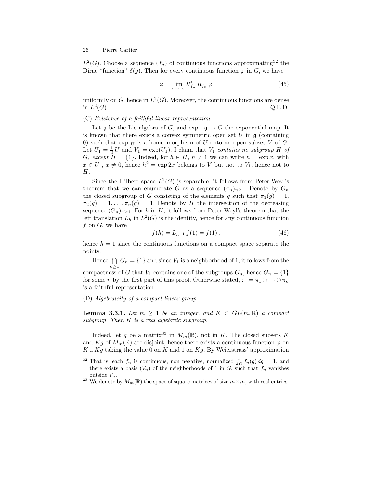$L^2(G)$ . Choose a sequence  $(f_n)$  of continuous functions approximating<sup>32</sup> the Dirac "function"  $\delta(g)$ . Then for every continuous function  $\varphi$  in G, we have

$$
\varphi = \lim_{n \to \infty} R_{f_n}^* R_{f_n} \varphi \tag{45}
$$

uniformly on  $G$ , hence in  $L^2(G)$ . Moreover, the continuous functions are dense in  $L^2$  $(G)$ . Q.E.D.

## (C) Existence of a faithful linear representation.

Let  $\mathfrak g$  be the Lie algebra of G, and  $\exp : \mathfrak g \to G$  the exponential map. It is known that there exists a convex symmetric open set  $U$  in  $\mathfrak g$  (containing 0) such that  $\exp|_U$  is a homeomorphism of U onto an open subset V of G. Let  $U_1 = \frac{1}{2} U$  and  $V_1 = \exp(U_1)$ . I claim that  $V_1$  contains no subgroup H of G, except  $H = \{1\}$ . Indeed, for  $h \in H$ ,  $h \neq 1$  we can write  $h = \exp x$ , with  $x \in U_1$ ,  $x \neq 0$ , hence  $h^2 = \exp 2x$  belongs to V but not to  $V_1$ , hence not to H.

Since the Hilbert space  $L^2(G)$  is separable, it follows from Peter-Weyl's theorem that we can enumerate  $\hat{G}$  as a sequence  $(\pi_n)_{n\geq 1}$ . Denote by  $G_n$ the closed subgroup of G consisting of the elements g such that  $\pi_1(g) = 1$ ,  $\pi_2(g) = 1, \ldots, \pi_n(g) = 1$ . Denote by H the intersection of the decreasing sequence  $(G_n)_{n\geq 1}$ . For h in H, it follows from Peter-Weyl's theorem that the left translation  $L_h$  in  $L^2(G)$  is the identity, hence for any continuous function f on  $G$ , we have

$$
f(h) = L_{h^{-1}} f(1) = f(1),
$$
\n(46)

hence  $h = 1$  since the continuous functions on a compact space separate the points.

Hence  $\bigcap$  $\bigcap_{n\geq 1} G_n = \{1\}$  and since  $V_1$  is a neighborhood of 1, it follows from the

compactness of G that  $V_1$  contains one of the subgroups  $G_n$ , hence  $G_n = \{1\}$ for some *n* by the first part of this proof. Otherwise stated,  $\pi := \pi_1 \oplus \cdots \oplus \pi_n$ is a faithful representation.

(D) Algebraicity of a compact linear group.

**Lemma 3.3.1.** Let  $m \geq 1$  be an integer, and  $K \subset GL(m, \mathbb{R})$  a compact subgroup. Then K is a real algebraic subgroup.

Indeed, let g be a matrix<sup>33</sup> in  $M_m(\mathbb{R})$ , not in K. The closed subsets K and Kg of  $M_m(\mathbb{R})$  are disjoint, hence there exists a continuous function  $\varphi$  on  $K \cup Kg$  taking the value 0 on K and 1 on Kg. By Weierstrass' approximation

<sup>&</sup>lt;sup>32</sup> That is, each  $f_n$  is continuous, non negative, normalized  $\int_G f_n(g) dg = 1$ , and there exists a basis  $(V_n)$  of the neighborhoods of 1 in G, such that  $f_n$  vanishes outside Vn.

<sup>&</sup>lt;sup>33</sup> We denote by  $M_m(\mathbb{R})$  the space of square matrices of size  $m \times m$ , with real entries.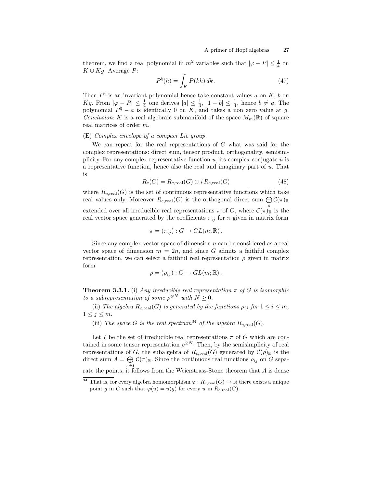theorem, we find a real polynomial in  $m^2$  variables such that  $|\varphi - P| \leq \frac{1}{4}$  on  $K \cup Kg$ . Average P:

$$
P^{\natural}(h) = \int_{K} P(kh) \, dk \,. \tag{47}
$$

Then  $P^{\natural}$  is an invariant polynomial hence take constant values a on K, b on Kg. From  $|\varphi - P| \leq \frac{1}{4}$  one derives  $|a| \leq \frac{1}{4}$ ,  $|1 - b| \leq \frac{1}{4}$ , hence  $b \neq a$ . The polynomial  $P^{\natural} - a$  is identically 0 on K, and takes a non zero value at g. Conclusion: K is a real algebraic submanifold of the space  $M_m(\mathbb{R})$  of square real matrices of order m.

## (E) Complex envelope of a compact Lie group.

We can repeat for the real representations of G what was said for the complex representations: direct sum, tensor product, orthogonality, semisimplicity. For any complex representative function u, its complex conjugate  $\bar{u}$  is a representative function, hence also the real and imaginary part of  $u$ . That is

$$
R_c(G) = R_{c,real}(G) \oplus i R_{c,real}(G)
$$
\n(48)

where  $R_{c,real}(G)$  is the set of continuous representative functions which take real values only. Moreover  $R_{c,real}(G)$  is the orthogonal direct sum  $\bigoplus \mathcal{C}(\pi)_\mathbb{R}$ 

extended over all irreducible real representations  $\pi$  of  $G$ , where  $\mathcal{C}(\pi)_{\mathbb{R}}^{\pi}$  is the real vector space generated by the coefficients  $\pi_{ij}$  for  $\pi$  given in matrix form

$$
\pi = (\pi_{ij}) : G \to GL(m, \mathbb{R}).
$$

Since any complex vector space of dimension  $n$  can be considered as a real vector space of dimension  $m = 2n$ , and since G admits a faithful complex representation, we can select a faithful real representation  $\rho$  given in matrix form

$$
\rho = (\rho_{ij}) : G \to GL(m; \mathbb{R}).
$$

**Theorem 3.3.1.** (i) Any irreducible real representation  $\pi$  of G is isomorphic to a subrepresentation of some  $\rho^{\otimes N}$  with  $N \geq 0$ .

(ii) The algebra  $R_{c,real}(G)$  is generated by the functions  $\rho_{ij}$  for  $1 \leq i \leq m$ ,  $1 \leq j \leq m$ .

(iii) The space G is the real spectrum<sup>34</sup> of the algebra  $R_{c,real}(G)$ .

Let I be the set of irreducible real representations  $\pi$  of G which are contained in some tensor representation  $\rho^{\otimes N}$ . Then, by the semisimplicity of real representations of G, the subalgebra of  $R_{c,real}(G)$  generated by  $\mathcal{C}(\rho)_{\mathbb{R}}$  is the direct sum  $A = \bigoplus \mathcal{C}(\pi)_{\mathbb{R}}$ . Since the continuous real functions  $\rho_{ij}$  on G separate the points, it follows from the Weierstrass-Stone theorem that A is dense

<sup>&</sup>lt;sup>34</sup> That is, for every algebra homomorphism  $\varphi: R_{c, \text{real}}(G) \to \mathbb{R}$  there exists a unique point g in G such that  $\varphi(u) = u(g)$  for every u in  $R_{c,real}(G)$ .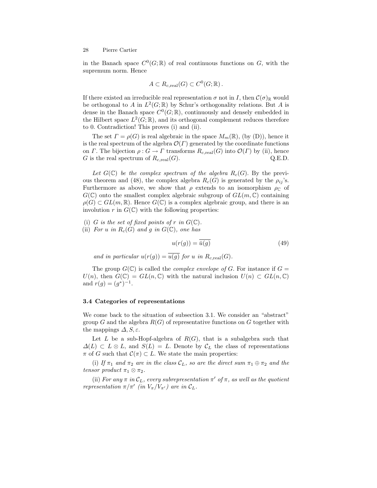in the Banach space  $C^0(G; \mathbb{R})$  of real continuous functions on G, with the supremum norm. Hence

$$
A \subset R_{c,real}(G) \subset C^0(G; \mathbb{R}).
$$

If there existed an irreducible real representation  $\sigma$  not in I, then  $\mathcal{C}(\sigma)_{\mathbb{R}}$  would be orthogonal to A in  $L^2(G;\mathbb{R})$  by Schur's orthogonality relations. But A is dense in the Banach space  $C^0(G;\mathbb{R})$ , continuously and densely embedded in the Hilbert space  $L^2(G;\mathbb{R})$ , and its orthogonal complement reduces therefore to 0. Contradiction! This proves (i) and (ii).

The set  $\Gamma = \rho(G)$  is real algebraic in the space  $M_m(\mathbb{R})$ , (by (D)), hence it is the real spectrum of the algebra  $\mathcal{O}(\Gamma)$  generated by the coordinate functions on Γ. The bijection  $\rho: G \to \Gamma$  transforms  $R_{c,real}(G)$  into  $\mathcal{O}(\Gamma)$  by (ii), hence G is the real spectrum of  $R_{c,real}(G)$ . Q.E.D.

Let  $G(\mathbb{C})$  be the complex spectrum of the algebra  $R_c(G)$ . By the previous theorem and (48), the complex algebra  $R_c(G)$  is generated by the  $\rho_{ij}$ 's. Furthermore as above, we show that  $\rho$  extends to an isomorphism  $\rho_{\mathbb{C}}$  of  $G(\mathbb{C})$  onto the smallest complex algebraic subgroup of  $GL(m,\mathbb{C})$  containing  $\rho(G) \subset GL(m,\mathbb{R})$ . Hence  $G(\mathbb{C})$  is a complex algebraic group, and there is an involution r in  $G(\mathbb{C})$  with the following properties:

- (i) G is the set of fixed points of r in  $G(\mathbb{C})$ .
- (ii) For u in  $R_c(G)$  and g in  $G(\mathbb{C})$ , one has

$$
u(r(g)) = \overline{\overline{u}(g)}\tag{49}
$$

and in particular  $u(r(g)) = \overline{u(g)}$  for u in  $R_{c,real}(G)$ .

The group  $G(\mathbb{C})$  is called the *complex envelope of G*. For instance if  $G =$  $U(n)$ , then  $G(\mathbb{C}) = GL(n, \mathbb{C})$  with the natural inclusion  $U(n) \subset GL(n, \mathbb{C})$ and  $r(g) = (g^*)^{-1}$ .

## 3.4 Categories of representations

We come back to the situation of subsection 3.1. We consider an "abstract" group G and the algebra  $R(G)$  of representative functions on G together with the mappings  $\Delta, S, \varepsilon$ .

Let L be a sub-Hopf-algebra of  $R(G)$ , that is a subalgebra such that  $\Delta(L) \subset L \otimes L$ , and  $S(L) = L$ . Denote by  $C_L$  the class of representations  $\pi$  of G such that  $\mathcal{C}(\pi) \subset L$ . We state the main properties:

(i) If  $\pi_1$  and  $\pi_2$  are in the class  $\mathcal{C}_L$ , so are the direct sum  $\pi_1 \oplus \pi_2$  and the tensor product  $\pi_1 \otimes \pi_2$ .

(ii) For any  $\pi$  in  $\mathcal{C}_L$ , every subrepresentation  $\pi'$  of  $\pi$ , as well as the quotient representation  $\pi/\pi'$  (in  $V_{\pi}/V_{\pi'}$ ) are in  $\mathcal{C}_L$ .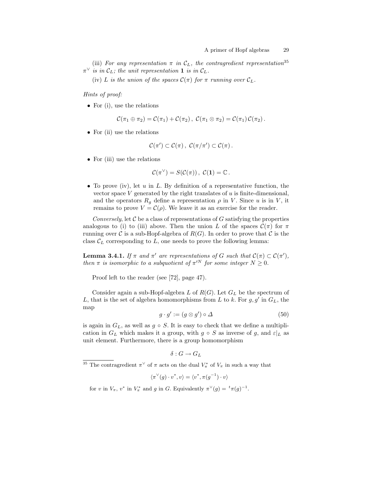(iii) For any representation  $\pi$  in  $\mathcal{C}_L$ , the contragredient representation<sup>35</sup>  $\pi^{\vee}$  is in  $\mathcal{C}_L$ ; the unit representation 1 is in  $\mathcal{C}_L$ .

(iv) L is the union of the spaces  $C(\pi)$  for  $\pi$  running over  $C_L$ .

Hints of proof:

• For (i), use the relations

$$
\mathcal{C}(\pi_1 \oplus \pi_2) = \mathcal{C}(\pi_1) + \mathcal{C}(\pi_2), \ \mathcal{C}(\pi_1 \otimes \pi_2) = \mathcal{C}(\pi_1) \mathcal{C}(\pi_2).
$$

• For (ii) use the relations

$$
\mathcal{C}(\pi') \subset \mathcal{C}(\pi), \ \mathcal{C}(\pi/\pi') \subset \mathcal{C}(\pi).
$$

• For (iii) use the relations

$$
\mathcal{C}(\pi^{\vee}) = S(\mathcal{C}(\pi)), \mathcal{C}(\mathbf{1}) = \mathbb{C}.
$$

• To prove (iv), let  $u$  in  $L$ . By definition of a representative function, the vector space  $V$  generated by the right translates of  $u$  is finite-dimensional, and the operators  $R_q$  define a representation  $\rho$  in V. Since u is in V, it remains to prove  $V = \mathcal{C}(\rho)$ . We leave it as an exercise for the reader.

Conversely, let  $\mathcal C$  be a class of representations of  $G$  satisfying the properties analogous to (i) to (iii) above. Then the union L of the spaces  $\mathcal{C}(\pi)$  for  $\pi$ running over C is a sub-Hopf-algebra of  $R(G)$ . In order to prove that C is the class  $\mathcal{C}_L$  corresponding to  $L$ , one needs to prove the following lemma:

**Lemma 3.4.1.** If  $\pi$  and  $\pi'$  are representations of G such that  $\mathcal{C}(\pi) \subset \mathcal{C}(\pi')$ , then  $\pi$  is isomorphic to a subquotient of  $\pi'^N$  for some integer  $N \geq 0$ .

Proof left to the reader (see [72], page 47).

Consider again a sub-Hopf-algebra L of  $R(G)$ . Let  $G<sub>L</sub>$  be the spectrum of L, that is the set of algebra homomorphisms from L to k. For  $g, g'$  in  $G_L$ , the map

$$
g \cdot g' := (g \otimes g') \circ \Delta \tag{50}
$$

is again in  $G_L$ , as well as  $g \circ S$ . It is easy to check that we define a multiplication in  $G_L$  which makes it a group, with  $g \circ S$  as inverse of g, and  $\varepsilon|_L$  as unit element. Furthermore, there is a group homomorphism

$$
\delta: G \to G_L
$$

$$
\langle \pi^{\vee}(g) \cdot v^*, v \rangle = \langle v^*, \pi(g^{-1}) \cdot v \rangle
$$

for v in  $V_{\pi}$ ,  $v^*$  in  $V_{\pi}^*$  and g in G. Equivalently  $\pi^{\vee}(g) = {}^{t} \pi(g)^{-1}$ .

<sup>&</sup>lt;sup>35</sup> The contragredient  $\pi^{\vee}$  of  $\pi$  acts on the dual  $V_{\pi}^{*}$  of  $V_{\pi}$  in such a way that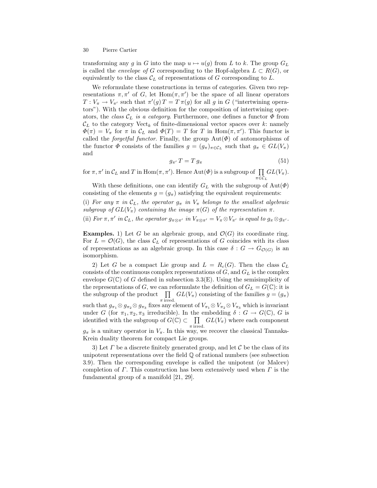transforming any g in G into the map  $u \mapsto u(g)$  from L to k. The group  $G_L$ is called the *envelope of G* corresponding to the Hopf-algebra  $L \subset R(G)$ , or equivalently to the class  $\mathcal{C}_L$  of representations of G corresponding to L.

We reformulate these constructions in terms of categories. Given two representations  $\pi, \pi'$  of G, let  $Hom(\pi, \pi')$  be the space of all linear operators  $T: V_{\pi} \to V_{\pi'}$  such that  $\pi'(g) T = T \pi(g)$  for all g in G ("intertwining operators"). With the obvious definition for the composition of intertwining operators, the class  $\mathcal{C}_L$  is a category. Furthermore, one defines a functor  $\Phi$  from  $\mathcal{C}_L$  to the category Vect<sub>k</sub> of finite-dimensional vector spaces over k: namely  $\Phi(\pi) = V_{\pi}$  for  $\pi$  in  $\mathcal{C}_L$  and  $\Phi(T) = T$  for T in Hom $(\pi, \pi')$ . This functor is called the *forgetful functor*. Finally, the group  $Aut(\Phi)$  of automorphisms of the functor  $\Phi$  consists of the families  $g = (g_{\pi})_{\pi \in C_L}$  such that  $g_{\pi} \in GL(V_{\pi})$ and

$$
g_{\pi'} T = T g_{\pi} \tag{51}
$$

for  $\pi, \pi'$  in  $\mathcal{C}_L$  and T in  $\text{Hom}(\pi, \pi')$ . Hence  $\text{Aut}(\Phi)$  is a subgroup of  $\prod$  $\prod_{\pi \in C_L} GL(V_{\pi}).$ 

With these definitions, one can identify  $G_L$  with the subgroup of  $Aut(\Phi)$ consisting of the elements  $g = (g_{\pi})$  satisfying the equivalent requirements:

(i) For any  $\pi$  in  $\mathcal{C}_L$ , the operator  $g_{\pi}$  in  $V_{\pi}$  belongs to the smallest algebraic subgroup of  $GL(V_{\pi})$  containing the image  $\pi(G)$  of the representation  $\pi$ .

(ii) For  $\pi$ ,  $\pi'$  in  $\mathcal{C}_L$ , the operator  $g_{\pi \otimes \pi'}$  in  $V_{\pi \otimes \pi'} = V_{\pi} \otimes V_{\pi'}$  is equal to  $g_{\pi} \otimes g_{\pi'}$ .

**Examples.** 1) Let G be an algebraic group, and  $\mathcal{O}(G)$  its coordinate ring. For  $L = \mathcal{O}(G)$ , the class  $\mathcal{C}_L$  of representations of G coincides with its class of representations as an algebraic group. In this case  $\delta: G \to G_{\mathcal{O}(G)}$  is an isomorphism.

2) Let G be a compact Lie group and  $L = R<sub>c</sub>(G)$ . Then the class  $C<sub>L</sub>$ consists of the continuous complex representations of  $G$ , and  $G<sub>L</sub>$  is the complex envelope  $G(\mathbb{C})$  of G defined in subsection 3.3(E). Using the semisimplicity of the representations of G, we can reformulate the definition of  $G_L = G(\mathbb{C})$ : it is the subgroup of the product  $\prod$  $\prod_{\pi \text{ irred.}} GL(V_{\pi})$  consisting of the families  $g = (g_{\pi})$ such that  $g_{\pi_1} \otimes g_{\pi_2} \otimes g_{\pi_3}$  fixes any element of  $V_{\pi_1} \otimes V_{\pi_2} \otimes V_{\pi_3}$  which is invariant under G (for  $\pi_1, \pi_2, \pi_3$  irreducible). In the embedding  $\delta: G \to G(\mathbb{C}), G$  is identified with the subgroup of  $G(\mathbb{C}) \subset \prod$   $GL(V_{\pi})$  where each component  $\pi$  irred.  $g_{\pi}$  is a unitary operator in  $V_{\pi}$ . In this way, we recover the classical Tannaka-Krein duality theorem for compact Lie groups.

3) Let  $\Gamma$  be a discrete finitely generated group, and let  $\mathcal C$  be the class of its unipotent representations over the field  $\mathbb Q$  of rational numbers (see subsection 3.9). Then the corresponding envelope is called the unipotent (or Malcev) completion of  $\Gamma$ . This construction has been extensively used when  $\Gamma$  is the fundamental group of a manifold [21, 29].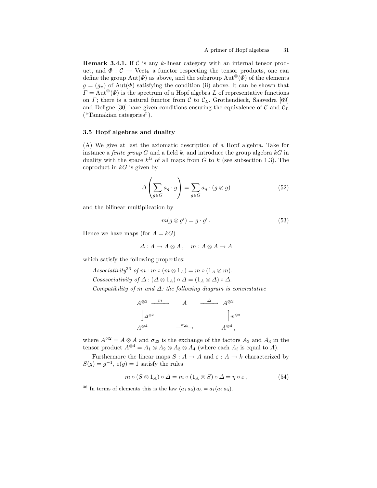**Remark 3.4.1.** If C is any k-linear category with an internal tensor product, and  $\Phi: \mathcal{C} \to \text{Vect}_k$  a functor respecting the tensor products, one can define the group  $Aut(\Phi)$  as above, and the subgroup  $Aut^{\otimes}(\Phi)$  of the elements  $g = (g_{\pi})$  of Aut $(\Phi)$  satisfying the condition (ii) above. It can be shown that  $\Gamma = \text{Aut}^{\otimes}(\Phi)$  is the spectrum of a Hopf algebra L of representative functions on  $\Gamma$ ; there is a natural functor from  $\mathcal C$  to  $\mathcal C_L$ . Grothendieck, Saavedra [69] and Deligne [30] have given conditions ensuring the equivalence of  $\mathcal{C}$  and  $\mathcal{C}_L$ ("Tannakian categories").

## 3.5 Hopf algebras and duality

(A) We give at last the axiomatic description of a Hopf algebra. Take for instance a *finite group*  $G$  and a field  $k$ , and introduce the group algebra  $kG$  in duality with the space  $k^G$  of all maps from G to k (see subsection 1.3). The coproduct in  $kG$  is given by

$$
\Delta \left( \sum_{g \in G} a_g \cdot g \right) = \sum_{g \in G} a_g \cdot (g \otimes g) \tag{52}
$$

and the bilinear multiplication by

$$
m(g \otimes g') = g \cdot g' \,. \tag{53}
$$

Hence we have maps (for  $A = kG$ )

$$
\Delta: A \to A \otimes A, \quad m: A \otimes A \to A
$$

which satisfy the following properties:

$$
Associativity^{36} of m : m \circ (m \otimes 1_A) = m \circ (1_A \otimes m).
$$

Coassociativity of  $\Delta$  :  $(\Delta \otimes 1_A) \circ \Delta = (1_A \otimes \Delta) \circ \Delta$ .

Compatibility of m and  $\Delta$ : the following diagram is commutative

$$
A^{\otimes 2} \xrightarrow{m} A \xrightarrow{\Delta} A^{\otimes 2}
$$
  
\n
$$
A^{\otimes 4} \xrightarrow{\sigma_{23}} A^{\otimes 4},
$$
  
\n
$$
A^{\otimes 4} \xrightarrow{\sigma_{23}} A^{\otimes 4},
$$

where  $A^{\otimes 2} = A \otimes A$  and  $\sigma_{23}$  is the exchange of the factors  $A_2$  and  $A_3$  in the tensor product  $A^{\otimes 4} = A_1 \otimes A_2 \otimes A_3 \otimes A_4$  (where each  $A_i$  is equal to  $A$ ).

Furthermore the linear maps  $S: A \to A$  and  $\varepsilon: A \to k$  characterized by  $S(g) = g^{-1}, \varepsilon(g) = 1$  satisfy the rules

$$
m \circ (S \otimes 1_A) \circ \Delta = m \circ (1_A \otimes S) \circ \Delta = \eta \circ \varepsilon, \tag{54}
$$

<sup>&</sup>lt;sup>36</sup> In terms of elements this is the law  $(a_1 a_2) a_3 = a_1(a_2 a_3)$ .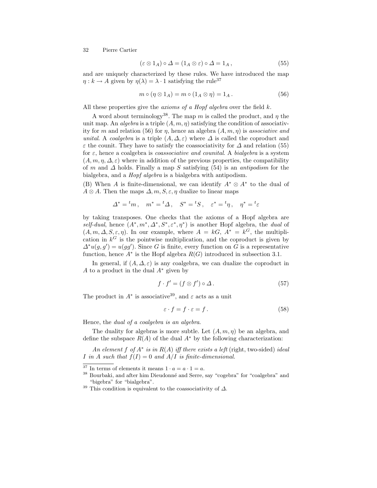$$
(\varepsilon \otimes 1_A) \circ \Delta = (1_A \otimes \varepsilon) \circ \Delta = 1_A, \qquad (55)
$$

and are uniquely characterized by these rules. We have introduced the map  $\eta: k \to A$  given by  $\eta(\lambda) = \lambda \cdot 1$  satisfying the rule<sup>37</sup>

$$
m \circ (\eta \otimes 1_A) = m \circ (1_A \otimes \eta) = 1_A.
$$
 (56)

All these properties give the *axioms* of a *Hopf algebra* over the field  $k$ .

A word about terminology<sup>38</sup>. The map m is called the product, and  $\eta$  the unit map. An *algebra* is a triple  $(A, m, \eta)$  satisfying the condition of associativity for m and relation (56) for  $\eta$ , hence an algebra  $(A, m, \eta)$  is associative and unital. A coalgebra is a triple  $(A, \Delta, \varepsilon)$  where  $\Delta$  is called the coproduct and  $\varepsilon$  the counit. They have to satisfy the coassociativity for  $\Delta$  and relation (55) for  $\varepsilon$ , hence a coalgebra is *coassociative and counital*. A *bialgebra* is a system  $(A, m, \eta, \Delta, \varepsilon)$  where in addition of the previous properties, the compatibility of m and  $\Delta$  holds. Finally a map S satisfying (54) is an *antipodism* for the bialgebra, and a Hopf algebra is a bialgebra with antipodism.

(B) When A is finite-dimensional, we can identify  $A^* \otimes A^*$  to the dual of  $A \otimes A$ . Then the maps  $\Delta, m, S, \varepsilon, \eta$  dualize to linear maps

$$
\Delta^*={}^tm\,,\quad m^*={}^t\Delta\,,\quad S^*={}^tS\,,\quad \varepsilon^*={}^t\eta\,,\quad \eta^*={}^t\varepsilon
$$

by taking transposes. One checks that the axioms of a Hopf algebra are self-dual, hence  $(A^*, m^*, \Delta^*, S^*, \varepsilon^*, \eta^*)$  is another Hopf algebra, the dual of  $(A, m, \Delta, S, \varepsilon, \eta)$ . In our example, where  $A = kG$ ,  $A^* = k^G$ , the multiplication in  $k^G$  is the pointwise multiplication, and the coproduct is given by  $\Delta^* u(g, g') = u(gg')$ . Since G is finite, every function on G is a representative function, hence  $A^*$  is the Hopf algebra  $R(G)$  introduced in subsection 3.1.

In general, if  $(A, \Delta, \varepsilon)$  is any coalgebra, we can dualize the coproduct in A to a product in the dual  $A^*$  given by

$$
f \cdot f' = (f \otimes f') \circ \Delta. \tag{57}
$$

The product in  $A^*$  is associative<sup>39</sup>, and  $\varepsilon$  acts as a unit

$$
\varepsilon \cdot f = f \cdot \varepsilon = f. \tag{58}
$$

Hence, the dual of a coalgebra is an algebra.

The duality for algebras is more subtle. Let  $(A, m, \eta)$  be an algebra, and define the subspace  $R(A)$  of the dual  $A^*$  by the following characterization:

An element f of  $A^*$  is in  $R(A)$  iff there exists a left (right, two-sided) ideal I in A such that  $f(I) = 0$  and  $A/I$  is finite-dimensional.

 $\overline{37}$  In terms of elements it means  $1 \cdot a = a \cdot 1 = a$ .

<sup>&</sup>lt;sup>38</sup> Bourbaki, and after him Dieudonné and Serre, say "cogebra" for "coalgebra" and "bigebra" for "bialgebra".

<sup>&</sup>lt;sup>39</sup> This condition is equivalent to the coassociativity of  $\Delta$ .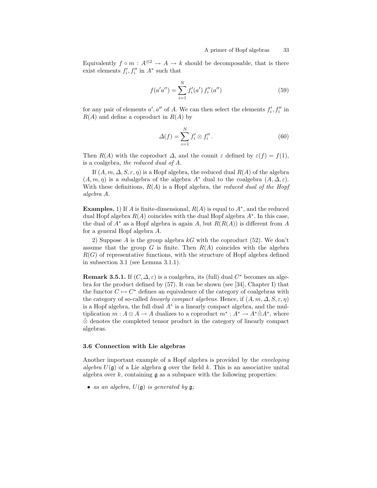Equivalently  $f \circ m : A^{\otimes 2} \to A \to k$  should be decomposable, that is there exist elements  $f'_{i}, f''_{i}$  in  $A^*$  such that

$$
f(a'a'') = \sum_{i=1}^{N} f'_i(a') f''_i(a'')
$$
 (59)

for any pair of elements  $a', a''$  of A. We can then select the elements  $f'_i, f''_i$  in  $R(A)$  and define a coproduct in  $R(A)$  by

$$
\Delta(f) = \sum_{i=1}^{N} f'_i \otimes f''_i.
$$
\n(60)

Then  $R(A)$  with the coproduct  $\Delta$ , and the counit  $\varepsilon$  defined by  $\varepsilon(f) = f(1)$ , is a coalgebra, the reduced dual of A.

If  $(A, m, \Delta, S, \varepsilon, \eta)$  is a Hopf algebra, the reduced dual  $R(A)$  of the algebra  $(A, m, \eta)$  is a subalgebra of the algebra  $A^*$  dual to the coalgebra  $(A, \Delta, \varepsilon)$ . With these definitions,  $R(A)$  is a Hopf algebra, the *reduced dual of the Hopf* algebra A.

Examples. 1) If A is finite-dimensional,  $R(A)$  is equal to  $A^*$ , and the reduced dual Hopf algebra  $R(A)$  coincides with the dual Hopf algebra  $A^*$ . In this case, the dual of  $A^*$  as a Hopf algebra is again A, but  $R(R(A))$  is different from A for a general Hopf algebra A.

2) Suppose A is the group algebra  $kG$  with the coproduct (52). We don't assume that the group G is finite. Then  $R(A)$  coincides with the algebra  $R(G)$  of representative functions, with the structure of Hopf algebra defined in subsection 3.1 (see Lemma 3.1.1).

**Remark 3.5.1.** If  $(C, \Delta, \varepsilon)$  is a coalgebra, its (full) dual  $C^*$  becomes an algebra for the product defined by (57). It can be shown (see [34], Chapter I) that the functor  $C \mapsto C^*$  defines an equivalence of the category of coalgebras with the category of so-called *linearly compact algebras*. Hence, if  $(A, m, \Delta, S, \varepsilon, \eta)$ is a Hopf algebra, the full dual  $A^*$  is a linearly compact algebra, and the multiplication  $m : A \otimes A \to A$  dualizes to a coproduct  $m^* : A^* \to A^* \hat{\otimes} A^*$ , where ⊗ˆ denotes the completed tensor product in the category of linearly compact algebras.

## 3.6 Connection with Lie algebras

Another important example of a Hopf algebra is provided by the enveloping algebra  $U(\mathfrak{g})$  of a Lie algebra  $\mathfrak{g}$  over the field k. This is an associative unital algebra over  $k$ , containing  $\mathfrak g$  as a subspace with the following properties:

• as an algebra,  $U(\mathfrak{g})$  is generated by  $\mathfrak{g}$ ;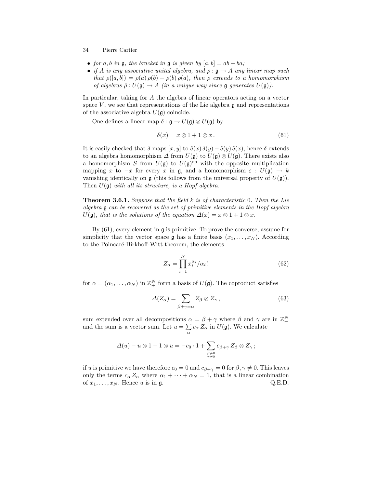- 34 Pierre Cartier
- for a, b in g, the bracket in g is given by  $[a, b] = ab ba;$
- if A is any associative unital algebra, and  $\rho : \mathfrak{g} \to A$  any linear map such that  $\rho([a, b]) = \rho(a) \rho(b) - \rho(b) \rho(a)$ , then  $\rho$  extends to a homomorphism of algebras  $\bar{\rho}: U(\mathfrak{g}) \to A$  (in a unique way since  $\mathfrak{g}$  generates  $U(\mathfrak{g})$ ).

In particular, taking for A the algebra of linear operators acting on a vector space  $V$ , we see that representations of the Lie algebra  $\mathfrak g$  and representations of the associative algebra  $U(\mathfrak{g})$  coincide.

One defines a linear map  $\delta : \mathfrak{g} \to U(\mathfrak{g}) \otimes U(\mathfrak{g})$  by

$$
\delta(x) = x \otimes 1 + 1 \otimes x. \tag{61}
$$

It is easily checked that  $\delta$  maps  $[x, y]$  to  $\delta(x) \delta(y) - \delta(y) \delta(x)$ , hence  $\delta$  extends to an algebra homomorphism  $\Delta$  from  $U(\mathfrak{g})$  to  $U(\mathfrak{g}) \otimes U(\mathfrak{g})$ . There exists also a homomorphism S from  $U(\mathfrak{g})$  to  $U(\mathfrak{g})^{\text{op}}$  with the opposite multiplication mapping x to  $-x$  for every x in g, and a homomorphism  $\varepsilon : U(\mathfrak{g}) \to k$ vanishing identically on  $\mathfrak g$  (this follows from the universal property of  $U(\mathfrak g)$ ). Then  $U(\mathfrak{g})$  with all its structure, is a Hopf algebra.

**Theorem 3.6.1.** Suppose that the field  $k$  is of characteristic 0. Then the Lie algebra g can be recovered as the set of primitive elements in the Hopf algebra  $U(\mathfrak{g})$ , that is the solutions of the equation  $\Delta(x) = x \otimes 1 + 1 \otimes x$ .

By (61), every element in g is primitive. To prove the converse, assume for simplicity that the vector space g has a finite basis  $(x_1, \ldots, x_N)$ . According to the Poincaré-Birkhoff-Witt theorem, the elements

$$
Z_{\alpha} = \prod_{i=1}^{N} x_i^{\alpha_i} / \alpha_i
$$
 (62)

for  $\alpha = (\alpha_1, \dots, \alpha_N)$  in  $\mathbb{Z}_+^N$  form a basis of  $U(\mathfrak{g})$ . The coproduct satisfies

$$
\Delta(Z_{\alpha}) = \sum_{\beta + \gamma = \alpha} Z_{\beta} \otimes Z_{\gamma},\tag{63}
$$

sum extended over all decompositions  $\alpha = \beta + \gamma$  where  $\beta$  and  $\gamma$  are in  $\mathbb{Z}_{+}^{N}$ and the sum is a vector sum. Let  $u = \sum$  $\sum_{\alpha} c_{\alpha} Z_{\alpha}$  in  $U(\mathfrak{g})$ . We calculate

$$
\Delta(u) - u \otimes 1 - 1 \otimes u = -c_0 \cdot 1 + \sum_{\substack{\beta \neq 0 \\ \gamma \neq 0}} c_{\beta + \gamma} Z_{\beta} \otimes Z_{\gamma} ;
$$

if u is primitive we have therefore  $c_0 = 0$  and  $c_{\beta+\gamma} = 0$  for  $\beta, \gamma \neq 0$ . This leaves only the terms  $c_{\alpha} Z_{\alpha}$  where  $\alpha_1 + \cdots + \alpha_N = 1$ , that is a linear combination of  $x_1, \ldots, x_N$ . Hence u is in  $\mathfrak{g}$ .  $Q.E.D.$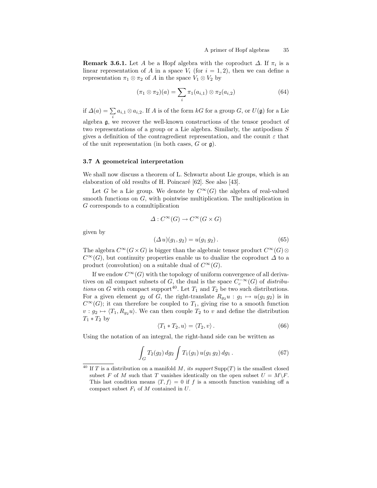**Remark 3.6.1.** Let A be a Hopf algebra with the coproduct  $\Delta$ . If  $\pi_i$  is a linear representation of A in a space  $V_i$  (for  $i = 1, 2$ ), then we can define a representation  $\pi_1 \otimes \pi_2$  of A in the space  $V_1 \otimes V_2$  by

$$
(\pi_1 \otimes \pi_2)(a) = \sum_i \pi_1(a_{i,1}) \otimes \pi_2(a_{i,2})
$$
\n(64)

if  $\Delta(a) = \sum a_{i,1} \otimes a_{i,2}$ . If A is of the form kG for a group G, or  $U(\mathfrak{g})$  for a Lie algebra  $\mathfrak{g}$ , we recover the well-known constructions of the tensor product of two representations of a group or a Lie algebra. Similarly, the antipodism S gives a definition of the contragredient representation, and the counit  $\varepsilon$  that of the unit representation (in both cases,  $G$  or  $\mathfrak{g}$ ).

## 3.7 A geometrical interpretation

We shall now discuss a theorem of L. Schwartz about Lie groups, which is an elaboration of old results of H. Poincaré  $[62]$ . See also  $[43]$ .

Let G be a Lie group. We denote by  $C^{\infty}(G)$  the algebra of real-valued smooth functions on  $G$ , with pointwise multiplication. The multiplication in G corresponds to a comultiplication

$$
\varDelta:C^\infty(G)\to C^\infty(G\times G)
$$

given by

$$
(\Delta u)(g_1, g_2) = u(g_1 g_2). \tag{65}
$$

The algebra  $C^{\infty}(G \times G)$  is bigger than the algebraic tensor product  $C^{\infty}(G) \otimes$  $C^{\infty}(G)$ , but continuity properties enable us to dualize the coproduct  $\Delta$  to a product (convolution) on a suitable dual of  $C^{\infty}(G)$ .

If we endow  $C^{\infty}(G)$  with the topology of uniform convergence of all derivatives on all compact subsets of G, the dual is the space  $C_c^{-\infty}(G)$  of *distribu*tions on G with compact support<sup>40</sup>. Let  $T_1$  and  $T_2$  be two such distributions. For a given element  $g_2$  of G, the right-translate  $R_{g_2}u : g_1 \mapsto u(g_1 g_2)$  is in  $C^{\infty}(G)$ ; it can therefore be coupled to  $T_1$ , giving rise to a smooth function  $v : g_2 \mapsto \langle T_1, R_{g_2} u \rangle$ . We can then couple  $T_2$  to v and define the distribution  $T_1 * T_2$  by

$$
\langle T_1 * T_2, u \rangle = \langle T_2, v \rangle. \tag{66}
$$

Using the notation of an integral, the right-hand side can be written as

$$
\int_{G} T_2(g_2) \, dg_2 \int T_1(g_1) \, u(g_1 \, g_2) \, dg_1 \,. \tag{67}
$$

<sup>&</sup>lt;sup>40</sup> If T is a distribution on a manifold M, its support  $\text{Supp}(T)$  is the smallest closed subset F of M such that T vanishes identically on the open subset  $U = M\backslash F$ . This last condition means  $\langle T, f \rangle = 0$  if f is a smooth function vanishing off a compact subset  $F_1$  of  $M$  contained in  $U$ .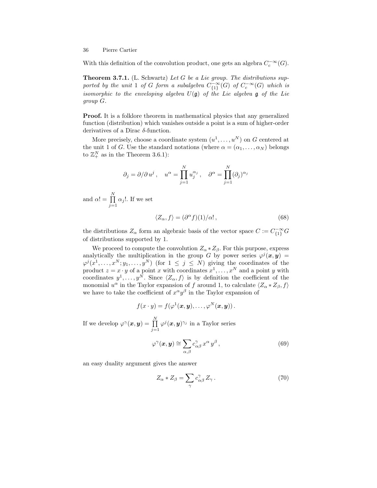With this definition of the convolution product, one gets an algebra  $C_c^{-\infty}(G)$ .

**Theorem 3.7.1.** (L. Schwartz) Let G be a Lie group. The distributions supported by the unit 1 of G form a subalgebra  $C^{-\infty}_{\{1\}}(G)$  of  $C^{-\infty}_c(G)$  which is isomorphic to the enveloping algebra  $U(\mathfrak{g})$  of the Lie algebra  $\mathfrak{g}$  of the Lie group G.

Proof. It is a folklore theorem in mathematical physics that any generalized function (distribution) which vanishes outside a point is a sum of higher-order derivatives of a Dirac δ-function.

More precisely, choose a coordinate system  $(u^1, \ldots, u^N)$  on G centered at the unit 1 of G. Use the standard notations (where  $\alpha = (\alpha_1, \ldots, \alpha_N)$  belongs to  $\mathbb{Z}_+^N$  as in the Theorem 3.6.1):

$$
\partial_j = \partial/\partial u^j
$$
,  $u^{\alpha} = \prod_{j=1}^N u_j^{\alpha_j}$ ,  $\partial^{\alpha} = \prod_{j=1}^N (\partial_j)^{\alpha_j}$ 

and  $\alpha! = \prod^N$  $\prod_{j=1} \alpha_j!$ . If we set

$$
\langle Z_{\alpha}, f \rangle = (\partial^{\alpha} f)(1) / \alpha!, \qquad (68)
$$

the distributions  $Z_{\alpha}$  form an algebraic basis of the vector space  $C := C_{\{1\}}^{-\infty} G$ of distributions supported by 1.

We proceed to compute the convolution  $Z_{\alpha} * Z_{\beta}$ . For this purpose, express analytically the multiplication in the group G by power series  $\varphi^{j}(x, y) =$  $\varphi^{j}(x^{1},...,x^{N};y_{1},...,y^{N})$  (for  $1 \leq j \leq N$ ) giving the coordinates of the product  $z = x \cdot y$  of a point x with coordinates  $x^1, \ldots, x^N$  and a point y with coordinates  $y^1, \ldots, y^N$ . Since  $\langle Z_\alpha, f \rangle$  is by definition the coefficient of the monomial  $u^{\alpha}$  in the Taylor expansion of f around 1, to calculate  $\langle Z_{\alpha} * Z_{\beta}, f \rangle$ we have to take the coefficient of  $x^{\alpha}y^{\beta}$  in the Taylor expansion of

$$
f(x \cdot y) = f(\varphi^1(\boldsymbol{x}, \boldsymbol{y}), \ldots, \varphi^N(\boldsymbol{x}, \boldsymbol{y})).
$$

If we develop  $\varphi^{\gamma}(\boldsymbol{x},\boldsymbol{y})=\prod^{N}$  $j=1$  $\varphi^{j}(\boldsymbol{x}, \boldsymbol{y})^{\gamma_{j}}$  in a Taylor series

$$
\varphi^{\gamma}(\boldsymbol{x}, \boldsymbol{y}) \cong \sum_{\alpha, \beta} c_{\alpha\beta}^{\gamma} x^{\alpha} y^{\beta}, \qquad (69)
$$

an easy duality argument gives the answer

$$
Z_{\alpha} * Z_{\beta} = \sum_{\gamma} c_{\alpha\beta}^{\gamma} Z_{\gamma} . \tag{70}
$$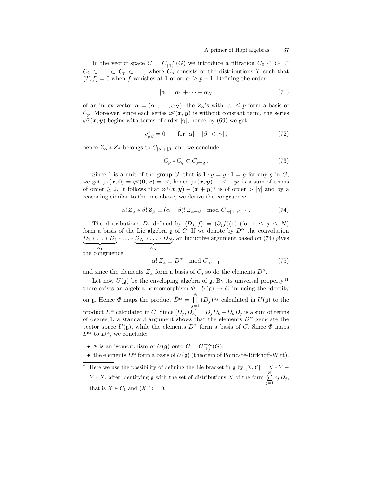In the vector space  $C = C_{\{1\}}^{-\infty}(G)$  we introduce a filtration  $C_0 \subset C_1 \subset$  $C_2 \subset \ldots \subset C_p \subset \ldots$ , where  $C_p$  consists of the distributions T such that  $\langle T, f \rangle = 0$  when f vanishes at 1 of order  $\geq p+1$ . Defining the order

$$
|\alpha| = \alpha_1 + \dots + \alpha_N \tag{71}
$$

of an index vector  $\alpha = (\alpha_1, \ldots, \alpha_N)$ , the  $Z_{\alpha}$ 's with  $|\alpha| \leq p$  form a basis of  $C_p$ . Moreover, since each series  $\varphi^{j}(x, y)$  is without constant term, the series  $\varphi^{\gamma}(\boldsymbol{x},\boldsymbol{y})$  begins with terms of order  $|\gamma|$ , hence by (69) we get

$$
c_{\alpha\beta}^{\gamma} = 0 \qquad \text{for } |\alpha| + |\beta| < |\gamma| \,, \tag{72}
$$

hence  $Z_{\alpha} * Z_{\beta}$  belongs to  $C_{|\alpha|+|\beta|}$  and we conclude

$$
C_p * C_q \subset C_{p+q} \,. \tag{73}
$$

Since 1 is a unit of the group G, that is  $1 \cdot g = g \cdot 1 = g$  for any g in G, we get  $\varphi^j(x,0) = \varphi^j(0,x) = x^j$ , hence  $\varphi^j(x,y) - x^j - y^j$  is a sum of terms of order  $\geq 2$ . It follows that  $\varphi^{\gamma}(x, y) - (x + y)^{\gamma}$  is of order  $> |\gamma|$  and by a reasoning similar to the one above, we derive the congruence

$$
\alpha! Z_{\alpha} * \beta! Z_{\beta} \equiv (\alpha + \beta)! Z_{\alpha + \beta} \mod C_{|\alpha| + |\beta| - 1}.
$$
 (74)

The distributions  $D_j$  defined by  $\langle D_j, f \rangle = (\partial_j f)(1)$  (for  $1 \leq j \leq N$ ) form a basis of the Lie algebra g of G. If we denote by  $D^{\alpha}$  the convolution  $D_1 * \ldots * D_1$  $\alpha_1$  $* \ldots * D_N * \ldots * D_N$  $\alpha_N$ , an inductive argument based on (74) gives the congruence

$$
\alpha! Z_{\alpha} \equiv D^{\alpha} \mod C_{|\alpha|-1} \tag{75}
$$

and since the elements  $Z_{\alpha}$  form a basis of C, so do the elements  $D^{\alpha}$ .

Let now  $U(\mathfrak{g})$  be the enveloping algebra of  $\mathfrak{g}$ . By its universal property<sup>41</sup> there exists an algebra homomorphism  $\Phi: U(\mathfrak{g}) \to C$  inducing the identity on **g**. Hence  $\Phi$  maps the product  $\bar{D}^{\alpha} = \prod_{i=1}^{N}$  $\prod_{j=1} (D_j)^{\alpha_j}$  calculated in  $U(\mathfrak{g})$  to the product  $D^{\alpha}$  calculated in C. Since  $[D_i, D_k] = D_i D_k - D_k D_j$  is a sum of terms of degree 1, a standard argument shows that the elements  $\bar{D}^{\alpha}$  generate the vector space  $U(\mathfrak{g})$ , while the elements  $D^{\alpha}$  form a basis of C. Since  $\Phi$  maps  $\bar{D}^{\alpha}$  to  $D^{\alpha}$ , we conclude:

- $\Phi$  is an isomorphism of  $U(\mathfrak{g})$  onto  $C = C_{\{1\}}^{-\infty}(G);$
- the elements  $\bar{D}^{\alpha}$  form a basis of  $U(\mathfrak{g})$  (theorem of Poincaré-Birkhoff-Witt).
- $\overline{^{41}}$  Here we use the possibility of defining the Lie bracket in g by  $[X, Y] = X * Y Y * X$ , after identifying **g** with the set of distributions X of the form  $\sum_{j=1}^{N} c_j D_j$ , that is  $X \in C_1$  and  $\langle X, 1 \rangle = 0$ .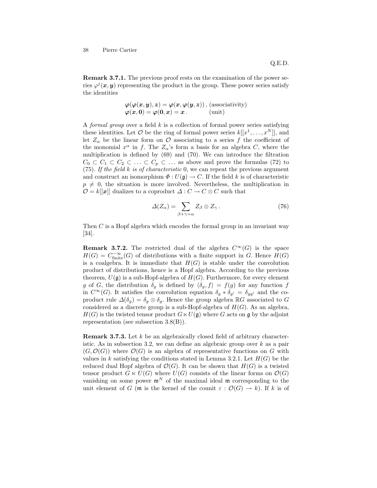Q.E.D.

Remark 3.7.1. The previous proof rests on the examination of the power series  $\varphi^{j}(\boldsymbol{x}, \boldsymbol{y})$  representing the product in the group. These power series satisfy the identities

$$
\varphi(\varphi(x,y),z) = \varphi(x,\varphi(y,z)), \text{ (associativity)}
$$
  

$$
\varphi(x,0) = \varphi(0,x) = x. \text{ (unit)}
$$

A *formal group* over a field  $k$  is a collection of formal power series satisfying these identities. Let  $\mathcal O$  be the ring of formal power series  $k[[x^1, \ldots, x^N]],$  and let  $Z_{\alpha}$  be the linear form on  $\mathcal O$  associating to a series f the coefficient of the monomial  $x^{\alpha}$  in f. The  $Z_{\alpha}$ 's form a basis for an algebra C, where the multiplication is defined by (69) and (70). We can introduce the filtration  $C_0 \subset C_1 \subset C_2 \subset \ldots \subset C_p \subset \ldots$  as above and prove the formulas (72) to (75). If the field  $k$  is of characteristic 0, we can repeat the previous argument and construct an isomorphism  $\Phi: U(\mathfrak{g}) \to C$ . If the field k is of characteristic  $p \neq 0$ , the situation is more involved. Nevertheless, the multiplication in  $\mathcal{O} = k[[x]]$  dualizes to a coproduct  $\Delta: C \to C \otimes C$  such that

$$
\Delta(Z_{\alpha}) = \sum_{\beta + \gamma = \alpha} Z_{\beta} \otimes Z_{\gamma} . \tag{76}
$$

Then C is a Hopf algebra which encodes the formal group in an invariant way [34].

**Remark 3.7.2.** The restricted dual of the algebra  $C^{\infty}(G)$  is the space  $H(G) = C^{-\infty}_{\text{finite}}(G)$  of distributions with a finite support in G. Hence  $H(G)$ is a coalgebra. It is immediate that  $H(G)$  is stable under the convolution product of distributions, hence is a Hopf algebra. According to the previous theorem,  $U(\mathfrak{g})$  is a sub-Hopf-algebra of  $H(G)$ . Furthermore, for every element g of G, the distribution  $\delta_g$  is defined by  $\langle \delta_g, f \rangle = f(g)$  for any function f in  $C^{\infty}(G)$ . It satisfies the convolution equation  $\delta_g * \delta_{g'} = \delta_{gg'}$  and the coproduct rule  $\Delta(\delta_q) = \delta_q \otimes \delta_q$ . Hence the group algebra  $\mathbb{R}G$  associated to G considered as a discrete group is a sub-Hopf-algebra of  $H(G)$ . As an algebra,  $H(G)$  is the twisted tensor product  $G \ltimes U(\mathfrak{g})$  where G acts on g by the adjoint representation (see subsection 3.8(B)).

Remark 3.7.3. Let k be an algebraically closed field of arbitrary characteristic. As in subsection 3.2, we can define an algebraic group over  $k$  as a pair  $(G, \mathcal{O}(G))$  where  $\mathcal{O}(G)$  is an algebra of representative functions on G with values in k satisfying the conditions stated in Lemma 3.2.1. Let  $H(G)$  be the reduced dual Hopf algebra of  $\mathcal{O}(G)$ . It can be shown that  $H(G)$  is a twisted tensor product  $G \ltimes U(G)$  where  $U(G)$  consists of the linear forms on  $\mathcal{O}(G)$ vanishing on some power  $\mathfrak{m}^N$  of the maximal ideal  $\mathfrak{m}$  corresponding to the unit element of G (m is the kernel of the counit  $\varepsilon$  :  $\mathcal{O}(G) \to k$ ). If k is of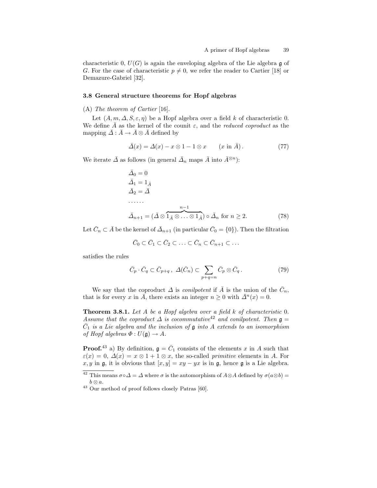characteristic 0,  $U(G)$  is again the enveloping algebra of the Lie algebra g of G. For the case of characteristic  $p \neq 0$ , we refer the reader to Cartier [18] or Demazure-Gabriel [32].

### 3.8 General structure theorems for Hopf algebras

# (A) The theorem of Cartier [16].

Let  $(A, m, \Delta, S, \varepsilon, \eta)$  be a Hopf algebra over a field k of characteristic 0. We define  $\overline{A}$  as the kernel of the counit  $\varepsilon$ , and the *reduced coproduct* as the mapping  $\overline{A} : \overline{A} \to \overline{A} \otimes \overline{A}$  defined by

$$
\bar{\Delta}(x) = \Delta(x) - x \otimes 1 - 1 \otimes x \qquad (x \text{ in } \bar{A}). \tag{77}
$$

We iterate  $\bar{\Delta}$  as follows (in general  $\bar{\Delta}_n$  maps  $\bar{A}$  into  $\bar{A}^{\otimes n}$ ):

$$
\bar{\Delta}_0 = 0
$$
\n
$$
\bar{\Delta}_1 = 1_{\bar{A}}
$$
\n
$$
\bar{\Delta}_2 = \bar{\Delta}
$$
\n
$$
\dots
$$
\n
$$
\bar{\Delta}_{n+1} = (\bar{\Delta} \otimes \overbrace{1_{\bar{A}} \otimes \dots \otimes 1_{\bar{A}}}^{n-1}) \circ \bar{\Delta}_n \text{ for } n \ge 2.
$$
\n(78)

Let  $\bar{C}_n \subset \bar{A}$  be the kernel of  $\bar{A}_{n+1}$  (in particular  $\bar{C}_0 = \{0\}$ ). Then the filtration

$$
\bar{C}_0 \subset \bar{C}_1 \subset \bar{C}_2 \subset \ldots \subset \bar{C}_n \subset \bar{C}_{n+1} \subset \ldots
$$

satisfies the rules

$$
\bar{C}_p \cdot \bar{C}_q \subset \bar{C}_{p+q} , \ \Delta(\bar{C}_n) \subset \sum_{p+q=n} \bar{C}_p \otimes \bar{C}_q . \tag{79}
$$

We say that the coproduct  $\Delta$  is *conilpotent* if  $\overline{A}$  is the union of the  $\overline{C}_n$ , that is for every x in A, there exists an integer  $n \geq 0$  with  $\Delta^{n}(x) = 0$ .

**Theorem 3.8.1.** Let  $A$  be a Hopf algebra over a field  $k$  of characteristic 0. Assume that the coproduct  $\Delta$  is cocommutative<sup>42</sup> and conilpotent. Then  $\mathfrak{g} =$  $\bar{C}_1$  is a Lie algebra and the inclusion of  $\mathfrak g$  into A extends to an isomorphism of Hopf algebras  $\Phi: U(\mathfrak{g}) \to A$ .

**Proof.**<sup>43</sup> a) By definition,  $\mathfrak{g} = \overline{C}_1$  consists of the elements x in A such that  $\varepsilon(x) = 0, \Delta(x) = x \otimes 1 + 1 \otimes x$ , the so-called *primitive* elements in A. For x, y in g, it is obvious that  $[x, y] = xy - yx$  is in g, hence g is a Lie algebra.

<sup>&</sup>lt;sup>42</sup> This means  $\sigma \circ \Delta = \Delta$  where  $\sigma$  is the automorphism of  $A \otimes A$  defined by  $\sigma(a \otimes b) =$  $b \otimes a$ .

<sup>43</sup> Our method of proof follows closely Patras [60].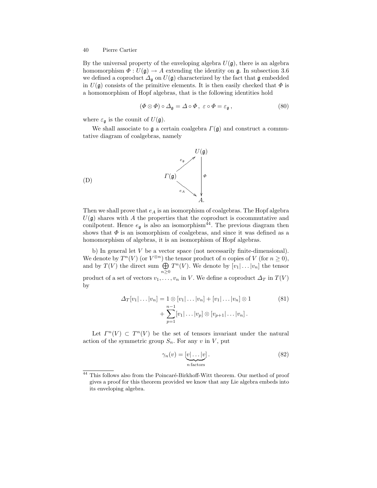by

By the universal property of the enveloping algebra  $U(\mathfrak{g})$ , there is an algebra homomorphism  $\Phi: U(\mathfrak{g}) \to A$  extending the identity on **g**. In subsection 3.6 we defined a coproduct  $\Delta_{\mathfrak{g}}$  on  $U(\mathfrak{g})$  characterized by the fact that  $\mathfrak{g}$  embedded in  $U(\mathfrak{g})$  consists of the primitive elements. It is then easily checked that  $\Phi$  is a homomorphism of Hopf algebras, that is the following identities hold

$$
(\Phi \otimes \Phi) \circ \Delta_{\mathfrak{g}} = \Delta \circ \Phi, \ \varepsilon \circ \Phi = \varepsilon_{\mathfrak{g}} \,, \tag{80}
$$

where  $\varepsilon_{\mathfrak{g}}$  is the counit of  $U(\mathfrak{g})$ .

We shall associate to  $\mathfrak g$  a certain coalgebra  $\Gamma(\mathfrak g)$  and construct a commutative diagram of coalgebras, namely



Then we shall prove that  $e_A$  is an isomorphism of coalgebras. The Hopf algebra  $U(\mathfrak{g})$  shares with A the properties that the coproduct is cocommutative and conilpotent. Hence  $e_{\mathfrak{g}}$  is also an isomorphism<sup>44</sup>. The previous diagram then shows that  $\Phi$  is an isomorphism of coalgebras, and since it was defined as a homomorphism of algebras, it is an isomorphism of Hopf algebras.

b) In general let V be a vector space (not necessarily finite-dimensional). We denote by  $T^n(V)$  (or  $V^{\otimes n}$ ) the tensor product of n copies of V (for  $n \geq 0$ ), and by  $T(V)$  the direct sum  $\bigoplus T^n(V)$ . We denote by  $[v_1 | \dots | v_n]$  the tensor  $n\geq 0$ product of a set of vectors  $v_1, \ldots, v_n$  in V. We define a coproduct  $\Delta_T$  in  $T(V)$ 

$$
\Delta_T[v_1|\dots|v_n] = 1 \otimes [v_1|\dots|v_n] + [v_1|\dots|v_n] \otimes 1
$$
  
+ 
$$
\sum_{p=1}^{n-1} [v_1|\dots|v_p] \otimes [v_{p+1}|\dots|v_n].
$$
 (81)

Let  $\Gamma^n(V) \subset T^n(V)$  be the set of tensors invariant under the natural action of the symmetric group  $S_n$ . For any v in V, put

$$
\gamma_n(v) = \underbrace{[v] \dots [v]}_{n \text{ factors}}.
$$
\n(82)

 $^{44}$  This follows also from the Poincaré-Birkhoff-Witt theorem. Our method of proof gives a proof for this theorem provided we know that any Lie algebra embeds into its enveloping algebra.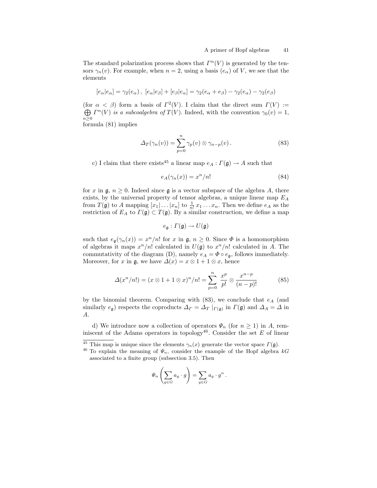The standard polarization process shows that  $\Gamma^{n}(V)$  is generated by the tensors  $\gamma_n(v)$ . For example, when  $n = 2$ , using a basis  $(e_\alpha)$  of V, we see that the elements

$$
[e_{\alpha}|e_{\alpha}] = \gamma_2(e_{\alpha}), \ [e_{\alpha}|e_{\beta}] + [e_{\beta}|e_{\alpha}] = \gamma_2(e_{\alpha} + e_{\beta}) - \gamma_2(e_{\alpha}) - \gamma_2(e_{\beta})
$$

(for  $\alpha < \beta$ ) form a basis of  $\Gamma^2(V)$ . I claim that the direct sum  $\Gamma(V) :=$  $\oplus$  $n\geq 0$  $\Gamma^{n}(V)$  is a subcoalgebra of  $T(V)$ . Indeed, with the convention  $\gamma_{0}(v) = 1$ ,

formula (81) implies

$$
\Delta_T(\gamma_n(v)) = \sum_{p=0}^n \gamma_p(v) \otimes \gamma_{n-p}(v).
$$
 (83)

c) I claim that there exists<sup>45</sup> a linear map  $e_A : \Gamma(\mathfrak{g}) \to A$  such that

$$
e_A(\gamma_n(x)) = x^n/n! \tag{84}
$$

for x in  $\mathfrak{g}, n \geq 0$ . Indeed since  $\mathfrak{g}$  is a vector subspace of the algebra A, there exists, by the universal property of tensor algebras, a unique linear map  $E_A$ from  $T(\mathfrak{g})$  to A mapping  $[x_1 | \ldots | x_n]$  to  $\frac{1}{n!} x_1 \ldots x_n$ . Then we define  $e_A$  as the restriction of  $E_A$  to  $\Gamma(\mathfrak{g}) \subset \Gamma(\mathfrak{g})$ . By a similar construction, we define a map

 $e_{\mathfrak{g}}: \Gamma(\mathfrak{g}) \to U(\mathfrak{g})$ 

such that  $e_{\mathfrak{g}}(\gamma_n(x)) = x^n/n!$  for x in  $\mathfrak{g}, n \geq 0$ . Since  $\Phi$  is a homomorphism of algebras it maps  $x^n/n!$  calculated in  $U(\mathfrak{g})$  to  $x^n/n!$  calculated in A. The commutativity of the diagram (D), namely  $e_A = \Phi \circ e_{\mathfrak{g}}$ , follows immediately. Moreover, for x in  $\mathfrak{g}$ , we have  $\Delta(x) = x \otimes 1 + 1 \otimes x$ , hence

$$
\Delta(x^n/n!) = (x \otimes 1 + 1 \otimes x)^n/n! = \sum_{p=0}^n \frac{x^p}{p!} \otimes \frac{x^{n-p}}{(n-p)!}
$$
 (85)

by the binomial theorem. Comparing with  $(83)$ , we conclude that  $e_A$  (and similarly  $e_{\mathfrak{g}}$ ) respects the coproducts  $\Delta_{\Gamma} = \Delta_T |_{\Gamma(\mathfrak{g})}$  in  $\Gamma(\mathfrak{g})$  and  $\Delta_A = \Delta$  in A.

d) We introduce now a collection of operators  $\Psi_n$  (for  $n \geq 1$ ) in A, reminiscent of the Adams operators in topology<sup>46</sup>. Consider the set E of linear

$$
\Psi_n\left(\sum_{g\in G}a_g\cdot g\right)=\sum_{g\in G}a_g\cdot g^n\,.
$$

<sup>&</sup>lt;sup>45</sup> This map is unique since the elements  $\gamma_n(x)$  generate the vector space  $\Gamma(\mathfrak{g})$ .

<sup>&</sup>lt;sup>46</sup> To explain the meaning of  $\Psi_n$ , consider the example of the Hopf algebra  $kG$ associated to a finite group (subsection 3.5). Then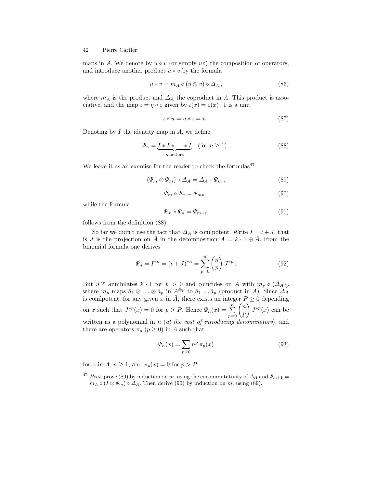maps in A. We denote by  $u \circ v$  (or simply uv) the composition of operators, and introduce another product  $u * v$  by the formula

$$
u * v = m_A \circ (u \otimes v) \circ \Delta_A , \qquad (86)
$$

where  $m_A$  is the product and  $\Delta_A$  the coproduct in A. This product is associative, and the map  $\iota = \eta \circ \varepsilon$  given by  $\iota(x) = \varepsilon(x) \cdot 1$  is a unit

$$
u * u = u * u = u. \tag{87}
$$

Denoting by  $I$  the identity map in  $A$ , we define

$$
\Psi_n = \underbrace{I * I * \dots * I}_{n \text{ factors}} \quad \text{(for } n \ge 1). \tag{88}
$$

We leave it as an exercise for the reader to check the formulas<sup>47</sup>

$$
(\Psi_m \otimes \Psi_m) \circ \Delta_A = \Delta_A \circ \Psi_m , \qquad (89)
$$

$$
\Psi_m \circ \Psi_n = \Psi_{mn} \,, \tag{90}
$$

while the formula

$$
\Psi_m * \Psi_n = \Psi_{m+n} \tag{91}
$$

follows from the definition (88).

So far we didn't use the fact that  $\Delta_A$  is conilpotent. Write  $I = \iota + J$ , that is J is the projection on  $\overline{A}$  in the decomposition  $A = k \cdot 1 \oplus \overline{A}$ . From the binomial formula one derives

$$
\Psi_n = I^{*n} = (\iota + J)^{*n} = \sum_{p=0}^n \binom{n}{p} J^{*p}.
$$
\n(92)

But  $J^{*p}$  annihilates  $k \cdot 1$  for  $p > 0$  and coincides on  $\overline{A}$  with  $m_p \circ (\overline{\Delta}_A)_p$ where  $m_p$  maps  $\bar{a}_1 \otimes \ldots \otimes \bar{a}_p$  in  $\bar{A}^{\otimes p}$  to  $\bar{a}_1 \ldots \bar{a}_p$  (product in A). Since  $\Delta_A$ is conilpotent, for any given x in  $\overline{A}$ , there exists an integer  $P \geq 0$  depending on x such that  $J^{*p}(x) = 0$  for  $p > P$ . Hence  $\Psi_n(x) = \sum_{p=0}^{P} \binom{n}{p}$ p  $J^{*p}(x)$  can be written as a polynomial in  $n$  (at the cost of introducing denominators), and there are operators  $\pi_p$   $(p \geq 0)$  in A such that

$$
\Psi_n(x) = \sum_{p \ge 0} n^p \,\pi_p(x) \tag{93}
$$

for x in A,  $n \geq 1$ , and  $\pi_p(x) = 0$  for  $p > P$ .

<sup>&</sup>lt;sup>47</sup> Hint: prove (89) by induction on m, using the cocommutativity of  $\Delta_A$  and  $\Psi_{m+1}$  =  $m_A \circ (I \otimes \Psi_m) \circ \Delta_A$ . Then derive (90) by induction on m, using (89).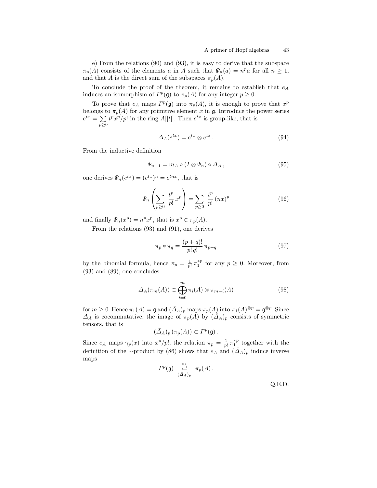e) From the relations (90) and (93), it is easy to derive that the subspace  $\pi_p(A)$  consists of the elements a in A such that  $\Psi_n(a) = n^p a$  for all  $n \geq 1$ , and that A is the direct sum of the subspaces  $\pi_p(A)$ .

To conclude the proof of the theorem, it remains to establish that  $e_A$ induces an isomorphism of  $\Gamma^p(\mathfrak{g})$  to  $\pi_p(A)$  for any integer  $p \geq 0$ .

To prove that  $e_A$  maps  $\Gamma^p(\mathfrak{g})$  into  $\pi_p(A)$ , it is enough to prove that  $x^p$ belongs to  $\pi_p(A)$  for any primitive element x in  $\mathfrak g$ . Introduce the power series  $e^{tx} = \sum$  $p\geq 0$  $t^p x^p / p!$  in the ring  $A[[t]]$ . Then  $e^{tx}$  is group-like, that is

$$
\Delta_A(e^{tx}) = e^{tx} \otimes e^{tx} \,. \tag{94}
$$

From the inductive definition

$$
\Psi_{n+1} = m_A \circ (I \otimes \Psi_n) \circ \Delta_A , \qquad (95)
$$

one derives  $\Psi_n(e^{tx}) = (e^{tx})^n = e^{tnx}$ , that is

$$
\Psi_n\left(\sum_{p\geq 0} \frac{t^p}{p!} x^p\right) = \sum_{p\geq 0} \frac{t^p}{p!} (nx)^p \tag{96}
$$

and finally  $\Psi_n(x^p) = n^p x^p$ , that is  $x^p \in \pi_p(A)$ .

From the relations (93) and (91), one derives

$$
\pi_p * \pi_q = \frac{(p+q)!}{p! \, q!} \, \pi_{p+q} \tag{97}
$$

by the binomial formula, hence  $\pi_p = \frac{1}{p!} \pi_1^{*p}$  for any  $p \geq 0$ . Moreover, from (93) and (89), one concludes

$$
\Delta_A(\pi_m(A)) \subset \bigoplus_{i=0}^m \pi_i(A) \otimes \pi_{m-i}(A) \tag{98}
$$

for  $m \geq 0$ . Hence  $\pi_1(A) = \mathfrak{g}$  and  $(\bar{\Delta}_A)_p$  maps  $\pi_p(A)$  into  $\pi_1(A)^{\otimes p} = \mathfrak{g}^{\otimes p}$ . Since  $\Delta_A$  is cocommutative, the image of  $\pi_p(A)$  by  $(\bar{\Delta}_A)_p$  consists of symmetric tensors, that is

$$
(\bar{\Delta}_A)_p \left( \pi_p(A) \right) \subset \Gamma^p(\mathfrak{g}).
$$

Since  $e_A$  maps  $\gamma_p(x)$  into  $x^p/p!$ , the relation  $\pi_p = \frac{1}{p!} \pi_1^{*p}$  together with the definition of the ∗-product by (86) shows that  $e_A$  and  $(\bar{\Delta}_A)_p$  induce inverse maps

$$
\varGamma^p(\mathfrak{g}) \stackrel{e_A}{\underset{(\bar{\Delta}_A)_p}{\rightleftarrows}} \pi_p(A)\,.
$$

Q.E.D.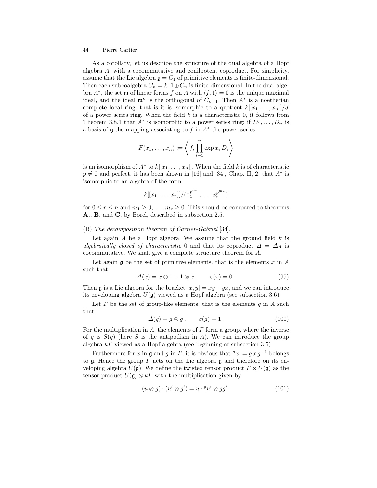As a corollary, let us describe the structure of the dual algebra of a Hopf algebra A, with a cocommutative and conilpotent coproduct. For simplicity, assume that the Lie algebra  $\mathfrak{g} = \overline{C}_1$  of primitive elements is finite-dimensional. Then each subcoalgebra  $C_n = k \cdot 1 \oplus \overline{C}_n$  is finite-dimensional. In the dual algebra  $A^*$ , the set m of linear forms f on A with  $\langle f, 1 \rangle = 0$  is the unique maximal ideal, and the ideal  $\mathfrak{m}^n$  is the orthogonal of  $C_{n-1}$ . Then  $A^*$  is a noetherian complete local ring, that is it is isomorphic to a quotient  $k[[x_1, \ldots, x_n]]/J$ of a power series ring. When the field  $k$  is a characteristic 0, it follows from Theorem 3.8.1 that  $A^*$  is isomorphic to a power series ring: if  $D_1, \ldots, D_n$  is a basis of  $\mathfrak g$  the mapping associating to f in  $A^*$  the power series

$$
F(x_1,\ldots,x_n) := \left\langle f, \prod_{i=1}^n \exp x_i D_i \right\rangle
$$

is an isomorphism of  $A^*$  to  $k[[x_1, \ldots, x_n]]$ . When the field k is of characteristic  $p \neq 0$  and perfect, it has been shown in [16] and [34], Chap. II, 2, that  $A^*$  is isomorphic to an algebra of the form

$$
k[[x_1,\ldots,x_n]]/(x_1^{p^{m_1}},\ldots,x_r^{p^{m_r}})
$$

for  $0 \le r \le n$  and  $m_1 \ge 0, \ldots, m_r \ge 0$ . This should be compared to theorems A., B. and C. by Borel, described in subsection 2.5.

#### (B) The decomposition theorem of Cartier-Gabriel [34].

Let again  $A$  be a Hopf algebra. We assume that the ground field  $k$  is algebraically closed of characteristic 0 and that its coproduct  $\Delta = \Delta_A$  is cocommutative. We shall give a complete structure theorem for A.

Let again  $\mathfrak g$  be the set of primitive elements, that is the elements x in A such that

$$
\Delta(x) = x \otimes 1 + 1 \otimes x, \qquad \varepsilon(x) = 0. \tag{99}
$$

Then g is a Lie algebra for the bracket  $[x, y] = xy - yx$ , and we can introduce its enveloping algebra  $U(\mathfrak{g})$  viewed as a Hopf algebra (see subsection 3.6).

Let  $\Gamma$  be the set of group-like elements, that is the elements  $g$  in  $A$  such that

$$
\Delta(g) = g \otimes g \,, \qquad \varepsilon(g) = 1 \,. \tag{100}
$$

For the multiplication in A, the elements of  $\Gamma$  form a group, where the inverse of g is  $S(g)$  (here S is the antipodism in A). We can introduce the group algebra  $k \Gamma$  viewed as a Hopf algebra (see beginning of subsection 3.5).

Furthermore for x in g and g in Γ, it is obvious that  $g(x) = g(x)g^{-1}$  belongs to g. Hence the group  $\Gamma$  acts on the Lie algebra g and therefore on its enveloping algebra  $U(\mathfrak{g})$ . We define the twisted tensor product  $\Gamma \ltimes U(\mathfrak{g})$  as the tensor product  $U(\mathfrak{g}) \otimes kT$  with the multiplication given by

$$
(u \otimes g) \cdot (u' \otimes g') = u \cdot {^gu'} \otimes gg' . \tag{101}
$$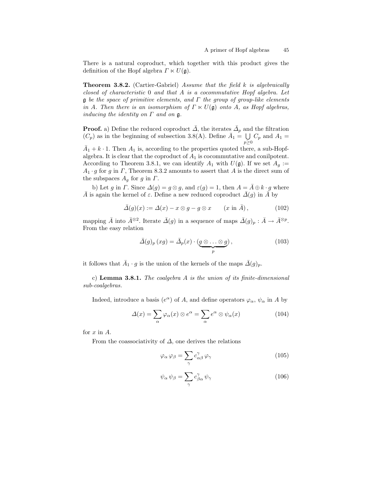There is a natural coproduct, which together with this product gives the definition of the Hopf algebra  $\Gamma \ltimes U(\mathfrak{g})$ .

**Theorem 3.8.2.** (Cartier-Gabriel) Assume that the field  $k$  is algebraically closed of characteristic  $0$  and that  $A$  is a cocommutative Hopf algebra. Let  $\mathfrak g$  be the space of primitive elements, and  $\Gamma$  the group of group-like elements in A. Then there is an isomorphism of  $\Gamma \ltimes U(\mathfrak{g})$  onto A, as Hopf algebras, inducing the identity on  $\Gamma$  and on  $\mathfrak{g}$ .

**Proof.** a) Define the reduced coproduct  $\bar{\Delta}$ , the iterates  $\bar{\Delta}_p$  and the filtration  $(C_p)$  as in the beginning of subsection 3.8(A). Define  $\overline{A}_1 = \bigcup C_p$  and  $A_1 =$  $p{\geq}0$ 

 $\overline{A}_1 + k \cdot 1$ . Then  $A_1$  is, according to the properties quoted there, a sub-Hopfalgebra. It is clear that the coproduct of  $A_1$  is cocommutative and conilpotent. According to Theorem 3.8.1, we can identify  $A_1$  with  $U(\mathfrak{g})$ . If we set  $A_a :=$  $A_1 \cdot g$  for g in  $\Gamma$ , Theorem 8.3.2 amounts to assert that A is the direct sum of the subspaces  $A_g$  for g in  $\Gamma$ .

b) Let g in  $\Gamma$ . Since  $\Delta(g) = g \otimes g$ , and  $\varepsilon(g) = 1$ , then  $A = \overline{A} \oplus k \cdot g$  where  $\overline{A}$  is again the kernel of  $\varepsilon$ . Define a new reduced coproduct  $\overline{\Delta}(g)$  in  $\overline{A}$  by

$$
\bar{\Delta}(g)(x) := \Delta(x) - x \otimes g - g \otimes x \qquad (x \text{ in } \bar{A}), \qquad (102)
$$

mapping  $\bar{A}$  into  $\bar{A}^{\otimes 2}$ . Iterate  $\bar{\Delta}(g)$  in a sequence of maps  $\bar{\Delta}(g)_p : \bar{A} \to \bar{A}^{\otimes p}$ . From the easy relation

$$
\bar{\Delta}(g)_p (xg) = \bar{\Delta}_p(x) \cdot \underbrace{(g \otimes \ldots \otimes g)}_p, \qquad (103)
$$

it follows that  $\overline{A}_1 \cdot g$  is the union of the kernels of the maps  $\overline{\Delta}(g)_p$ .

c) Lemma 3.8.1. The coalgebra A is the union of its finite-dimensional sub-coalgebras.

Indeed, introduce a basis  $(e^{\alpha})$  of A, and define operators  $\varphi_{\alpha}, \psi_{\alpha}$  in A by

$$
\Delta(x) = \sum_{\alpha} \varphi_{\alpha}(x) \otimes e^{\alpha} = \sum_{\alpha} e^{\alpha} \otimes \psi_{\alpha}(x) \tag{104}
$$

for  $x$  in  $A$ .

From the coassociativity of  $\Delta$ , one derives the relations

$$
\varphi_{\alpha}\,\varphi_{\beta} = \sum_{\gamma} c_{\alpha\beta}^{\gamma}\,\varphi_{\gamma} \tag{105}
$$

$$
\psi_{\alpha}\,\psi_{\beta} = \sum_{\gamma} c^{\gamma}_{\beta\alpha}\,\psi_{\gamma} \tag{106}
$$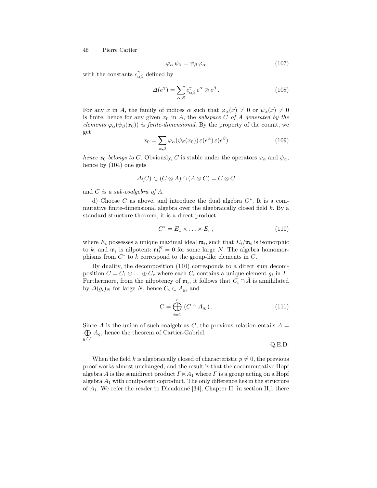$$
\varphi_{\alpha} \,\psi_{\beta} = \psi_{\beta} \,\varphi_{\alpha} \tag{107}
$$

with the constants  $c_{\alpha\beta}^{\gamma}$  defined by

$$
\Delta(e^{\gamma}) = \sum_{\alpha,\beta} c^{\gamma}_{\alpha\beta} e^{\alpha} \otimes e^{\beta} . \qquad (108)
$$

For any x in A, the family of indices  $\alpha$  such that  $\varphi_{\alpha}(x) \neq 0$  or  $\psi_{\alpha}(x) \neq 0$ is finite, hence for any given  $x_0$  in A, the subspace C of A generated by the elements  $\varphi_{\alpha}(\psi_{\beta}(x_0))$  is finite-dimensional. By the property of the counit, we get

$$
x_0 = \sum_{\alpha,\beta} \varphi_\alpha(\psi_\beta(x_0)) \,\varepsilon(e^\alpha) \,\varepsilon(e^\beta) \tag{109}
$$

hence  $x_0$  belongs to C. Obviously, C is stable under the operators  $\varphi_{\alpha}$  and  $\psi_{\alpha}$ , hence by (104) one gets

$$
\Delta(C) \subset (C \otimes A) \cap (A \otimes C) = C \otimes C
$$

# and  $C$  is a sub-coalgebra of  $A$ .

d) Choose  $C$  as above, and introduce the dual algebra  $C^*$ . It is a commutative finite-dimensional algebra over the algebraically closed field  $k$ . By a standard structure theorem, it is a direct product

$$
C^* = E_1 \times \ldots \times E_r, \qquad (110)
$$

where  $E_i$  possesses a unique maximal ideal  $\mathfrak{m}_i$ , such that  $E_i/\mathfrak{m}_i$  is isomorphic to k, and  $\mathfrak{m}_i$  is nilpotent:  $\mathfrak{m}_i^N = 0$  for some large N. The algebra homomorphisms from  $C^*$  to k correspond to the group-like elements in  $C$ .

By duality, the decomposition (110) corresponds to a direct sum decomposition  $C = C_1 \oplus \ldots \oplus C_r$  where each  $C_i$  contains a unique element  $g_i$  in  $\Gamma$ . Furthermore, from the nilpotency of  $\mathfrak{m}_i$ , it follows that  $C_i \cap \overline{A}$  is annihilated by  $\overline{\Delta}(g_i)_N$  for large N, hence  $C_i \subset A_{g_i}$  and

$$
C = \bigoplus_{i=1}^{r} (C \cap A_{g_i}). \tag{111}
$$

Since A is the union of such coalgebras C, the previous relation entails  $A =$  $\bigoplus A_g$ , hence the theorem of Cartier-Gabriel.  $q \in \Gamma$ 

Q.E.D.

When the field k is algebraically closed of characteristic  $p \neq 0$ , the previous proof works almost unchanged, and the result is that the cocommutative Hopf algebra A is the semidirect product  $\Gamma \ltimes A_1$  where  $\Gamma$  is a group acting on a Hopf algebra  $A_1$  with conilpotent coproduct. The only difference lies in the structure of  $A_1$ . We refer the reader to Dieudonné [34], Chapter II: in section II,1 there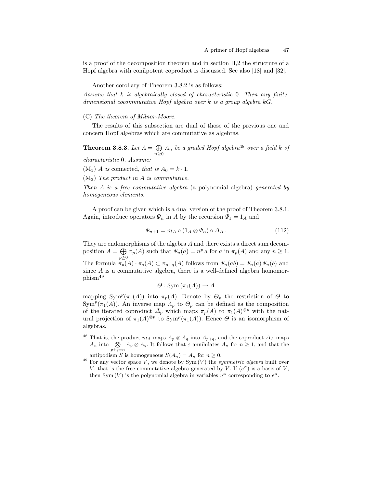is a proof of the decomposition theorem and in section II,2 the structure of a Hopf algebra with conilpotent coproduct is discussed. See also [18] and [32].

Another corollary of Theorem 3.8.2 is as follows:

Assume that  $k$  is algebraically closed of characteristic 0. Then any finitedimensional cocommutative Hopf algebra over k is a group algebra kG.

#### (C) The theorem of Milnor-Moore.

The results of this subsection are dual of those of the previous one and concern Hopf algebras which are commutative as algebras.

Theorem 3.8.3. Let  $A = \bigoplus$  $\bigoplus_{n\geq 0} A_n$  be a graded Hopf algebra<sup>48</sup> over a field k of

characteristic 0. Assume:

 $(M_1)$  A is connected, that is  $A_0 = k \cdot 1$ .

 $(M_2)$  The product in A is commutative.

Then A is a free commutative algebra (a polynomial algebra) generated by homogeneous elements.

A proof can be given which is a dual version of the proof of Theorem 3.8.1. Again, introduce operators  $\Psi_n$  in A by the recursion  $\Psi_1 = 1_A$  and

$$
\Psi_{n+1} = m_A \circ (1_A \otimes \Psi_n) \circ \Delta_A. \tag{112}
$$

They are endomorphisms of the algebra A and there exists a direct sum decomposition  $A = \bigoplus \pi_p(A)$  such that  $\Psi_n(a) = n^p a$  for a in  $\pi_p(A)$  and any  $n \geq 1$ .  $p{\geq}0$ The formula  $\pi_p(A) \cdot \pi_q(A) \subset \pi_{p+q}(A)$  follows from  $\Psi_n(ab) = \Psi_n(a) \Psi_n(b)$  and since  $A$  is a commutative algebra, there is a well-defined algebra homomorphism<sup>49</sup>

$$
\Theta: \mathrm{Sym}\,(\pi_1(A)) \to A
$$

mapping  $\text{Sym}^p(\pi_1(A))$  into  $\pi_p(A)$ . Denote by  $\Theta_p$  the restriction of  $\Theta$  to  $\text{Sym}^p(\pi_1(A))$ . An inverse map  $A_p$  to  $\Theta_p$  can be defined as the composition of the iterated coproduct  $\overline{A}_p$  which maps  $\pi_p(A)$  to  $\pi_1(A)^{\otimes p}$  with the natural projection of  $\pi_1(A)^{\otimes p}$  to  $\text{Sym}^p(\pi_1(A))$ . Hence  $\Theta$  is an isomorphism of algebras.

<sup>&</sup>lt;sup>48</sup> That is, the product  $m_A$  maps  $A_p \otimes A_q$  into  $A_{p+q}$ , and the coproduct  $\Delta_A$  maps  $A_n$  into  $\bigotimes A_p \otimes A_q$ . It follows that  $\varepsilon$  annihilates  $A_n$  for  $n \geq 1$ , and that the  $p+q=n$ 

antipodism S is homogeneous  $S(A_n) = A_n$  for  $n \geq 0$ .

<sup>&</sup>lt;sup>49</sup> For any vector space V, we denote by  $Sym(V)$  the *symmetric algebra* built over V, that is the free commutative algebra generated by V. If  $(e^{\alpha})$  is a basis of V, then Sym  $(V)$  is the polynomial algebra in variables  $u^{\alpha}$  corresponding to  $e^{\alpha}$ .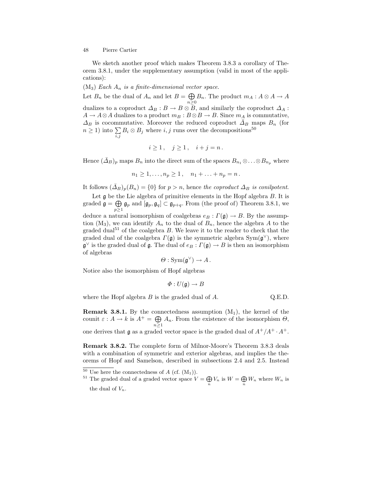We sketch another proof which makes Theorem 3.8.3 a corollary of Theorem 3.8.1, under the supplementary assumption (valid in most of the applications):

### $(M_3)$  Each  $A_n$  is a finite-dimensional vector space.

Let  $B_n$  be the dual of  $A_n$  and let  $B = \bigoplus B_n$ . The product  $m_A : A \otimes A \to A$  $n\geq 0$ dualizes to a coproduct  $\Delta_B : B \to B \otimes \overline{B}$ , and similarly the coproduct  $\Delta_A$ :  $A \to A \otimes A$  dualizes to a product  $m_B : B \otimes B \to B$ . Since  $m_A$  is commutative,  $\Delta_B$  is cocommutative. Moreover the reduced coproduct  $\tilde{\Delta}_B$  maps  $B_n$  (for  $n \geq 1$ ) into  $\sum$  $\sum_{i,j} B_i \otimes B_j$  where  $i, j$  runs over the decompositions<sup>50</sup>

$$
i \ge 1, \quad j \ge 1, \quad i+j = n.
$$

Hence  $(\Delta_B)_p$  maps  $B_n$  into the direct sum of the spaces  $B_{n_1} \otimes \ldots \otimes B_{n_p}$  where

$$
n_1 \ge 1, \ldots, n_p \ge 1, \quad n_1 + \ldots + n_p = n.
$$

It follows  $(\bar{\Delta}_B)_p(B_n) = \{0\}$  for  $p > n$ , hence the coproduct  $\Delta_B$  is conilpotent.

Let  $\mathfrak g$  be the Lie algebra of primitive elements in the Hopf algebra  $B$ . It is graded  $\mathfrak{g} = \bigoplus \mathfrak{g}_p$  and  $[\mathfrak{g}_p, \mathfrak{g}_q] \subset \mathfrak{g}_{p+q}$ . From (the proof of) Theorem 3.8.1, we  $p\geq 1$ deduce a natural isomorphism of coalgebras  $e_B : \Gamma(\mathfrak{g}) \to B$ . By the assumption  $(M_3)$ , we can identify  $A_n$  to the dual of  $B_n$ , hence the algebra A to the graded dual<sup>51</sup> of the coalgebra  $B$ . We leave it to the reader to check that the graded dual of the coalgebra  $\Gamma(\mathfrak{g})$  is the symmetric algebra  $Sym(\mathfrak{g}^{\vee})$ , where  $\mathfrak{g}^{\vee}$  is the graded dual of  $\mathfrak{g}$ . The dual of  $e_B: \Gamma(\mathfrak{g}) \to B$  is then an isomorphism of algebras

$$
\Theta: \mathrm{Sym}(\mathfrak{g}^{\vee}) \to A.
$$

Notice also the isomorphism of Hopf algebras

$$
\Phi: U(\mathfrak{g}) \to B
$$

where the Hopf algebra  $B$  is the graded dual of  $A$ .  $Q.E.D.$ 

**Remark 3.8.1.** By the connectedness assumption  $(M_1)$ , the kernel of the counit  $\varepsilon : A \to k$  is  $A^+ = \bigoplus$  $\bigoplus_{n\geq 1} A_n$ . From the existence of the isomorphism  $\Theta$ , one derives that  $\frak g$  as a graded vector space is the graded dual of  $A^+/A^+\cdot A^+.$ 

Remark 3.8.2. The complete form of Milnor-Moore's Theorem 3.8.3 deals with a combination of symmetric and exterior algebras, and implies the theorems of Hopf and Samelson, described in subsections 2.4 and 2.5. Instead

 $50$  Use here the connectedness of A (cf.  $(M_1)$ ).

<sup>&</sup>lt;sup>51</sup> The graded dual of a graded vector space  $V = \bigoplus_n V_n$  is  $W = \bigoplus_n W_n$  where  $W_n$  is the dual of  $V_n$ .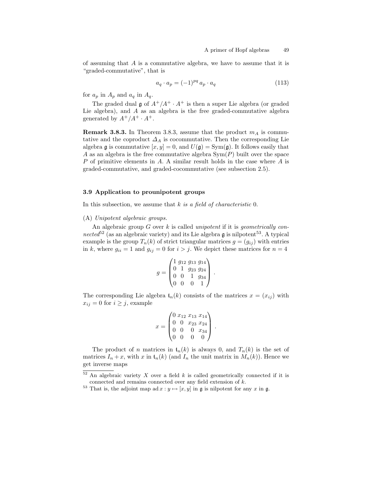of assuming that  $A$  is a commutative algebra, we have to assume that it is "graded-commutative", that is

$$
a_q \cdot a_p = (-1)^{pq} a_p \cdot a_q \tag{113}
$$

for  $a_p$  in  $A_p$  and  $a_q$  in  $A_q$ .

The graded dual  $\mathfrak g$  of  $A^+/A^+ \cdot A^+$  is then a super Lie algebra (or graded Lie algebra), and  $A$  as an algebra is the free graded-commutative algebra generated by  $A^+/A^+ \cdot A^+$ .

**Remark 3.8.3.** In Theorem 3.8.3, assume that the product  $m_A$  is commutative and the coproduct  $\Delta_A$  is cocommutative. Then the corresponding Lie algebra g is commutative  $[x, y] = 0$ , and  $U(\mathfrak{g}) = \text{Sym}(\mathfrak{g})$ . It follows easily that A as an algebra is the free commutative algebra  $\text{Sym}(P)$  built over the space P of primitive elements in A. A similar result holds in the case where A is graded-commutative, and graded-cocommutative (see subsection 2.5).

# 3.9 Application to prounipotent groups

In this subsection, we assume that  $k$  is a field of characteristic 0.

## (A) Unipotent algebraic groups.

An algebraic group  $G$  over  $k$  is called *unipotent* if it is *geometrically con*nected<sup>52</sup> (as an algebraic variety) and its Lie algebra g is nilpotent<sup>53</sup>. A typical example is the group  $T_n(k)$  of strict triangular matrices  $g = (g_{ij})$  with entries in k, where  $g_{ii} = 1$  and  $g_{ij} = 0$  for  $i > j$ . We depict these matrices for  $n = 4$ 

$$
g = \begin{pmatrix} 1 & g_{12} & g_{13} & g_{14} \\ 0 & 1 & g_{23} & g_{24} \\ 0 & 0 & 1 & g_{34} \\ 0 & 0 & 0 & 1 \end{pmatrix}.
$$

The corresponding Lie algebra  $t_n(k)$  consists of the matrices  $x = (x_{ij})$  with  $x_{ij} = 0$  for  $i \geq j$ , example

$$
x = \begin{pmatrix} 0 & x_{12} & x_{13} & x_{14} \\ 0 & 0 & x_{23} & x_{24} \\ 0 & 0 & 0 & x_{34} \\ 0 & 0 & 0 & 0 \end{pmatrix}.
$$

The product of n matrices in  $t_n(k)$  is always 0, and  $T_n(k)$  is the set of matrices  $I_n + x$ , with x in  $t_n(k)$  (and  $I_n$  the unit matrix in  $M_n(k)$ ). Hence we get inverse maps

 $\overline{52}$  An algebraic variety X over a field k is called geometrically connected if it is connected and remains connected over any field extension of k.

<sup>&</sup>lt;sup>53</sup> That is, the adjoint map ad  $x : y \mapsto [x, y]$  in g is nilpotent for any x in g.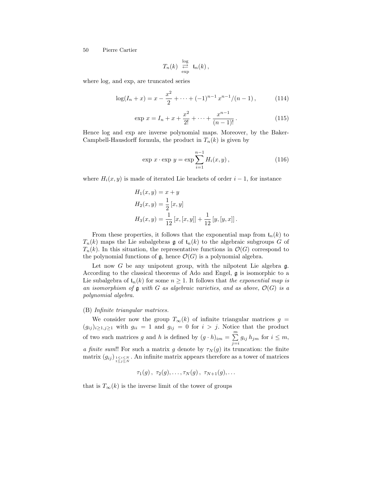$$
T_n(k) \stackrel{\log}{\underset{\exp}{\rightleftarrows}} {\mathfrak{t}}_n(k),
$$

where log, and exp, are truncated series

$$
\log(I_n + x) = x - \frac{x^2}{2} + \dots + (-1)^{n-1} x^{n-1} / (n-1), \tag{114}
$$

$$
\exp x = I_n + x + \frac{x^2}{2!} + \dots + \frac{x^{n-1}}{(n-1)!}.
$$
\n(115)

Hence log and exp are inverse polynomial maps. Moreover, by the Baker-Campbell-Hausdorff formula, the product in  $T_n(k)$  is given by

$$
\exp x \cdot \exp y = \exp \sum_{i=1}^{n-1} H_i(x, y), \qquad (116)
$$

where  $H_i(x, y)$  is made of iterated Lie brackets of order  $i - 1$ , for instance

$$
H_1(x, y) = x + y
$$
  
\n
$$
H_2(x, y) = \frac{1}{2} [x, y]
$$
  
\n
$$
H_3(x, y) = \frac{1}{12} [x, [x, y]] + \frac{1}{12} [y, [y, x]].
$$

From these properties, it follows that the exponential map from  $t_n(k)$  to  $T_n(k)$  maps the Lie subalgebras g of  $\mathfrak{t}_n(k)$  to the algebraic subgroups G of  $T_n(k)$ . In this situation, the representative functions in  $\mathcal{O}(G)$  correspond to the polynomial functions of  $\mathfrak{g}$ , hence  $\mathcal{O}(G)$  is a polynomial algebra.

Let now  $G$  be any unipotent group, with the nilpotent Lie algebra  $\mathfrak{g}$ . According to the classical theorems of Ado and Engel, g is isomorphic to a Lie subalgebra of  $t_n(k)$  for some  $n \geq 1$ . It follows that the exponential map is an isomorphism of  $\mathfrak g$  with G as algebraic varieties, and as above,  $\mathcal O(G)$  is a polynomial algebra.

#### (B) Infinite triangular matrices.

We consider now the group  $T_{\infty}(k)$  of infinite triangular matrices  $g =$  $(g_{ij})_{i\geq 1,j\geq 1}$  with  $g_{ii} = 1$  and  $g_{ij} = 0$  for  $i > j$ . Notice that the product of two such matrices g and h is defined by  $(g \cdot h)_{im} = \sum_{m=1}^{m}$  $\sum_{j=i} g_{ij} h_{jm}$  for  $i \leq m$ , a finite sum! For such a matrix g denote by  $\tau_N(g)$  its truncation: the finite matrix  $(g_{ij})_{1 \le i \le N \atop 1 \le j \le N}$ . An infinite matrix appears therefore as a tower of matrices

$$
\tau_1(g), \ \tau_2(g), \ldots, \tau_N(g), \ \tau_{N+1}(g), \ldots
$$

that is  $T_{\infty}(k)$  is the inverse limit of the tower of groups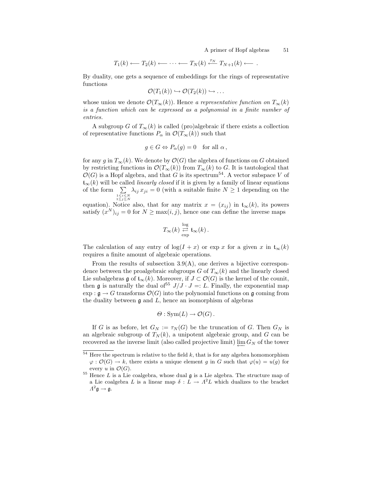$$
T_1(k) \longleftarrow T_2(k) \longleftarrow \cdots \longleftarrow T_N(k) \stackrel{\tau_N}{\longleftarrow} T_{N+1}(k) \longleftarrow .
$$

By duality, one gets a sequence of embeddings for the rings of representative functions

$$
\mathcal{O}(T_1(k)) \hookrightarrow \mathcal{O}(T_2(k)) \hookrightarrow \dots
$$

whose union we denote  $\mathcal{O}(T_{\infty}(k))$ . Hence a representative function on  $T_{\infty}(k)$ is a function which can be expressed as a polynomial in a finite number of entries.

A subgroup G of  $T_{\infty}(k)$  is called (pro)algebraic if there exists a collection of representative functions  $P_{\alpha}$  in  $\mathcal{O}(T_{\infty}(k))$  such that

$$
g \in G \Leftrightarrow P_{\alpha}(g) = 0 \quad \text{for all } \alpha \,,
$$

for any g in  $T_\infty(k)$ . We denote by  $\mathcal{O}(G)$  the algebra of functions on G obtained by restricting functions in  $\mathcal{O}(T_{\infty}(k))$  from  $T_{\infty}(k)$  to G. It is tautological that  $\mathcal{O}(G)$  is a Hopf algebra, and that G is its spectrum<sup>54</sup>. A vector subspace V of  $t_{\infty}(k)$  will be called *linearly closed* if it is given by a family of linear equations of the form  $1 \leq i \leq N$ <br> $1 \leq j \leq N$  $\lambda_{ij} x_{ji} = 0$  (with a suitable finite  $N \geq 1$  depending on the

equation). Notice also, that for any matrix  $x = (x_{ij})$  in  $t_{\infty}(k)$ , its powers satisfy  $(x^N)_{ij} = 0$  for  $N \ge \max(i, j)$ , hence one can define the inverse maps

$$
T_{\infty}(k) \stackrel{\log}{\underset{\exp}{\rightleftarrows}} \mathfrak{t}_{\infty}(k) .
$$

The calculation of any entry of  $\log(I + x)$  or exp x for a given x in  $t_{\infty}(k)$ requires a finite amount of algebraic operations.

From the results of subsection  $3.9(A)$ , one derives a bijective correspondence between the proalgebraic subgroups G of  $T_{\infty}(k)$  and the linearly closed Lie subalgebras g of  $\mathfrak{t}_{\infty}(k)$ . Moreover, if  $J \subset \mathcal{O}(G)$  is the kernel of the counit, then g is naturally the dual of <sup>55</sup>  $J/J \cdot J =: L$ . Finally, the exponential map  $\exp : \mathfrak{g} \to G$  transforms  $\mathcal{O}(G)$  into the polynomial functions on  $\mathfrak{g}$  coming from the duality between  $\mathfrak g$  and  $L$ , hence an isomorphism of algebras

$$
\Theta: \mathrm{Sym}(L) \to \mathcal{O}(G) .
$$

If G is as before, let  $G_N := \tau_N(G)$  be the truncation of G. Then  $G_N$  is an algebraic subgroup of  $T_N(k)$ , a unipotent algebraic group, and G can be recovered as the inverse limit (also called projective limit)  $\varprojlim G_N$  of the tower

 $\frac{54}{64}$  Here the spectrum is relative to the field k, that is for any algebra homomorphism  $\varphi : \mathcal{O}(G) \to k$ , there exists a unique element g in G such that  $\varphi(u) = u(g)$  for every u in  $\mathcal{O}(G)$ .

 $^{55}$  Hence  $L$  is a Lie coalgebra, whose dual  $\frak{g}$  is a Lie algebra. The structure map of a Lie coalgebra L is a linear map  $\delta: L \to \Lambda^2 L$  which dualizes to the bracket  $\Lambda^2 \mathfrak{g} \to \mathfrak{g}.$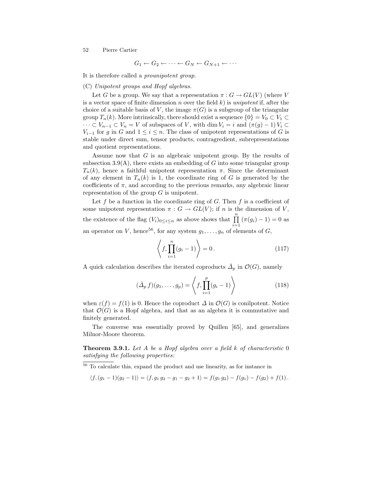$$
G_1 \leftarrow G_2 \leftarrow \cdots \leftarrow G_N \leftarrow G_{N+1} \leftarrow \cdots
$$

It is therefore called a prounipotent group.

### (C) Unipotent groups and Hopf algebras.

Let G be a group. We say that a representation  $\pi: G \to GL(V)$  (where V is a vector space of finite dimension n over the field  $k$ ) is unipotent if, after the choice of a suitable basis of V, the image  $\pi(G)$  is a subgroup of the triangular group  $T_n(k)$ . More intrinsically, there should exist a sequence  $\{0\} = V_0 \subset V_1 \subset$  $\cdots \subset V_{n-1} \subset V_n = V$  of subspaces of V, with dim  $V_i = i$  and  $(\pi(g) - 1) V_i \subset$  $V_{i-1}$  for g in G and  $1 \leq i \leq n$ . The class of unipotent representations of G is stable under direct sum, tensor products, contragredient, subrepresentations and quotient representations.

Assume now that  $G$  is an algebraic unipotent group. By the results of subsection 3.9(A), there exists an embedding of  $G$  into some triangular group  $T_n(k)$ , hence a faithful unipotent representation  $\pi$ . Since the determinant of any element in  $T_n(k)$  is 1, the coordinate ring of G is generated by the coefficients of  $\pi$ , and according to the previous remarks, any algebraic linear representation of the group  $G$  is unipotent.

Let f be a function in the coordinate ring of  $G$ . Then f is a coefficient of some unipotent representation  $\pi: G \to GL(V)$ ; if n is the dimension of V, the existence of the flag  $(V_i)_{0 \leq i \leq n}$  as above shows that  $\prod_{i=1}^{n} (\pi(g_i) - 1) = 0$  as an operator on V, hence<sup>56</sup>, for any system  $g_1, \ldots, g_n$  of elements of G,

$$
\left\langle f, \prod_{i=1}^{n} (g_i - 1) \right\rangle = 0.
$$
 (117)

A quick calculation describes the iterated coproducts  $\overline{\Delta}_p$  in  $\mathcal{O}(G)$ , namely

$$
(\bar{\Delta}_p f)(g_1,\ldots,g_p) = \left\langle f, \prod_{i=1}^p (g_i - 1) \right\rangle \tag{118}
$$

when  $\varepsilon(f) = f(1)$  is 0. Hence the coproduct  $\Delta$  in  $\mathcal{O}(G)$  is conilpotent. Notice that  $\mathcal{O}(G)$  is a Hopf algebra, and that as an algebra it is commutative and finitely generated.

The converse was essentially proved by Quillen [65], and generalizes Milnor-Moore theorem.

**Theorem 3.9.1.** Let  $A$  be a Hopf algebra over a field  $k$  of characteristic  $0$ satisfying the following properties:

 $\overline{56}$  To calculate this, expand the product and use linearity, as for instance in

$$
\langle f, (g_1 - 1)(g_2 - 1) \rangle = \langle f, g_1 g_2 - g_1 - g_2 + 1 \rangle = f(g_1 g_2) - f(g_1) - f(g_2) + f(1).
$$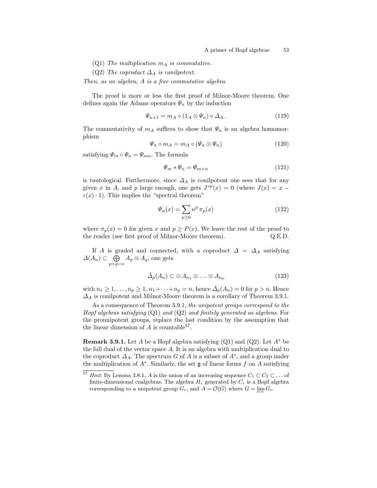- (Q1) The multiplication  $m_A$  is commutative.
- (Q2) The coproduct  $\Delta_A$  is conilpotent.

Then, as an algebra, A is a free commutative algebra.

The proof is more or less the first proof of Milnor-Moore theorem. One defines again the Adams operators  $\Psi_n$  by the induction

$$
\Psi_{n+1} = m_A \circ (1_A \otimes \Psi_n) \circ \Delta_A. \tag{119}
$$

The commutativity of  $m_A$  suffices to show that  $\Psi_n$  is an algebra homomorphism

$$
\Psi_n \circ m_A = m_A \circ (\Psi_n \otimes \Psi_n) \tag{120}
$$

satisfying  $\Psi_m \circ \Psi_n = \Psi_{mn}$ . The formula

$$
\Psi_m * \Psi_n = \Psi_{m+n} \tag{121}
$$

is tautological. Furthermore, since  $\Delta_A$  is conilpotent one sees that for any given x in A, and p large enough, one gets  $J^{*p}(x) = 0$  (where  $J(x) = x \varepsilon(x)$  · 1). This implies the "spectral theorem"

$$
\Psi_n(x) = \sum_{p \ge 0} n^p \,\pi_p(x) \tag{122}
$$

where  $\pi_p(x) = 0$  for given x and  $p \ge P(x)$ . We leave the rest of the proof to the reader (see first proof of Milnor-Moore theorem). Q.E.D.

If A is graded and connected, with a coproduct  $\Delta = \Delta_A$  satisfying  $\Delta(A_n) \subset \Theta$  $\bigoplus_{p+q=n} A_p \otimes A_q$ , one gets

$$
\bar{\Delta}_p(A_n) \subset \oplus A_{n_1} \otimes \ldots \otimes A_{n_p} \tag{123}
$$

with  $n_1 \geq 1, \ldots, n_p \geq 1, n_1 + \cdots + n_p = n$ , hence  $\overline{\Delta}_p(A_n) = 0$  for  $p > n$ . Hence  $\Delta_A$  is conilpotent and Milnor-Moore theorem is a corollary of Theorem 3.9.1.

As a consequence of Theorem 3.9.1, the unipotent groups correspond to the Hopf algebras satisfying (Q1) and (Q2) and finitely generated as algebras. For the prounipotent groups, replace the last condition by the assumption that the linear dimension of  $A$  is countable<sup>57</sup>.

**Remark 3.9.1.** Let A be a Hopf algebra satisfying  $(Q1)$  and  $(Q2)$ . Let  $A^*$  be the full dual of the vector space A. It is an algebra with multiplication dual to the coproduct  $\Delta_A$ . The spectrum G of A is a subset of  $A^*$ , and a group under the multiplication of  $A^*$ . Similarly, the set  $\mathfrak g$  of linear forms f on A satisfying

<sup>&</sup>lt;sup>57</sup> Hint: By Lemma 3.8.1, A is the union of an increasing sequence  $C_1 \subset C_2 \subset \ldots$  of finite-dimensional coalgebras. The algebra  $H_r$  generated by  $C_r$  is a Hopf algebra corresponding to a unipotent group  $G_r$ , and  $A = \mathcal{O}(G)$  where  $G = \varprojlim G_r$ .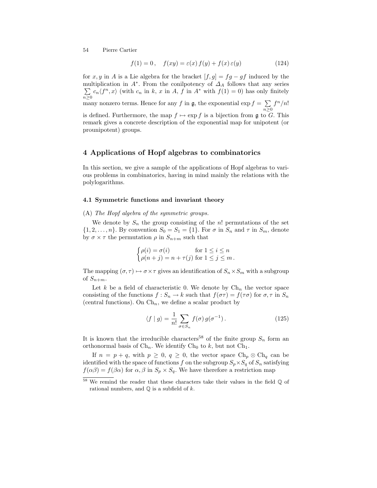$$
f(1) = 0, \quad f(xy) = \varepsilon(x) f(y) + f(x) \varepsilon(y) \tag{124}
$$

for x, y in A is a Lie algebra for the bracket  $[f, g] = fg - gf$  induced by the multiplication in  $A^*$ . From the conilpotency of  $\Delta_A$  follows that any series P  $\sum_{n\geq 0} c_n \langle f^n, x \rangle$  (with  $c_n$  in k, x in A, f in A<sup>\*</sup> with  $f(1) = 0$ ) has only finitely many nonzero terms. Hence for any f in  $\mathfrak{g}$ , the exponential  $\exp f = \sum$  $n\geq 0$  $f^n/n!$ is defined. Furthermore, the map  $f \mapsto \exp f$  is a bijection from g to G. This remark gives a concrete description of the exponential map for unipotent (or

prounipotent) groups.

# 4 Applications of Hopf algebras to combinatorics

In this section, we give a sample of the applications of Hopf algebras to various problems in combinatorics, having in mind mainly the relations with the polylogarithms.

# 4.1 Symmetric functions and invariant theory

# (A) The Hopf algebra of the symmetric groups.

We denote by  $S_n$  the group consisting of the n! permutations of the set  $\{1, 2, \ldots, n\}$ . By convention  $S_0 = S_1 = \{1\}$ . For  $\sigma$  in  $S_n$  and  $\tau$  in  $S_m$ , denote by  $\sigma \times \tau$  the permutation  $\rho$  in  $S_{n+m}$  such that

$$
\begin{cases}\n\rho(i) = \sigma(i) & \text{for } 1 \leq i \leq n \\
\rho(n+j) = n + \tau(j) & \text{for } 1 \leq j \leq m.\n\end{cases}
$$

The mapping  $(\sigma, \tau) \mapsto \sigma \times \tau$  gives an identification of  $S_n \times S_m$  with a subgroup of  $S_{n+m}$ .

Let k be a field of characteristic 0. We denote by  $\mathrm{Ch}_n$  the vector space consisting of the functions  $f : S_n \to k$  such that  $f(\sigma \tau) = f(\tau \sigma)$  for  $\sigma, \tau$  in  $S_n$ (central functions). On  $\mathrm{Ch}_n$ , we define a scalar product by

$$
\langle f | g \rangle = \frac{1}{n!} \sum_{\sigma \in S_n} f(\sigma) g(\sigma^{-1}). \tag{125}
$$

It is known that the irreducible characters<sup>58</sup> of the finite group  $S_n$  form an orthonormal basis of  $\mathrm{Ch}_n$ . We identify  $\mathrm{Ch}_0$  to k, but not  $\mathrm{Ch}_1$ .

If  $n = p + q$ , with  $p \geq 0$ ,  $q \geq 0$ , the vector space  $\text{Ch}_p \otimes \text{Ch}_q$  can be identified with the space of functions f on the subgroup  $S_p \times S_q$  of  $S_n$  satisfying  $f(\alpha\beta) = f(\beta\alpha)$  for  $\alpha, \beta$  in  $S_p \times S_q$ . We have therefore a restriction map

 $^{58}$  We remind the reader that these characters take their values in the field  $\mathbb Q$  of rational numbers, and  $\mathbb Q$  is a subfield of  $k$ .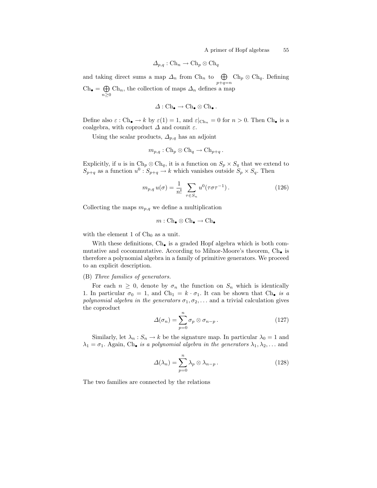$$
\Delta_{p,q}: \mathrm{Ch}_n \to \mathrm{Ch}_p \otimes \mathrm{Ch}_q
$$

and taking direct sums a map  $\Delta_n$  from Ch<sub>n</sub> to  $\bigoplus$  Ch<sub>p</sub> ⊗ Ch<sub>q</sub>. Defining  $p+q=n$  $\mathrm{Ch}_{\bullet} = \bigoplus$  $\bigoplus_{n\geq 0}$  Ch<sub>n</sub>, the collection of maps  $\Delta_n$  defines a map

$$
\varDelta: {\rm Ch}_{\bullet} \to {\rm Ch}_{\bullet} \otimes {\rm Ch}_{\bullet}\,.
$$

Define also  $\varepsilon : Ch_{\bullet} \to k$  by  $\varepsilon(1) = 1$ , and  $\varepsilon|_{Ch_n} = 0$  for  $n > 0$ . Then  $Ch_{\bullet}$  is a coalgebra, with coproduct  $\Delta$  and counit  $\varepsilon$ .

Using the scalar products,  $\Delta_{p,q}$  has an adjoint

$$
m_{p,q}: \mathrm{Ch}_p \otimes \mathrm{Ch}_q \to \mathrm{Ch}_{p+q} .
$$

Explicitly, if u is in  $\mathbf{Ch}_p \otimes \mathbf{Ch}_q$ , it is a function on  $S_p \times S_q$  that we extend to  $S_{p+q}$  as a function  $u^0: S_{p+q} \to k$  which vanishes outside  $S_p \times S_q$ . Then

$$
m_{p,q} u(\sigma) = \frac{1}{n!} \sum_{\tau \in S_n} u^0(\tau \sigma \tau^{-1}).
$$
 (126)

Collecting the maps  $m_{p,q}$  we define a multiplication

$$
m:\operatorname{Ch}_\bullet\otimes\operatorname{Ch}_\bullet\to\operatorname{Ch}_\bullet
$$

with the element 1 of  $Ch_0$  as a unit.

With these definitions,  $Ch_{\bullet}$  is a graded Hopf algebra which is both commutative and cocommutative. According to Milnor-Moore's theorem,  $Ch_{\bullet}$  is therefore a polynomial algebra in a family of primitive generators. We proceed to an explicit description.

### (B) Three families of generators.

For each  $n \geq 0$ , denote by  $\sigma_n$  the function on  $S_n$  which is identically 1. In particular  $\sigma_0 = 1$ , and  $\text{Ch}_1 = k \cdot \sigma_1$ . It can be shown that  $\text{Ch}_\bullet$  is a polynomial algebra in the generators  $\sigma_1, \sigma_2, \ldots$  and a trivial calculation gives the coproduct

$$
\Delta(\sigma_n) = \sum_{p=0}^n \sigma_p \otimes \sigma_{n-p} . \qquad (127)
$$

Similarly, let  $\lambda_n : S_n \to k$  be the signature map. In particular  $\lambda_0 = 1$  and  $\lambda_1 = \sigma_1$ . Again, Ch<sub>•</sub> is a polynomial algebra in the generators  $\lambda_1, \lambda_2, \ldots$  and

$$
\Delta(\lambda_n) = \sum_{p=0}^n \lambda_p \otimes \lambda_{n-p} .
$$
 (128)

The two families are connected by the relations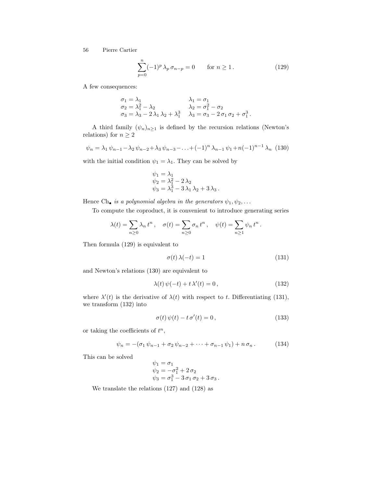$$
\sum_{p=0}^{n} (-1)^p \lambda_p \sigma_{n-p} = 0 \quad \text{for } n \ge 1.
$$
 (129)

A few consequences:

$$
\begin{aligned}\n\sigma_1 &= \lambda_1 & \lambda_1 &= \sigma_1 \\
\sigma_2 &= \lambda_1^2 - \lambda_2 & \lambda_2 &= \sigma_1^2 - \sigma_2 \\
\sigma_3 &= \lambda_3 - 2\lambda_1\lambda_2 + \lambda_1^3 & \lambda_3 &= \sigma_3 - 2\sigma_1\sigma_2 + \sigma_1^3.\n\end{aligned}
$$

A third family  $(\psi_n)_{n\geq 1}$  is defined by the recursion relations (Newton's relations) for  $n\geq 2$ 

$$
\psi_n = \lambda_1 \psi_{n-1} - \lambda_2 \psi_{n-2} + \lambda_3 \psi_{n-3} - \ldots + (-1)^n \lambda_{n-1} \psi_1 + n(-1)^{n-1} \lambda_n \tag{130}
$$

with the initial condition  $\psi_1 = \lambda_1$ . They can be solved by

$$
\psi_1 = \lambda_1 \n\psi_2 = \lambda_1^2 - 2\lambda_2 \n\psi_3 = \lambda_1^3 - 3\lambda_1\lambda_2 + 3\lambda_3.
$$

Hence Ch<sub>•</sub> is a polynomial algebra in the generators  $\psi_1, \psi_2, \ldots$ 

To compute the coproduct, it is convenient to introduce generating series

$$
\lambda(t) = \sum_{n\geq 0} \lambda_n t^n, \quad \sigma(t) = \sum_{n\geq 0} \sigma_n t^n, \quad \psi(t) = \sum_{n\geq 1} \psi_n t^n.
$$

Then formula (129) is equivalent to

$$
\sigma(t)\,\lambda(-t) = 1\tag{131}
$$

and Newton's relations (130) are equivalent to

$$
\lambda(t)\,\psi(-t) + t\,\lambda'(t) = 0\,,\tag{132}
$$

where  $\lambda'(t)$  is the derivative of  $\lambda(t)$  with respect to t. Differentiating (131), we transform (132) into

$$
\sigma(t)\,\psi(t) - t\,\sigma'(t) = 0\,,\tag{133}
$$

or taking the coefficients of  $t^n$ ,

$$
\psi_n = -(\sigma_1 \psi_{n-1} + \sigma_2 \psi_{n-2} + \dots + \sigma_{n-1} \psi_1) + n \sigma_n. \tag{134}
$$

This can be solved

$$
\psi_1 = \sigma_1 \n\psi_2 = -\sigma_1^2 + 2 \sigma_2 \n\psi_3 = \sigma_1^3 - 3 \sigma_1 \sigma_2 + 3 \sigma_3.
$$

We translate the relations (127) and (128) as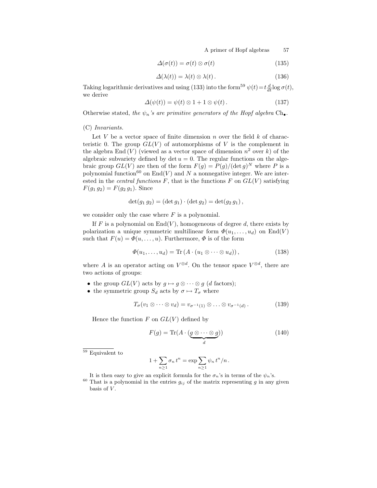A primer of Hopf algebras 57

$$
\Delta(\sigma(t)) = \sigma(t) \otimes \sigma(t) \tag{135}
$$

$$
\Delta(\lambda(t)) = \lambda(t) \otimes \lambda(t). \tag{136}
$$

Taking logarithmic derivatives and using (133) into the form<sup>59</sup>  $\psi(t) = t \frac{d}{dt} \log \sigma(t)$ , we derive

$$
\Delta(\psi(t)) = \psi(t) \otimes 1 + 1 \otimes \psi(t). \tag{137}
$$

Otherwise stated, the  $\psi_n$ 's are primitive generators of the Hopf algebra  $Ch_{\bullet}$ .

### (C) Invariants.

Let V be a vector space of finite dimension n over the field  $k$  of characteristic 0. The group  $GL(V)$  of automorphisms of V is the complement in the algebra End  $(V)$  (viewed as a vector space of dimension  $n^2$  over k) of the algebraic subvariety defined by det  $u = 0$ . The regular functions on the algebraic group  $GL(V)$  are then of the form  $F(g) = P(g) / (\det g)^N$  where P is a polynomial function<sup>60</sup> on End(V) and N a nonnegative integer. We are interested in the *central functions*  $F$ , that is the functions  $F$  on  $GL(V)$  satisfying  $F(g_1 g_2) = F(g_2 g_1)$ . Since

$$
\det(g_1 g_2) = (\det g_1) \cdot (\det g_2) = \det(g_2 g_1),
$$

we consider only the case where  $F$  is a polynomial.

If F is a polynomial on  $End(V)$ , homogeneous of degree d, there exists by polarization a unique symmetric multilinear form  $\Phi(u_1, \ldots, u_d)$  on  $\text{End}(V)$ such that  $F(u) = \Phi(u, \ldots, u)$ . Furthermore,  $\Phi$  is of the form

$$
\Phi(u_1,\ldots,u_d) = \text{Tr}\left(A\cdot(u_1\otimes\cdots\otimes u_d)\right),\tag{138}
$$

where A is an operator acting on  $V^{\otimes d}$ . On the tensor space  $V^{\otimes d}$ , there are two actions of groups:

- the group  $GL(V)$  acts by  $g \mapsto g \otimes \cdots \otimes g$  (d factors);
- the symmetric group  $S_d$  acts by  $\sigma \mapsto T_{\sigma}$  where

$$
T_{\sigma}(v_1 \otimes \cdots \otimes v_d) = v_{\sigma^{-1}(1)} \otimes \cdots \otimes v_{\sigma^{-1}(d)}.
$$
 (139)

Hence the function  $F$  on  $GL(V)$  defined by

$$
F(g) = \text{Tr}(A \cdot \underbrace{(g \otimes \cdots \otimes g)}_{d})
$$
\n(140)

 $\overline{59}$  Equivalent to

$$
1+\sum_{n\geq 1}\sigma_n\,t^n=\exp\sum_{n\geq 1}\psi_n\,t^n/n\,.
$$

It is then easy to give an explicit formula for the  $\sigma_n$ 's in terms of the  $\psi_n$ 's.

 $60$  That is a polynomial in the entries  $g_{ij}$  of the matrix representing g in any given basis of  $V$ .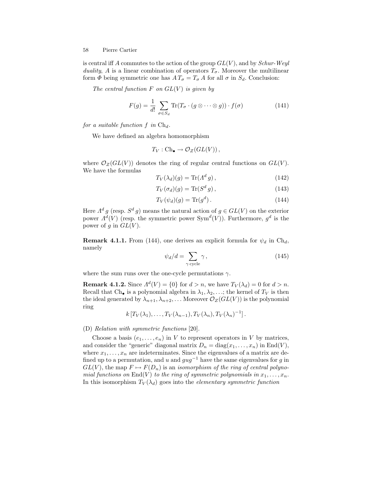is central iff A commutes to the action of the group  $GL(V)$ , and by Schur-Weyl duality, A is a linear combination of operators  $T_{\sigma}$ . Moreover the multilinear form  $\Phi$  being symmetric one has  $AT_{\sigma} = T_{\sigma} A$  for all  $\sigma$  in  $S_d$ . Conclusion:

The central function  $F$  on  $GL(V)$  is given by

$$
F(g) = \frac{1}{d!} \sum_{\sigma \in S_d} \text{Tr}(T_{\sigma} \cdot (g \otimes \cdots \otimes g)) \cdot f(\sigma) \tag{141}
$$

for a suitable function  $f$  in  $Ch_d$ .

We have defined an algebra homomorphism

$$
T_V: \mathbf{Ch}_{\bullet} \to \mathcal{O}_Z(GL(V)),
$$

where  $\mathcal{O}_Z(GL(V))$  denotes the ring of regular central functions on  $GL(V)$ . We have the formulas

$$
T_V(\lambda_d)(g) = \text{Tr}(A^d g), \qquad (142)
$$

$$
T_V(\sigma_d)(g) = \text{Tr}(S^d g),\tag{143}
$$

$$
T_V(\psi_d)(g) = \text{Tr}(g^d). \tag{144}
$$

Here  $\Lambda^d g$  (resp.  $S^d g$ ) means the natural action of  $g \in GL(V)$  on the exterior power  $A^d(V)$  (resp. the symmetric power Sym $^d(V)$ ). Furthermore,  $g^d$  is the power of g in  $GL(V)$ .

**Remark 4.1.1.** From (144), one derives an explicit formula for  $\psi_d$  in Ch<sub>d</sub>, namely

$$
\psi_d/d = \sum_{\gamma \text{ cycle}} \gamma \,,\tag{145}
$$

where the sum runs over the one-cycle permutations  $\gamma.$ 

**Remark 4.1.2.** Since  $\Lambda^d(V) = \{0\}$  for  $d > n$ , we have  $T_V(\lambda_d) = 0$  for  $d > n$ . Recall that Ch<sub>•</sub> is a polynomial algebra in  $\lambda_1, \lambda_2, \ldots$ ; the kernel of  $T_V$  is then the ideal generated by  $\lambda_{n+1}, \lambda_{n+2}, \ldots$  Moreover  $\mathcal{O}_Z(GL(V))$  is the polynomial ring

$$
k[T_V(\lambda_1),\ldots,T_V(\lambda_{n-1}),T_V(\lambda_n),T_V(\lambda_n)^{-1}].
$$

## (D) Relation with symmetric functions [20].

Choose a basis  $(e_1, \ldots, e_n)$  in V to represent operators in V by matrices, and consider the "generic" diagonal matrix  $D_n = \text{diag}(x_1, \ldots, x_n)$  in  $\text{End}(V)$ , where  $x_1, \ldots, x_n$  are indeterminates. Since the eigenvalues of a matrix are defined up to a permutation, and u and  $gug^{-1}$  have the same eigenvalues for g in  $GL(V)$ , the map  $F \mapsto F(D_n)$  is an isomorphism of the ring of central polynomial functions on End(V) to the ring of symmetric polynomials in  $x_1, \ldots, x_n$ . In this isomorphism  $T_V(\lambda_d)$  goes into the *elementary symmetric function*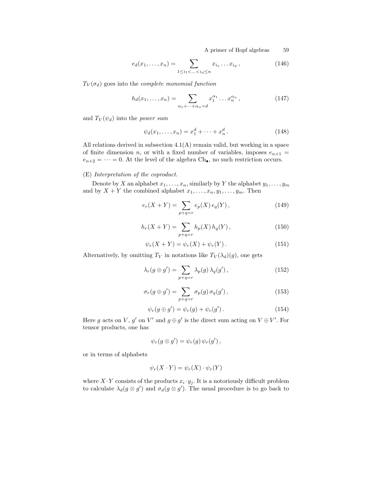A primer of Hopf algebras 59

$$
e_d(x_1, \dots, x_n) = \sum_{1 \le i_1 < \dots < i_d \le n} x_{i_1} \dots x_{i_d}, \tag{146}
$$

 $T_V(\sigma_d)$  goes into the *complete monomial function* 

$$
h_d(x_1,\ldots,x_n) = \sum_{\alpha_1+\cdots+\alpha_n=d} x_1^{\alpha_1}\ldots x_n^{\alpha_n},\qquad(147)
$$

and  $T_V(\psi_d)$  into the power sum

$$
\psi_d(x_1, ..., x_n) = x_1^d + \dots + x_n^d.
$$
 (148)

All relations derived in subsection 4.1(A) remain valid, but working in a space of finite dimension n, or with a fixed number of variables, imposes  $e_{n+1}$  =  $e_{n+2} = \cdots = 0$ . At the level of the algebra Ch<sub>•</sub>, no such restriction occurs.

# (E) Interpretation of the coproduct.

Denote by X an alphabet  $x_1, \ldots, x_n$ , similarly by Y the alphabet  $y_1, \ldots, y_m$ and by  $X + Y$  the combined alphabet  $x_1, \ldots, x_n, y_1, \ldots, y_m$ . Then

$$
e_r(X+Y) = \sum_{p+q=r} e_p(X) e_q(Y), \qquad (149)
$$

$$
h_r(X+Y) = \sum_{p+q=r} h_p(X) h_q(Y), \qquad (150)
$$

$$
\psi_r(X+Y) = \psi_r(X) + \psi_r(Y). \tag{151}
$$

Alternatively, by omitting  $T_V$  in notations like  $T_V(\lambda_d)(g)$ , one gets

$$
\lambda_r(g \oplus g') = \sum_{p+q=r} \lambda_p(g) \lambda_q(g'), \qquad (152)
$$

$$
\sigma_r(g \oplus g') = \sum_{p+q=r} \sigma_p(g) \,\sigma_q(g'),\tag{153}
$$

$$
\psi_r(g \oplus g') = \psi_r(g) + \psi_r(g'). \qquad (154)
$$

Here g acts on V, g' on V' and  $g \oplus g'$  is the direct sum acting on  $V \oplus V'$ . For tensor products, one has

$$
\psi_r(g\otimes g')=\psi_r(g)\,\psi_r(g')\,,
$$

or in terms of alphabets

$$
\psi_r(X \cdot Y) = \psi_r(X) \cdot \psi_r(Y)
$$

where  $X \cdot Y$  consists of the products  $x_i \cdot y_j$ . It is a notoriously difficult problem to calculate  $\lambda_d(g \otimes g')$  and  $\sigma_d(g \otimes g')$ . The usual procedure is to go back to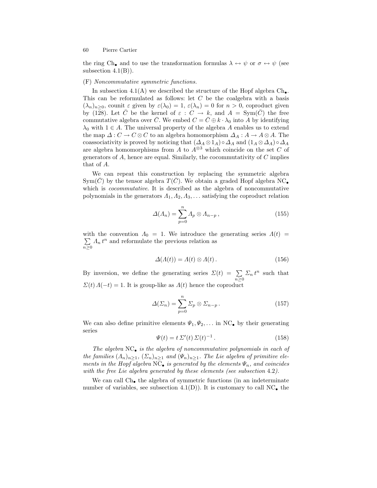the ring Ch<sub>•</sub> and to use the transformation formulas  $\lambda \leftrightarrow \psi$  or  $\sigma \leftrightarrow \psi$  (see subsection  $4.1(B)$ ).

### (F) Noncommutative symmetric functions.

In subsection 4.1(A) we described the structure of the Hopf algebra  $Ch_{\bullet}$ . This can be reformulated as follows: let  $C$  be the coalgebra with a basis  $(\lambda_n)_{n>0}$ , counit  $\varepsilon$  given by  $\varepsilon(\lambda_0)=1$ ,  $\varepsilon(\lambda_n)=0$  for  $n>0$ , coproduct given by (128). Let  $\overline{C}$  be the kernel of  $\varepsilon : C \to k$ , and  $A = \text{Sym}(\overline{C})$  the free commutative algebra over  $\overline{C}$ . We embed  $C = \overline{C} \oplus k \cdot \lambda_0$  into A by identifying  $\lambda_0$  with  $1 \in A$ . The universal property of the algebra A enables us to extend the map  $\Delta: C \to C \otimes C$  to an algebra homomorphism  $\Delta_A: A \to A \otimes A$ . The coassociativity is proved by noticing that  $(\Delta_A \otimes 1_A) \circ \Delta_A$  and  $(1_A \otimes \Delta_A) \circ \Delta_A$ are algebra homomorphisms from A to  $A^{\otimes 3}$  which coincide on the set C of generators of  $A$ , hence are equal. Similarly, the cocommutativity of  $C$  implies that of A.

We can repeat this construction by replacing the symmetric algebra  $Sym(\bar{C})$  by the tensor algebra  $T(\bar{C})$ . We obtain a graded Hopf algebra NC. which is *cocommutative*. It is described as the algebra of noncommutative polynomials in the generators  $\Lambda_1, \Lambda_2, \Lambda_3, \ldots$  satisfying the coproduct relation

$$
\Delta(\Lambda_n) = \sum_{p=0}^n \Lambda_p \otimes \Lambda_{n-p} , \qquad (155)
$$

with the convention  $\Lambda_0 = 1$ . We introduce the generating series  $\Lambda(t) =$ P  $\sum_{n\geq 0} \Lambda_n t^n$  and reformulate the previous relation as

$$
\Delta(\Lambda(t)) = \Lambda(t) \otimes \Lambda(t). \tag{156}
$$

By inversion, we define the generating series  $\Sigma(t) = \sum$  $\sum_{n\geq 0} \sum_n t^n$  such that  $\Sigma(t) \Lambda(-t) = 1$ . It is group-like as  $\Lambda(t)$  hence the coproduct

$$
\Delta(\Sigma_n) = \sum_{p=0}^n \Sigma_p \otimes \Sigma_{n-p} . \tag{157}
$$

We can also define primitive elements  $\Psi_1, \Psi_2, \dots$  in NC<sub>•</sub> by their generating series

$$
\Psi(t) = t \Sigma'(t) \Sigma(t)^{-1}.
$$
\n(158)

The algebra  $NC_{\bullet}$  is the algebra of noncommutative polynomials in each of the families  $(\Lambda_n)_{n\geq 1}$ ,  $(\Sigma_n)_{n\geq 1}$  and  $(\Psi_n)_{n\geq 1}$ . The Lie algebra of primitive elements in the Hopf algebra  $\overline{NC}_{\bullet}$  is generated by the elements  $\Psi_n$ , and coincides with the free Lie algebra generated by these elements (see subsection 4.2).

We can call  $Ch_{\bullet}$  the algebra of symmetric functions (in an indeterminate number of variables, see subsection 4.1(D)). It is customary to call  $NC_{\bullet}$  the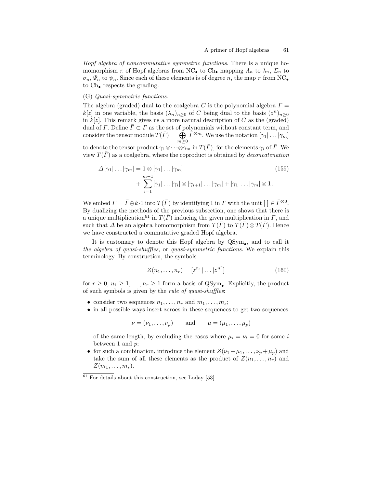Hopf algebra of noncommutative symmetric functions. There is a unique homomorphism  $\pi$  of Hopf algebras from NC• to Ch• mapping  $\Lambda_n$  to  $\lambda_n$ ,  $\Sigma_n$  to  $\sigma_n, \Psi_n$  to  $\psi_n$ . Since each of these elements is of degree n, the map  $\pi$  from NC. to Ch<sub>•</sub> respects the grading.

## (G) Quasi-symmetric functions.

The algebra (graded) dual to the coalgebra C is the polynomial algebra  $\Gamma =$  $k[z]$  in one variable, the basis  $(\lambda_n)_{n\geq 0}$  of C being dual to the basis  $(z^n)_{n\geq 0}$ in  $k[z]$ . This remark gives us a more natural description of C as the (graded) dual of Γ. Define  $\overline{\Gamma} \subset \Gamma$  as the set of polynomials without constant term, and consider the tensor module  $T(\bar{\Gamma}) = \bar{\bigoplus}$  $\bigoplus_{m\geq 0} \tilde{\bar{\Gamma}}^{\otimes m}$ . We use the notation  $[\gamma_1 | \dots | \gamma_m]$ 

to denote the tensor product  $\gamma_1 \otimes \cdots \otimes \gamma_m$  in  $T(\bar{\Gamma})$ , for the elements  $\gamma_i$  of  $\bar{\Gamma}$ . We view  $T(\overline{\Gamma})$  as a coalgebra, where the coproduct is obtained by *deconcatenation* 

$$
\Delta[\gamma_1|\dots|\gamma_m] = 1 \otimes [\gamma_1|\dots|\gamma_m]
$$
\n
$$
+ \sum_{i=1}^{m-1} [\gamma_1|\dots|\gamma_i] \otimes [\gamma_{i+1}|\dots|\gamma_m] + [\gamma_1|\dots|\gamma_m] \otimes 1.
$$
\n(159)

We embed  $\Gamma = \overline{\Gamma} \oplus k \cdot 1$  into  $T(\overline{\Gamma})$  by identifying 1 in  $\Gamma$  with the unit  $[ \ ] \in \overline{\Gamma}^{\otimes 0}$ . By dualizing the methods of the previous subsection, one shows that there is a unique multiplication<sup>61</sup> in  $T(\bar{F})$  inducing the given multiplication in  $\Gamma$ , and such that  $\Delta$  be an algebra homomorphism from  $T(\bar{\Gamma})$  to  $T(\bar{\Gamma}) \otimes T(\bar{\Gamma})$ . Hence we have constructed a commutative graded Hopf algebra.

It is customary to denote this Hopf algebra by QSym• , and to call it the algebra of quasi-shuffles, or quasi-symmetric functions. We explain this terminology. By construction, the symbols

$$
Z(n_1, \dots, n_r) = [z^{n_1} | \dots | z^{n^r}]
$$
\n(160)

for  $r \geq 0$ ,  $n_1 \geq 1, \ldots, n_r \geq 1$  form a basis of QSym<sub>•</sub>. Explicitly, the product of such symbols is given by the rule of quasi-shuffles:

- consider two sequences  $n_1, \ldots, n_r$  and  $m_1, \ldots, m_s$ ;
- in all possible ways insert zeroes in these sequences to get two sequences

 $\nu = (\nu_1, \ldots, \nu_p)$  and  $\mu = (\mu_1, \ldots, \mu_p)$ 

of the same length, by excluding the cases where  $\mu_i = \nu_i = 0$  for some i between 1 and p;

• for such a combination, introduce the element  $Z(\nu_1 + \mu_1, \ldots, \nu_p + \mu_p)$  and take the sum of all these elements as the product of  $Z(n_1, \ldots, n_r)$  and  $Z(m_1, \ldots, m_s)$ .

 $61$  For details about this construction, see Loday [53].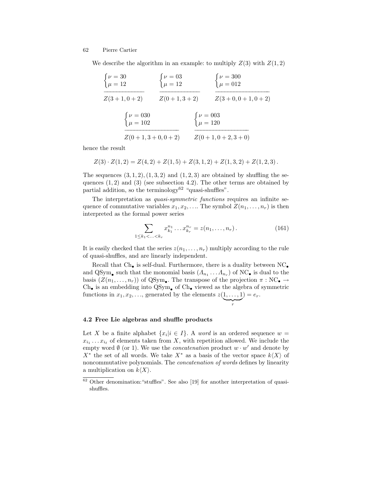We describe the algorithm in an example: to multiply  $Z(3)$  with  $Z(1, 2)$ 

$$
\begin{cases}\n\nu = 30 \\
\mu = 12\n\end{cases}\n\qquad\n\begin{cases}\n\nu = 03 \\
\mu = 12\n\end{cases}\n\qquad\n\begin{cases}\n\nu = 300 \\
\mu = 012\n\end{cases}
$$
\n
$$
Z(3+1,0+2) = Z(0+1,3+2) = Z(3+0,0+1,0+2)
$$
\n
$$
\begin{cases}\n\nu = 030 \\
\mu = 102\n\end{cases}\n\qquad\n\begin{cases}\n\nu = 003 \\
\mu = 120\n\end{cases}
$$
\n
$$
Z(0+1,3+0,0+2) = Z(0+1,0+2,3+0)
$$

hence the result

$$
Z(3) \cdot Z(1,2) = Z(4,2) + Z(1,5) + Z(3,1,2) + Z(1,3,2) + Z(1,2,3).
$$

The sequences  $(3, 1, 2), (1, 3, 2)$  and  $(1, 2, 3)$  are obtained by shuffling the sequences  $(1, 2)$  and  $(3)$  (see subsection 4.2). The other terms are obtained by partial addition, so the terminology<sup>62</sup> "quasi-shuffles".

The interpretation as quasi-symmetric functions requires an infinite sequence of commutative variables  $x_1, x_2, \ldots$  The symbol  $Z(n_1, \ldots, n_r)$  is then interpreted as the formal power series

$$
\sum_{1 \le k_1 < \ldots < k_r} x_{k_1}^{n_1} \ldots x_{k_r}^{n_r} = z(n_1, \ldots, n_r). \tag{161}
$$

It is easily checked that the series  $z(n_1, \ldots, n_r)$  multiply according to the rule of quasi-shuffles, and are linearly independent.

Recall that  $Ch_{\bullet}$  is self-dual. Furthermore, there is a duality between NC $_{\bullet}$ and QSym, such that the monomial basis  $(A_{n_1} \ldots A_{n_r})$  of NC, is dual to the basis  $(Z(n_1, \ldots, n_r))$  of QSym<sub>•</sub>. The transpose of the projection  $\pi : NC_{\bullet} \to$  $Ch_{\bullet}$  is an embedding into  $QSym_{\bullet}$  of  $Ch_{\bullet}$  viewed as the algebra of symmetric functions in  $x_1, x_2, \ldots$ , generated by the elements  $z(1, \ldots, 1)$  $\frac{1}{r}$  $= e_r.$ 

# 4.2 Free Lie algebras and shuffle products

Let X be a finite alphabet  $\{x_i | i \in I\}$ . A word is an ordered sequence  $w =$  $x_{i_1} \ldots x_{i_\ell}$  of elements taken from X, with repetition allowed. We include the empty word  $\emptyset$  (or 1). We use the *concatenation* product  $w \cdot w'$  and denote by  $X^*$  the set of all words. We take  $X^*$  as a basis of the vector space  $k\langle X\rangle$  of noncommutative polynomials. The *concatenation of words* defines by linearity a multiplication on  $k\langle X\rangle$ .

 $^{62}$  Other denomination: "stuffles". See also [19] for another interpretation of quasishuffles.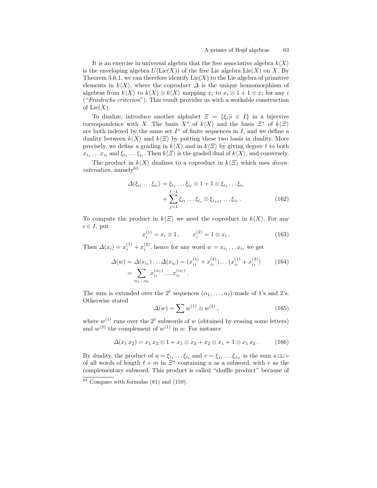It is an exercise in universal algebra that the free associative algebra  $k\langle X\rangle$ is the enveloping algebra  $U(\text{Lie}(X))$  of the free Lie algebra  $\text{Lie}(X)$  on X. By Theorem 3.6.1, we can therefore identify  $Lie(X)$  to the Lie algebra of primitive elements in  $k\langle X\rangle$ , where the coproduct  $\Delta$  is the unique homomorphism of algebras from  $k\langle X\rangle$  to  $k\langle X\rangle \otimes k\langle X\rangle$  mapping  $x_i$  to  $x_i \otimes 1 + 1 \otimes x_i$  for any i ("Friedrichs criterion"). This result provides us with a workable construction of  $Lie(X)$ .

To dualize, introduce another alphabet  $\mathcal{Z} = \{\xi_i | i \in I\}$  in a bijective correspondence with X. The basis  $X^*$  of  $k\langle X\rangle$  and the basis  $\Xi^*$  of  $k\langle \Xi \rangle$ are both indexed by the same set  $I^*$  of finite sequences in  $I$ , and we define a duality between  $k\langle X\rangle$  and  $k\langle \Xi \rangle$  by putting these two basis in duality. More precisely, we define a grading in  $k\langle X\rangle$  and in  $k\langle \Xi\rangle$  by giving degree  $\ell$  to both  $x_{i_1} \ldots x_{i_\ell}$  and  $\xi_{i_1} \ldots \xi_{i_\ell}$ . Then  $k\langle \Xi \rangle$  is the graded dual of  $k\langle X \rangle$ , and conversely.

The product in  $k\langle X\rangle$  dualizes to a coproduct in  $k\langle \Xi \rangle$  which uses *decon*catenation, namely<sup>63</sup>

$$
\Delta(\xi_{i_1}\dots\xi_{i_\ell}) = \xi_{i_1}\dots\xi_{i_\ell} \otimes 1 + 1 \otimes \xi_{i_1}\dots\xi_{i_\ell}
$$
  
+ 
$$
\sum_{j=1}^{\ell-1} \xi_{i_1}\dots\xi_{i_j} \otimes \xi_{i_{j+1}}\dots\xi_{i_\ell}.
$$
 (162)

To compute the product in  $k\langle \Xi \rangle$  we need the coproduct in  $k\langle X \rangle$ . For any  $i \in I$ , put

$$
x_i^{(1)} = x_i \otimes 1, \qquad x_i^{(2)} = 1 \otimes x_i. \tag{163}
$$

Then  $\Delta(x_i) = x_i^{(1)} + x_i^{(2)}$ , hence for any word  $w = x_{i_1} \dots x_{i_\ell}$  we get

$$
\Delta(w) = \Delta(x_{i_1}) \dots \Delta(x_{i_\ell}) = (x_{i_1}^{(1)} + x_{i_1}^{(2)}) \dots (x_{i_\ell}^{(1)} + x_{i_\ell}^{(2)}) \tag{164}
$$
\n
$$
= \sum_{\alpha_1 \dots \alpha_\ell} x_{i_1}^{(\alpha_1)} \dots x_{i_\ell}^{(\alpha_\ell)}.
$$

The sum is extended over the  $2^{\ell}$  sequences  $(\alpha_1, \ldots, \alpha_{\ell})$  made of 1's and 2's. Otherwise stated

$$
\Delta(w) = \sum w^{(1)} \otimes w^{(2)}, \qquad (165)
$$

where  $w^{(1)}$  runs over the  $2^{\ell}$  subwords of w (obtained by erasing some letters) and  $w^{(2)}$  the complement of  $w^{(1)}$  in w. For instance

$$
\Delta(x_1\,x_2)=x_1\,x_2\otimes 1+x_1\otimes x_2+x_2\otimes x_1+1\otimes x_1\,x_2\,.
$$
 (166)

By duality, the product of  $u = \xi_{i_1} \dots \xi_{i_\ell}$  and  $v = \xi_{j_1} \dots \xi_{j_m}$  is the sum  $u \sqcup v$ of all words of length  $\ell + m$  in  $\mathbb{E}^*$  containing u as a subword, with v as the complementary subword. This product is called "shuffle product" because of

 $\sqrt{63}$  Compare with formulas (81) and (159).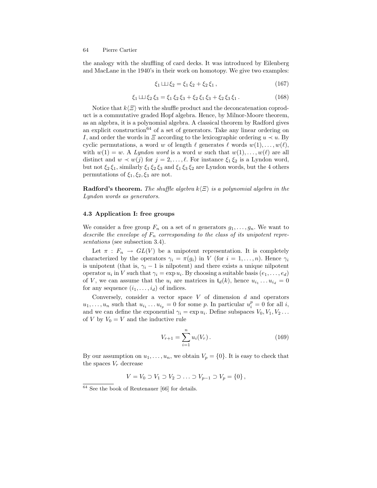the analogy with the shuffling of card decks. It was introduced by Eilenberg and MacLane in the 1940's in their work on homotopy. We give two examples:

$$
\xi_1 \sqcup \xi_2 = \xi_1 \xi_2 + \xi_2 \xi_1, \qquad (167)
$$

$$
\xi_1 \sqcup \xi_2 \xi_3 = \xi_1 \xi_2 \xi_3 + \xi_2 \xi_1 \xi_3 + \xi_2 \xi_3 \xi_1.
$$
\n(168)

Notice that  $k\langle \Xi \rangle$  with the shuffle product and the deconcatenation coproduct is a commutative graded Hopf algebra. Hence, by Milnor-Moore theorem, as an algebra, it is a polynomial algebra. A classical theorem by Radford gives an explicit construction<sup>64</sup> of a set of generators. Take any linear ordering on I, and order the words in  $\Xi$  according to the lexicographic ordering  $u \prec u$ . By cyclic permutations, a word w of length  $\ell$  generates  $\ell$  words  $w(1), \ldots, w(\ell)$ , with  $w(1) = w$ . A Lyndon word is a word w such that  $w(1), \ldots, w(\ell)$  are all distinct and  $w \prec w(j)$  for  $j = 2, \ldots, \ell$ . For instance  $\xi_1 \xi_2$  is a Lyndon word, but not  $\xi_2 \xi_1$ , similarly  $\xi_1 \xi_2 \xi_3$  and  $\xi_1 \xi_3 \xi_2$  are Lyndon words, but the 4 others permutations of  $\xi_1, \xi_2, \xi_3$  are not.

**Radford's theorem.** The shuffle algebra  $k\langle \Xi \rangle$  is a polynomial algebra in the Lyndon words as generators.

### 4.3 Application I: free groups

We consider a free group  $F_n$  on a set of n generators  $g_1, \ldots, g_n$ . We want to describe the envelope of  $F_n$  corresponding to the class of its unipotent representations (see subsection 3.4).

Let  $\pi$ :  $F_n \to GL(V)$  be a unipotent representation. It is completely characterized by the operators  $\gamma_i = \pi(g_i)$  in V (for  $i = 1, \ldots, n$ ). Hence  $\gamma_i$ is unipotent (that is,  $\gamma_i - 1$  is nilpotent) and there exists a unique nilpotent operator  $u_i$  in V such that  $\gamma_i = \exp u_i$ . By choosing a suitable basis  $(e_1, \ldots, e_d)$ of V, we can assume that the  $u_i$  are matrices in  $\mathfrak{t}_d(k)$ , hence  $u_{i_1} \ldots u_{i_d} = 0$ for any sequence  $(i_1, \ldots, i_d)$  of indices

Conversely, consider a vector space  $V$  of dimension  $d$  and operators  $u_1, \ldots, u_n$  such that  $u_{i_1} \ldots u_{i_p} = 0$  for some p. In particular  $u_i^p = 0$  for all i, and we can define the exponential  $\gamma_i = \exp u_i$ . Define subspaces  $V_0, V_1, V_2 \dots$ of V by  $V_0 = V$  and the inductive rule

$$
V_{r+1} = \sum_{i=1}^{n} u_i(V_r).
$$
 (169)

By our assumption on  $u_1, \ldots, u_n$ , we obtain  $V_p = \{0\}$ . It is easy to check that the spaces  $V_r$  decrease

 $V = V_0 \supset V_1 \supset V_2 \supset \ldots \supset V_{n-1} \supset V_n = \{0\},$ 

<sup>64</sup> See the book of Reutenauer [66] for details.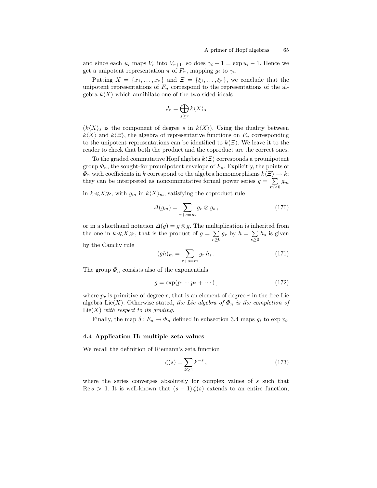and since each  $u_i$  maps  $V_r$  into  $V_{r+1}$ , so does  $\gamma_i - 1 = \exp u_i - 1$ . Hence we get a unipotent representation  $\pi$  of  $F_n$ , mapping  $g_i$  to  $\gamma_i$ .

Putting  $X = \{x_1, \ldots, x_n\}$  and  $\Xi = \{\xi_1, \ldots, \xi_n\}$ , we conclude that the unipotent representations of  $F_n$  correspond to the representations of the algebra  $k\langle X\rangle$  which annihilate one of the two-sided ideals

$$
J_r = \bigoplus_{s \ge r} k \langle X \rangle_s
$$

 $(k\langle X\rangle_s$  is the component of degree s in  $k\langle X\rangle$ ). Using the duality between  $k\langle X\rangle$  and  $k\langle \Xi \rangle$ , the algebra of representative functions on  $F_n$  corresponding to the unipotent representations can be identified to  $k\langle \Xi \rangle$ . We leave it to the reader to check that both the product and the coproduct are the correct ones.

To the graded commutative Hopf algebra  $k\langle \Xi \rangle$  corresponds a prounipotent group  $\Phi_n$ , the sought-for prounipotent envelope of  $F_n$ . Explicitly, the points of  $\Phi_n$  with coefficients in k correspond to the algebra homomorphisms  $k\langle \Xi \rangle \to k$ ; they can be interpreted as noncommutative formal power series  $g = \sum$  $\sum_{m\geq 0} g_m$ 

in  $k \ll X \gg$ , with  $g_m$  in  $k \langle X \rangle_m$ , satisfying the coproduct rule

$$
\Delta(g_m) = \sum_{r+s=m} g_r \otimes g_s \,, \tag{170}
$$

or in a shorthand notation  $\Delta(g) = g \otimes g$ . The multiplication is inherited from the one in  $k \ll X \gg$ , that is the product of  $g = \sum$  $\sum_{r\geq 0} g_r$  by  $h = \sum_{s\geq 0}$  $\sum_{s\geq 0} h_s$  is given

by the Cauchy rule

$$
(gh)_m = \sum_{r+s=m} g_r h_s . \tag{171}
$$

The group  $\Phi_n$  consists also of the exponentials

$$
g = \exp(p_1 + p_2 + \cdots),\tag{172}
$$

where  $p_r$  is primitive of degree r, that is an element of degree r in the free Lie algebra Lie(X). Otherwise stated, the Lie algebra of  $\Phi_n$  is the completion of  $Lie(X)$  with respect to its grading.

Finally, the map  $\delta: F_n \to \Phi_n$  defined in subsection 3.4 maps  $g_i$  to  $\exp x_i$ .

## 4.4 Application II: multiple zeta values

We recall the definition of Riemann's zeta function

$$
\zeta(s) = \sum_{k \ge 1} k^{-s},\tag{173}
$$

where the series converges absolutely for complex values of  $s$  such that  $\text{Re } s > 1$ . It is well-known that  $(s - 1) \zeta(s)$  extends to an entire function,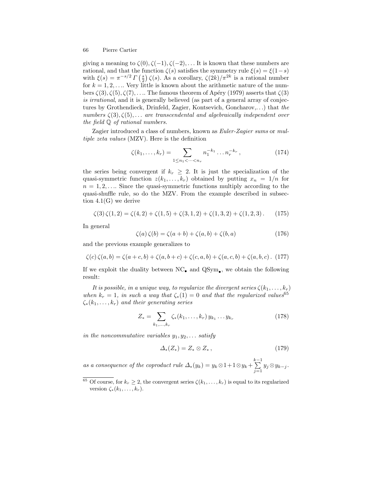giving a meaning to  $\zeta(0), \zeta(-1), \zeta(-2), \ldots$  It is known that these numbers are rational, and that the function  $\zeta(s)$  satisfies the symmetry rule  $\xi(s) = \xi(1-s)$ with  $\xi(s) = \pi^{-s/2} \Gamma\left(\frac{s}{2}\right) \zeta(s)$ . As a corollary,  $\zeta(2k)/\pi^{2k}$  is a rational number for  $k = 1, 2, \ldots$  Very little is known about the arithmetic nature of the numbers  $\zeta(3), \zeta(5), \zeta(7), \ldots$  The famous theorem of Apéry (1979) asserts that  $\zeta(3)$ is irrational, and it is generally believed (as part of a general array of conjectures by Grothendieck, Drinfeld, Zagier, Kontsevich, Goncharov,. . .) that the numbers  $\zeta(3), \zeta(5), \ldots$  are transcendental and algebraically independent over the field  $Q$  of rational numbers.

Zagier introduced a class of numbers, known as *Euler-Zagier sums* or *mul*tiple zeta values (MZV). Here is the definition

$$
\zeta(k_1,\ldots,k_r) = \sum_{1 \le n_1 < \cdots < n_r} n_1^{-k_1} \ldots n_r^{-k_r},\tag{174}
$$

the series being convergent if  $k_r \geq 2$ . It is just the specialization of the quasi-symmetric function  $z(k_1, \ldots, k_r)$  obtained by putting  $x_n = 1/n$  for  $n = 1, 2, \ldots$  Since the quasi-symmetric functions multiply according to the quasi-shuffle rule, so do the MZV. From the example described in subsection 4.1(G) we derive

$$
\zeta(3)\,\zeta(1,2) = \zeta(4,2) + \zeta(1,5) + \zeta(3,1,2) + \zeta(1,3,2) + \zeta(1,2,3). \tag{175}
$$

In general

$$
\zeta(a)\,\zeta(b) = \zeta(a+b) + \zeta(a,b) + \zeta(b,a) \tag{176}
$$

and the previous example generalizes to

$$
\zeta(c)\,\zeta(a,b) = \zeta(a+c,b) + \zeta(a,b+c) + \zeta(c,a,b) + \zeta(a,c,b) + \zeta(a,b,c). \tag{177}
$$

If we exploit the duality between  $NC_{\bullet}$  and  $QSym_{\bullet}$ , we obtain the following result:

It is possible, in a unique way, to regularize the divergent series  $\zeta(k_1,\ldots,k_r)$ when  $k_r = 1$ , in such a way that  $\zeta_*(1) = 0$  and that the regularized values<sup>65</sup>  $\zeta_*(k_1,\ldots,k_r)$  and their generating series

$$
Z_* = \sum_{k_1, \dots, k_r} \zeta_*(k_1, \dots, k_r) y_{k_1} \dots y_{k_r}
$$
 (178)

in the noncommutative variables  $y_1, y_2, \ldots$  satisfy

$$
\Delta_*(Z_*) = Z_* \otimes Z_*,\tag{179}
$$

as a consequence of the coproduct rule  $\Delta_*(y_k) = y_k \otimes 1 + 1 \otimes y_k + \sum_{k=1}^{k-1}$  $\sum_{j=1} y_j \otimes y_{k-j}$ .

<sup>&</sup>lt;sup>65</sup> Of course, for  $k_r \geq 2$ , the convergent series  $\zeta(k_1,\ldots,k_r)$  is equal to its regularized version  $\zeta_*(k_1,\ldots,k_r)$ .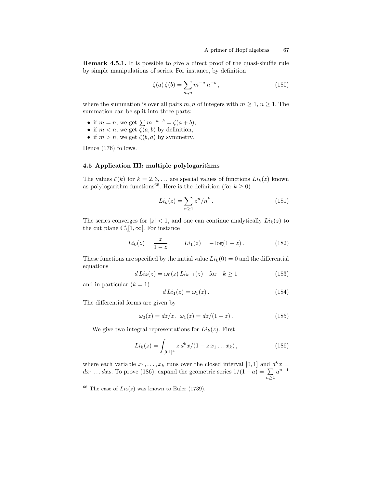Remark 4.5.1. It is possible to give a direct proof of the quasi-shuffle rule by simple manipulations of series. For instance, by definition

$$
\zeta(a)\,\zeta(b) = \sum_{m,n} m^{-a} \, n^{-b} \,,\tag{180}
$$

where the summation is over all pairs  $m, n$  of integers with  $m \geq 1, n \geq 1$ . The summation can be split into three parts:

- if  $m = n$ , we get  $\sum m^{-a-b} = \zeta(a+b)$ ,
- if  $m < n$ , we get  $\zeta(a, b)$  by definition,
- if  $m > n$ , we get  $\zeta(b, a)$  by symmetry.

Hence (176) follows.

## 4.5 Application III: multiple polylogarithms

The values  $\zeta(k)$  for  $k = 2, 3, \ldots$  are special values of functions  $Li_k(z)$  known as polylogarithm functions<sup>66</sup>. Here is the definition (for  $k \geq 0$ )

$$
Li_k(z) = \sum_{n \ge 1} z^n / n^k.
$$
 (181)

The series converges for  $|z| < 1$ , and one can continue analytically  $Li_k(z)$  to the cut plane  $\mathbb{C}\backslash[1,\infty[$ . For instance

$$
Li_0(z) = \frac{z}{1-z}, \qquad Li_1(z) = -\log(1-z). \tag{182}
$$

These functions are specified by the initial value  $Li_k(0) = 0$  and the differential equations

$$
dLi_k(z) = \omega_0(z) Li_{k-1}(z) \quad \text{for} \quad k \ge 1 \tag{183}
$$

and in particular  $(k = 1)$ 

$$
dLi_1(z) = \omega_1(z). \tag{184}
$$

The differential forms are given by

$$
\omega_0(z) = dz/z, \ \omega_1(z) = dz/(1-z). \tag{185}
$$

We give two integral representations for  $Li_k(z)$ . First

$$
Li_k(z) = \int_{[0,1]^k} z \, d^k x / (1 - z \, x_1 \dots x_k) \,, \tag{186}
$$

where each variable  $x_1, \ldots, x_k$  runs over the closed interval [0, 1] and  $d^k x =$  $dx_1 \dots dx_k$ . To prove (186), expand the geometric series  $1/(1-a) = \sum_{n \geq 1}$  $a^{n-1}$ 

 $\frac{66}{66}$  The case of  $Li_2(z)$  was known to Euler (1739).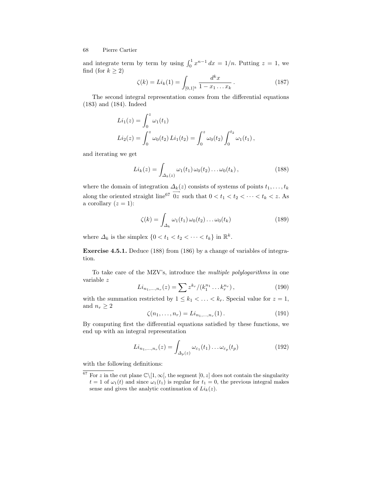and integrate term by term by using  $\int_0^1 x^{n-1} dx = 1/n$ . Putting  $z = 1$ , we find (for  $k \geq 2$ )

$$
\zeta(k) = Li_k(1) = \int_{[0,1]^k} \frac{d^k x}{1 - x_1 \dots x_k} \,. \tag{187}
$$

The second integral representation comes from the differential equations (183) and (184). Indeed

$$
Li_1(z) = \int_0^z \omega_1(t_1)
$$
  
\n
$$
Li_2(z) = \int_0^z \omega_0(t_2) Li_1(t_2) = \int_0^z \omega_0(t_2) \int_0^{t_2} \omega_1(t_1),
$$

and iterating we get

$$
Li_k(z) = \int_{\Delta_k(z)} \omega_1(t_1) \omega_0(t_2) \dots \omega_0(t_k), \qquad (188)
$$

where the domain of integration  $\Delta_k(z)$  consists of systems of points  $t_1, \ldots, t_k$ along the oriented straight line<sup>67</sup>  $\overrightarrow{0z}$  such that  $0 < t_1 < t_2 < \cdots < t_k < z$ . As a corollary  $(z = 1)$ :

$$
\zeta(k) = \int_{\Delta_k} \omega_1(t_1) \omega_0(t_2) \dots \omega_0(t_k)
$$
\n(189)

where  $\Delta_k$  is the simplex  $\{0 < t_1 < t_2 < \cdots < t_k\}$  in  $\mathbb{R}^k$ .

Exercise 4.5.1. Deduce (188) from (186) by a change of variables of integration.

To take care of the MZV's, introduce the multiple polylogarithms in one variable z

$$
Li_{n_1,\dots,n_r}(z) = \sum z^{k_r} / (k_1^{n_1} \dots k_r^{n_r}), \qquad (190)
$$

with the summation restricted by  $1 \leq k_1 < \ldots < k_r$ . Special value for  $z = 1$ , and  $n_r \geq 2$ 

$$
\zeta(n_1, \dots, n_r) = Li_{n_1, \dots, n_r}(1). \tag{191}
$$

By computing first the differential equations satisfied by these functions, we end up with an integral representation

$$
Li_{n_1,\ldots,n_r}(z) = \int_{\Delta_p(z)} \omega_{\varepsilon_1}(t_1)\ldots\omega_{\varepsilon_p}(t_p)
$$
 (192)

with the following definitions:

<sup>&</sup>lt;sup>67</sup> For z in the cut plane  $\mathbb{C}\setminus[1,\infty]$ , the segment  $[0, z]$  does not contain the singularity  $t = 1$  of  $\omega_1(t)$  and since  $\omega_1(t_1)$  is regular for  $t_1 = 0$ , the previous integral makes sense and gives the analytic continuation of  $Li_k(z)$ .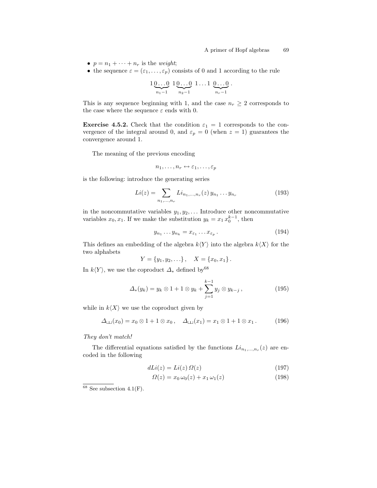- $p = n_1 + \cdots + n_r$  is the *weight*;
- the sequence  $\varepsilon = (\varepsilon_1, \ldots, \varepsilon_p)$  consists of 0 and 1 according to the rule

$$
1\underbrace{0\ldots 0}_{n_1-1} 1\underbrace{0\ldots 0}_{n_2-1} 1\ldots 1\underbrace{0\ldots 0}_{n_r-1}.
$$

This is any sequence beginning with 1, and the case  $n_r \geq 2$  corresponds to the case where the sequence  $\varepsilon$  ends with 0.

**Exercise 4.5.2.** Check that the condition  $\varepsilon_1 = 1$  corresponds to the convergence of the integral around 0, and  $\varepsilon_p = 0$  (when  $z = 1$ ) guarantees the convergence around 1.

The meaning of the previous encoding

$$
n_1,\ldots,n_r \leftrightarrow \varepsilon_1,\ldots,\varepsilon_p
$$

is the following: introduce the generating series

$$
Li(z) = \sum_{n_1, \dots, n_r} Li_{n_1, \dots, n_r}(z) y_{n_1} \dots y_{n_r}
$$
 (193)

in the noncommutative variables  $y_1, y_2, \ldots$  Introduce other noncommutative variables  $x_0, x_1$ . If we make the substitution  $y_k = x_1 x_0^{k-1}$ , then

$$
y_{n_1} \dots y_{n_k} = x_{\varepsilon_1} \dots x_{\varepsilon_p} \,. \tag{194}
$$

This defines an embedding of the algebra  $k\langle Y \rangle$  into the algebra  $k\langle X \rangle$  for the two alphabets

$$
Y = \{y_1, y_2, \ldots\}, \quad X = \{x_0, x_1\}.
$$

In  $k\langle Y\rangle$ , we use the coproduct  $\Delta_*$  defined by<sup>68</sup>

$$
\Delta_*(y_k) = y_k \otimes 1 + 1 \otimes y_k + \sum_{j=1}^{k-1} y_j \otimes y_{k-j}, \qquad (195)
$$

while in  $k\langle X\rangle$  we use the coproduct given by

$$
\Delta_{\Box}(x_0) = x_0 \otimes 1 + 1 \otimes x_0, \quad \Delta_{\Box}(x_1) = x_1 \otimes 1 + 1 \otimes x_1. \tag{196}
$$

### They don't match!

The differential equations satisfied by the functions  $Li_{n_1,...,n_r}(z)$  are encoded in the following

$$
dLi(z) = Li(z) \Omega(z) \tag{197}
$$

$$
\Omega(z) = x_0 \,\omega_0(z) + x_1 \,\omega_1(z) \tag{198}
$$

 $\overline{68}$  See subsection 4.1(F).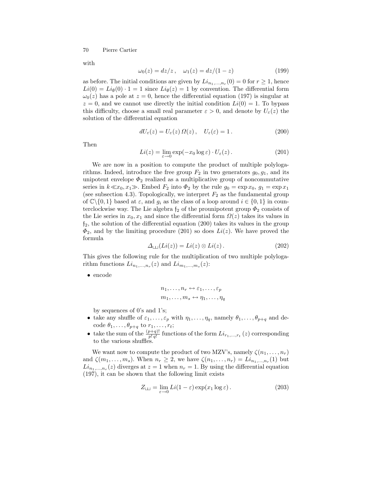with

$$
\omega_0(z) = dz/z \,, \quad \omega_1(z) = dz/(1-z) \tag{199}
$$

as before. The initial conditions are given by  $Li_{n_1,...,n_r}(0) = 0$  for  $r \ge 1$ , hence  $Li(0) = Li<sub>0</sub>(0) \cdot 1 = 1$  since  $Li<sub>0</sub>(z) = 1$  by convention. The differential form  $\omega_0(z)$  has a pole at  $z = 0$ , hence the differential equation (197) is singular at  $z = 0$ , and we cannot use directly the initial condition  $Li(0) = 1$ . To bypass this difficulty, choose a small real parameter  $\varepsilon > 0$ , and denote by  $U_{\varepsilon}(z)$  the solution of the differential equation

$$
dU_{\varepsilon}(z) = U_{\varepsilon}(z) \Omega(z), \quad U_{\varepsilon}(\varepsilon) = 1. \tag{200}
$$

Then

$$
Li(z) = \lim_{\varepsilon \to 0} \exp(-x_0 \log \varepsilon) \cdot U_{\varepsilon}(z).
$$
 (201)

We are now in a position to compute the product of multiple polylogarithms. Indeed, introduce the free group  $F_2$  in two generators  $g_0, g_1$ , and its unipotent envelope  $\Phi_2$  realized as a multiplicative group of noncommutative series in  $k \ll x_0, x_1 \gg$ . Embed  $F_2$  into  $\Phi_2$  by the rule  $g_0 = \exp x_0, g_1 = \exp x_1$ (see subsection 4.3). Topologically, we interpret  $F_2$  as the fundamental group of  $\mathbb{C}\setminus\{0,1\}$  based at  $\varepsilon$ , and  $g_i$  as the class of a loop around  $i \in \{0,1\}$  in counterclockwise way. The Lie algebra  $f_2$  of the prounipotent group  $\Phi_2$  consists of the Lie series in  $x_0, x_1$  and since the differential form  $\Omega(z)$  takes its values in  $f_2$ , the solution of the differential equation  $(200)$  takes its values in the group  $\Phi_2$ , and by the limiting procedure (201) so does  $Li(z)$ . We have proved the formula

$$
\Delta_{\text{LL}}(Li(z)) = Li(z) \otimes Li(z). \tag{202}
$$

This gives the following rule for the multiplication of two multiple polylogarithm functions  $Li_{n_1,...,n_r}(z)$  and  $Li_{m_1,...,m_s}(z)$ :

• encode

$$
n_1, \ldots, n_r \leftrightarrow \varepsilon_1, \ldots, \varepsilon_p
$$

$$
m_1, \ldots, m_s \leftrightarrow \eta_1, \ldots, \eta_q
$$

by sequences of 0's and 1's;

- take any shuffle of  $\varepsilon_1, \ldots, \varepsilon_p$  with  $\eta_1, \ldots, \eta_q$ , namely  $\theta_1, \ldots, \theta_{p+q}$  and decode  $\theta_1, \ldots, \theta_{p+q}$  to  $r_1, \ldots, r_t$ ;
- take the sum of the  $\frac{(p+q)!}{p!q!}$  functions of the form  $Li_{r_1,...,r_t}(z)$  corresponding to the various shuffles.

We want now to compute the product of two MZV's, namely  $\zeta(n_1, \ldots, n_r)$ and  $\zeta(m_1,\ldots,m_s)$ . When  $n_r \geq 2$ , we have  $\zeta(n_1,\ldots,n_r) = Li_{n_1,\ldots,n_r}(1)$  but  $Li_{n_1,...,n_r}(z)$  diverges at  $z = 1$  when  $n_r = 1$ . By using the differential equation (197), it can be shown that the following limit exists

$$
Z_{\text{L1}} = \lim_{\varepsilon \to 0} Li(1 - \varepsilon) \exp(x_1 \log \varepsilon). \tag{203}
$$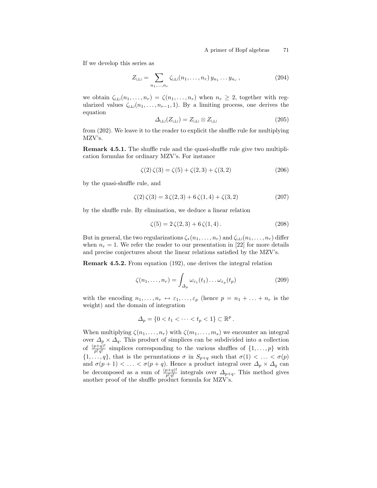If we develop this series as

$$
Z_{\sqcup\!\sqcup} = \sum_{n_1,\dots,n_r} \zeta_{\sqcup\!\sqcup}(n_1,\dots,n_r) \, y_{n_1}\dots y_{n_r},\tag{204}
$$

we obtain  $\zeta_{\text{L} \text{L}}(n_1, \ldots, n_r) = \zeta(n_1, \ldots, n_r)$  when  $n_r \geq 2$ , together with regularized values  $\zeta_{\text{L}1}(n_1, \ldots, n_{r-1}, 1)$ . By a limiting process, one derives the equation

$$
\Delta_{\text{LL}}(Z_{\text{LL}}) = Z_{\text{LL}} \otimes Z_{\text{LL}} \tag{205}
$$

from (202). We leave it to the reader to explicit the shuffle rule for multiplying MZV's.

Remark 4.5.1. The shuffle rule and the quasi-shuffle rule give two multiplication formulas for ordinary MZV's. For instance

$$
\zeta(2)\,\zeta(3) = \zeta(5) + \zeta(2,3) + \zeta(3,2) \tag{206}
$$

by the quasi-shuffle rule, and

$$
\zeta(2)\,\zeta(3) = 3\,\zeta(2,3) + 6\,\zeta(1,4) + \zeta(3,2) \tag{207}
$$

by the shuffle rule. By elimination, we deduce a linear relation

$$
\zeta(5) = 2\,\zeta(2,3) + 6\,\zeta(1,4). \tag{208}
$$

But in general, the two regularizations  $\zeta_*(n_1,\ldots,n_r)$  and  $\zeta_{\perp\perp}(n_1,\ldots,n_r)$  differ when  $n_r = 1$ . We refer the reader to our presentation in [22] for more details and precise conjectures about the linear relations satisfied by the MZV's.

Remark 4.5.2. From equation (192), one derives the integral relation

$$
\zeta(n_1,\ldots,n_r) = \int_{\Delta_p} \omega_{\varepsilon_1}(t_1)\ldots\omega_{\varepsilon_p}(t_p)
$$
\n(209)

with the encoding  $n_1, \ldots, n_r \leftrightarrow \varepsilon_1, \ldots, \varepsilon_p$  (hence  $p = n_1 + \ldots + n_r$  is the weight) and the domain of integration

$$
\Delta_p = \{0 < t_1 < \cdots < t_p < 1\} \subset \mathbb{R}^p.
$$

When multiplying  $\zeta(n_1,\ldots,n_r)$  with  $\zeta(m_1,\ldots,m_s)$  we encounter an integral over  $\Delta_p \times \Delta_q$ . This product of simplices can be subdivided into a collection of  $\frac{(p+q)!}{p!q!}$  simplices corresponding to the various shuffles of  $\{1,\ldots,p\}$  with  $\{1, \ldots, q\}$ , that is the permutations  $\sigma$  in  $S_{p+q}$  such that  $\sigma(1) < \ldots < \sigma(p)$ and  $\sigma(p+1) < \ldots < \sigma(p+q)$ . Hence a product integral over  $\Delta_p \times \Delta_q$  can be decomposed as a sum of  $\frac{(p+q)!}{p!q!}$  integrals over  $\Delta_{p+q}$ . This method gives another proof of the shuffle product formula for MZV's.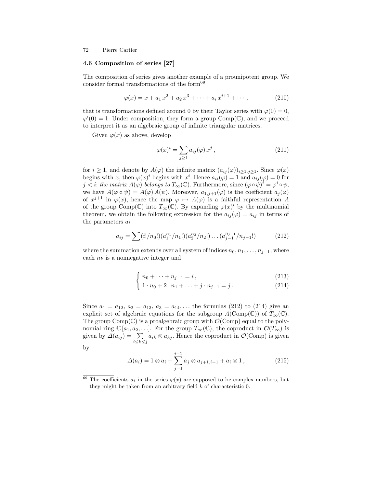#### 72 Pierre Cartier

### 4.6 Composition of series [27]

The composition of series gives another example of a prounipotent group. We consider formal transformations of the form<sup>69</sup>

$$
\varphi(x) = x + a_1 x^2 + a_2 x^3 + \dots + a_i x^{i+1} + \dots, \qquad (210)
$$

that is transformations defined around 0 by their Taylor series with  $\varphi(0) = 0$ ,  $\varphi'(0) = 1$ . Under composition, they form a group Comp(C), and we proceed to interpret it as an algebraic group of infinite triangular matrices.

Given  $\varphi(x)$  as above, develop

 $\overline{\phantom{a}}$ 

$$
\varphi(x)^i = \sum_{j\geq 1} a_{ij}(\varphi) x^j , \qquad (211)
$$

for  $i \geq 1$ , and denote by  $A(\varphi)$  the infinite matrix  $(a_{ij}(\varphi))_{i\geq 1, j\geq 1}$ . Since  $\varphi(x)$ begins with x, then  $\varphi(x)^i$  begins with  $x^i$ . Hence  $a_{ii}(\varphi) = 1$  and  $a_{ij}(\varphi) = 0$  for  $j < i$ : the matrix  $A(\varphi)$  belongs to  $T_{\infty}(\mathbb{C})$ . Furthermore, since  $(\varphi \circ \psi)^i = \varphi^i \circ \psi$ , we have  $A(\varphi \circ \psi) = A(\varphi) A(\psi)$ . Moreover,  $a_{1,j+1}(\varphi)$  is the coefficient  $a_j(\varphi)$ of  $x^{j+1}$  in  $\varphi(x)$ , hence the map  $\varphi \mapsto A(\varphi)$  is a faithful representation A of the group Comp(C) into  $T_{\infty}(\mathbb{C})$ . By expanding  $\varphi(x)^{i}$  by the multinomial theorem, we obtain the following expression for the  $a_{ij}(\varphi) = a_{ij}$  in terms of the parameters  $a_i$ 

$$
a_{ij} = \sum_{i} (i!/n_0!)(a_1^{n_1}/n_1!)(a_2^{n_2}/n_2!)\dots(a_{j-1}^{n_{j-1}}/n_{j-1}!)
$$
 (212)

where the summation extends over all system of indices  $n_0, n_1, \ldots, n_{j-1}$ , where each  $n_k$  is a nonnegative integer and

$$
\int n_0 + \dots + n_{j-1} = i, \tag{213}
$$

$$
\left(1 \cdot n_0 + 2 \cdot n_1 + \ldots + j \cdot n_{j-1} = j\right). \tag{214}
$$

Since  $a_1 = a_{12}, a_2 = a_{13}, a_3 = a_{14}, \dots$  the formulas (212) to (214) give an explicit set of algebraic equations for the subgroup  $A(\mathrm{Comp}(\mathbb{C}))$  of  $T_{\infty}(\mathbb{C})$ . The group  $Comp(\mathbb{C})$  is a proalgebraic group with  $\mathcal{O}(Comp)$  equal to the polynomial ring  $\mathbb{C}[a_1, a_2, \ldots]$ . For the group  $T_{\infty}(\mathbb{C})$ , the coproduct in  $\mathcal{O}(T_{\infty})$  is given by  $\Delta(a_{ij}) = \sum_{i \leq k \leq j} a_{ik} \otimes a_{kj}$ . Hence the coproduct in  $\mathcal{O}(\text{Comp})$  is given

by

$$
\Delta(a_i) = 1 \otimes a_i + \sum_{j=1}^{i-1} a_j \otimes a_{j+1,i+1} + a_i \otimes 1, \qquad (215)
$$

<sup>&</sup>lt;sup>69</sup> The coefficients  $a_i$  in the series  $\varphi(x)$  are supposed to be complex numbers, but they might be taken from an arbitrary field  $k$  of characteristic  $0$ .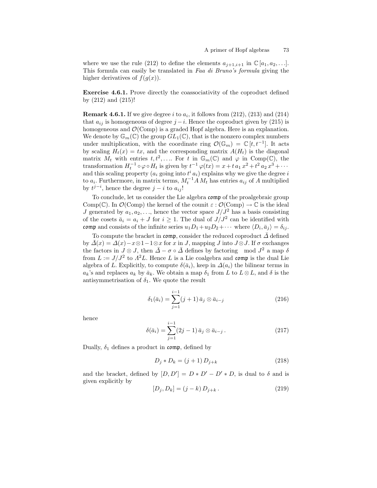where we use the rule (212) to define the elements  $a_{j+1,i+1}$  in  $\mathbb{C}[a_1, a_2, \ldots]$ . This formula can easily be translated in Faa di Bruno's formula giving the higher derivatives of  $f(g(x))$ .

Exercise 4.6.1. Prove directly the coassociativity of the coproduct defined by (212) and (215)!

**Remark 4.6.1.** If we give degree i to  $a_i$ , it follows from  $(212)$ ,  $(213)$  and  $(214)$ that  $a_{ij}$  is homogeneous of degree  $j - i$ . Hence the coproduct given by (215) is homogeneous and  $\mathcal{O}(\mathrm{Comp})$  is a graded Hopf algebra. Here is an explanation. We denote by  $\mathbb{G}_m(\mathbb{C})$  the group  $GL_1(\mathbb{C})$ , that is the nonzero complex numbers under multiplication, with the coordinate ring  $\mathcal{O}(\mathbb{G}_m) = \mathbb{C}[t,t^{-1}]$ . It acts by scaling  $H_t(x) = tx$ , and the corresponding matrix  $A(H_t)$  is the diagonal matrix  $M_t$  with entries  $t, t^2, \ldots$  For t in  $\mathbb{G}_m(\mathbb{C})$  and  $\varphi$  in Comp $(\mathbb{C})$ , the transformation  $H_t^{-1} \circ \varphi \circ H_t$  is given by  $t^{-1} \varphi(tx) = x + ta_1 x^2 + t^2 a_2 x^3 + \cdots$ and this scaling property  $(a_i \text{ going into } t^i a_i)$  explains why we give the degree i to  $a_i$ . Furthermore, in matrix terms,  $M_t^{-1} A M_t$  has entries  $a_{ij}$  of A multiplied by  $t^{j-i}$ , hence the degree  $j-i$  to  $a_{ij}!$ 

To conclude, let us consider the Lie algebra comp of the proalgebraic group Comp( $\mathbb{C}$ ). In  $\mathcal{O}(\text{Comp})$  the kernel of the counit  $\varepsilon : \mathcal{O}(\text{Comp}) \to \mathbb{C}$  is the ideal J generated by  $a_1, a_2, \ldots$ , hence the vector space  $J/J^2$  has a basis consisting of the cosets  $\bar{a}_i = a_i + J$  for  $i \geq 1$ . The dual of  $J/J^2$  can be identified with comp and consists of the infinite series  $u_1D_1+u_2D_2+\cdots$  where  $\langle D_i, \bar{a}_j \rangle = \delta_{ij}$ .

To compute the bracket in comp, consider the reduced coproduct  $\overline{\Delta}$  defined by  $\overline{\Delta}(x) = \Delta(x) - x \otimes 1 - 1 \otimes x$  for x in J, mapping J into  $J \otimes J$ . If  $\sigma$  exchanges the factors in  $J \otimes J$ , then  $\bar{\Delta} - \sigma \circ \bar{\Delta}$  defines by factoring mod  $J^2$  a map  $\delta$ from  $L := J/J^2$  to  $\Lambda^2 L$ . Hence L is a Lie coalgebra and comp is the dual Lie algebra of L. Explicitly, to compute  $\delta(\bar{a}_i)$ , keep in  $\Delta(a_i)$  the bilinear terms in  $a_k$ 's and replaces  $a_k$  by  $\bar{a}_k$ . We obtain a map  $\delta_1$  from L to  $L \otimes L$ , and  $\delta$  is the antisymmetrisation of  $\delta_1$ . We quote the result

$$
\delta_1(\bar{a}_i) = \sum_{j=1}^{i-1} (j+1) \, \bar{a}_j \otimes \bar{a}_{i-j} \tag{216}
$$

hence

$$
\delta(\bar{a}_i) = \sum_{j=1}^{i-1} (2j-1) \, \bar{a}_j \otimes \bar{a}_{i-j} \,. \tag{217}
$$

Dually,  $\delta_1$  defines a product in comp, defined by

$$
D_j * D_k = (j+1) D_{j+k}
$$
 (218)

and the bracket, defined by  $[D, D'] = D * D' - D' * D$ , is dual to  $\delta$  and is given explicitly by

$$
[D_j, D_k] = (j - k) D_{j+k} . \tag{219}
$$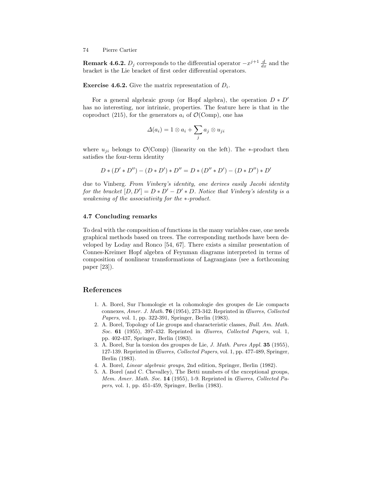74 Pierre Cartier

**Remark 4.6.2.**  $D_j$  corresponds to the differential operator  $-x^{j+1} \frac{d}{dx}$  and the bracket is the Lie bracket of first order differential operators.

**Exercise 4.6.2.** Give the matrix representation of  $D_i$ .

For a general algebraic group (or Hopf algebra), the operation  $D * D'$ has no interesting, nor intrinsic, properties. The feature here is that in the coproduct (215), for the generators  $a_i$  of  $\mathcal{O}(\text{Comp})$ , one has

$$
\Delta(a_i) = 1 \otimes a_i + \sum_j a_j \otimes u_{ji}
$$

where  $u_{ji}$  belongs to  $\mathcal{O}(\text{Comp})$  (linearity on the left). The ∗-product then satisfies the four-term identity

$$
D * (D' * D'') - (D * D') * D'' = D * (D'' * D') - (D * D'') * D'
$$

due to Vinberg. From Vinberg's identity, one derives easily Jacobi identity for the bracket  $[D, D'] = D * D' - D' * D$ . Notice that Vinberg's identity is a weakening of the associativity for the ∗-product.

## 4.7 Concluding remarks

To deal with the composition of functions in the many variables case, one needs graphical methods based on trees. The corresponding methods have been developed by Loday and Ronco [54, 67]. There exists a similar presentation of Connes-Kreimer Hopf algebra of Feynman diagrams interpreted in terms of composition of nonlinear transformations of Lagrangians (see a forthcoming paper [23]).

# References

- 1. A. Borel, Sur l'homologie et la cohomologie des groupes de Lie compacts connexes, Amer. J. Math. 76 (1954), 273-342. Reprinted in Œuvres, Collected Papers, vol. 1, pp. 322-391, Springer, Berlin (1983).
- 2. A. Borel, Topology of Lie groups and characteristic classes, Bull. Am. Math. Soc. 61 (1955), 397-432. Reprinted in Œuvres, Collected Papers, vol. 1, pp. 402-437, Springer, Berlin (1983).
- 3. A. Borel, Sur la torsion des groupes de Lie, J. Math. Pures Appl. 35 (1955), 127-139. Reprinted in Œuvres, Collected Papers, vol. 1, pp. 477-489, Springer, Berlin (1983).
- 4. A. Borel, Linear algebraic groups, 2nd edition, Springer, Berlin (1982).
- 5. A. Borel (and C. Chevalley), The Betti numbers of the exceptional groups, Mem. Amer. Math. Soc. 14 (1955), 1-9. Reprinted in Œuvres, Collected Papers, vol. 1, pp. 451-459, Springer, Berlin (1983).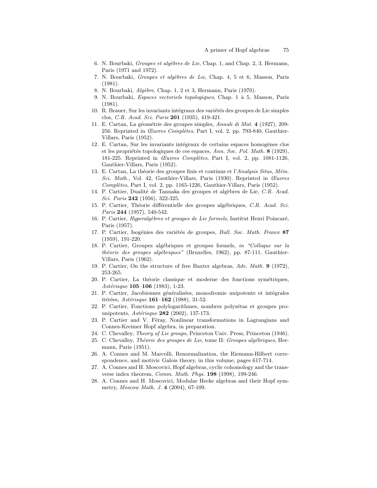- 6. N. Bourbaki, *Groupes et algèbres de Lie*, Chap. 1, and Chap. 2, 3, Hermann, Paris (1971 and 1972).
- 7. N. Bourbaki, Groupes et algèbres de Lie, Chap. 4, 5 et 6, Masson, Paris (1981).
- 8. N. Bourbaki, Algèbre, Chap. 1, 2 et 3, Hermann, Paris (1970).
- 9. N. Bourbaki, Espaces vectoriels topologiques, Chap. 1 `a 5, Masson, Paris (1981).
- 10. R. Brauer, Sur les invariants intégraux des variétés des groupes de Lie simples clos, C.R. Acad. Sci. Paris 201 (1935), 419-421.
- 11. E. Cartan, La géométrie des groupes simples, Annali di Mat. 4 (1927), 209-256. Reprinted in *Œuvres Complètes*, Part I, vol. 2, pp. 793-840, Gauthier-Villars, Paris (1952).
- 12. E. Cartan, Sur les invariants intégraux de certains espaces homogènes clos et les propriétés topologiques de ces espaces, Ann. Soc. Pol. Math.  $8$  (1929), 181-225. Reprinted in  $Guvres$  Complètes, Part I, vol. 2, pp. 1081-1126, Gauthier-Villars, Paris (1952).
- 13. E. Cartan, La théorie des groupes finis et continus et l'Analysis Situs, Mém. Sci. Math., Vol. 42, Gauthier-Villars, Paris (1930). Reprinted in Œuvres  $Complètes$ , Part I, vol. 2, pp. 1165-1226, Gauthier-Villars, Paris (1952).
- 14. P. Cartier, Dualité de Tannaka des groupes et algèbres de Lie, C.R. Acad. Sci. Paris 242 (1956), 322-325.
- 15. P. Cartier, Théorie différentielle des groupes algébriques, C.R. Acad. Sci. Paris 244 (1957), 540-542.
- 16. P. Cartier, *Hyperalgèbres et groupes de Lie formels*, Institut Henri Poincaré, Paris (1957).
- 17. P. Cartier, Isogénies des variétés de groupes, Bull. Soc. Math. France 87 (1959), 191-220.
- 18. P. Cartier, Groupes algébriques et groupes formels, in "Colloque sur la théorie des groupes algébriques" (Bruxelles, 1962), pp. 87-111, Gauthier-Villars, Paris (1962).
- 19. P. Cartier, On the structure of free Baxter algebras, Adv. Math. 9 (1972), 253-265.
- 20. P. Cartier, La théorie classique et moderne des fonctions symétriques,  $Ast\acute{e}risque$  105–106 (1983), 1-23.
- 21. P. Cartier, Jacobiennes généralisées, monodromie unipotente et intégrales itérées, Astérisque 161–162 (1988), 31-52.
- 22. P. Cartier, Fonctions polylogarithmes, nombres polyzêtas et groupes prounipotents,  $Ast\acute{e}risque$  **282** (2002), 137-173.
- 23. P. Cartier and V. Féray, Nonlinear transformations in Lagrangians and Connes-Kreimer Hopf algebra, in preparation.
- 24. C. Chevalley, Theory of Lie groups, Princeton Univ. Press, Princeton (1946).
- 25. C. Chevalley, Théorie des groupes de Lie, tome II: Groupes algébriques, Hermann, Paris (1951).
- 26. A. Connes and M. Marcolli, Renormalization, the Riemann-Hilbert correspondence, and motivic Galois theory, in this volume, pages 617-714.
- 27. A. Connes and H. Moscovici, Hopf algebras, cyclic cohomology and the transverse index theorem, *Comm. Math. Phys.*  $198$  (1998), 199-246.
- 28. A. Connes and H. Moscovici, Modular Hecke algebras and their Hopf symmetry, Moscow Math. J. 4 (2004), 67-109.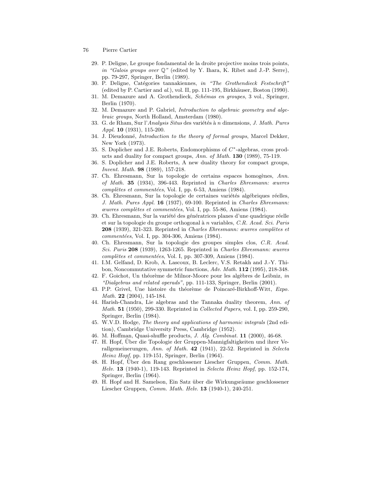- 76 Pierre Cartier
	- 29. P. Deligne, Le groupe fondamental de la droite projective moins trois points, in "Galois groups over  $\mathbb{Q}$ " (edited by Y. Ihara, K. Ribet and J.-P. Serre), pp. 79-297, Springer, Berlin (1989).
	- 30. P. Deligne, Catégories tannakiennes, in "The Grothendieck Festschrift" (edited by P. Cartier and  $al.$ ), vol. II, pp. 111-195, Birkhäuser, Boston (1990).
	- 31. M. Demazure and A. Grothendieck, Schémas en groupes, 3 vol., Springer, Berlin (1970).
	- 32. M. Demazure and P. Gabriel, Introduction to algebraic geometry and algebraic groups, North Holland, Amsterdam (1980).
	- 33. G. de Rham, Sur l'Analysis Situs des variétés à n dimensions, J. Math. Pures Appl. **10** (1931), 115-200.
	- 34. J. Dieudonné, *Introduction to the theory of formal groups*, Marcel Dekker, New York (1973).
	- 35. S. Doplicher and J.E. Roberts, Endomorphisms of  $C^*$ -algebras, cross products and duality for compact groups, Ann. of Math. 130 (1989), 75-119.
	- 36. S. Doplicher and J.E. Roberts, A new duality theory for compact groups, Invent. Math. 98 (1989), 157-218.
	- 37. Ch. Ehresmann, Sur la topologie de certains espaces homogènes, Ann. of Math. 35 (1934), 396-443. Reprinted in Charles Ehresmann: œuvres complètes et commentées, Vol. I, pp. 6-53, Amiens (1984).
	- 38. Ch. Ehresmann, Sur la topologie de certaines variétés algébriques réelles, J. Math. Pures Appl. 16 (1937), 69-100. Reprinted in Charles Ehresmann: œuvres compl`etes et comment´ees, Vol. I, pp. 55-86, Amiens (1984).
	- 39. Ch. Ehresmann, Sur la variété des génératrices planes d'une quadrique réelle et sur la topologie du groupe orthogonal à n variables,  $C.R.$  Acad. Sci. Paris **208** (1939), 321-323. Reprinted in *Charles Ehresmann: œuvres complètes et* commentées, Vol. I, pp. 304-306, Amiens (1984).
	- 40. Ch. Ehresmann, Sur la topologie des groupes simples clos, C.R. Acad. Sci. Paris 208 (1939), 1263-1265. Reprinted in Charles Ehresmann: œuvres  $complètes et commentées, Vol. I, pp. 307-309, Amiens (1984).$
	- 41. I.M. Gelfand, D. Krob, A. Lascoux, B. Leclerc, V.S. Retakh and J.-Y. Thibon, Noncommutative symmetric functions, Adv. Math. 112 (1995), 218-348.
	- 42. F. Goichot, Un théorème de Milnor-Moore pour les algèbres de Leibniz, in "Dialgebras and related operads", pp. 111-133, Springer, Berlin (2001).
	- 43. P.P. Grivel, Une histoire du théorème de Poincaré-Birkhoff-Witt, Expo. Math. 22 (2004), 145-184.
	- 44. Harish-Chandra, Lie algebras and the Tannaka duality theorem, Ann. of Math. 51 (1950), 299-330. Reprinted in Collected Papers, vol. I, pp. 259-290, Springer, Berlin (1984).
	- 45. W.V.D. Hodge, The theory and applications of harmonic integrals (2nd edition), Cambridge University Press, Cambridge (1952).
	- 46. M. Hoffman, Quasi-shuffle products, J. Alg. Combinat. 11 (2000), 46-68.
	- 47. H. Hopf, Über die Topologie der Gruppen-Mannigfaltigkeiten und ihrer Verallgemeinerungen, Ann. of Math. 42 (1941), 22-52. Reprinted in Selecta Heinz Hopf, pp. 119-151, Springer, Berlin (1964).
	- 48. H. Hopf, Über den Rang geschlossener Liescher Gruppen, Comm. Math. Helv. 13 (1940-1), 119-143. Reprinted in Selecta Heinz Hopf, pp. 152-174, Springer, Berlin (1964).
	- 49. H. Hopf and H. Samelson, Ein Satz über die Wirkungsräume geschlossener Liescher Gruppen, Comm. Math. Helv. 13 (1940-1), 240-251.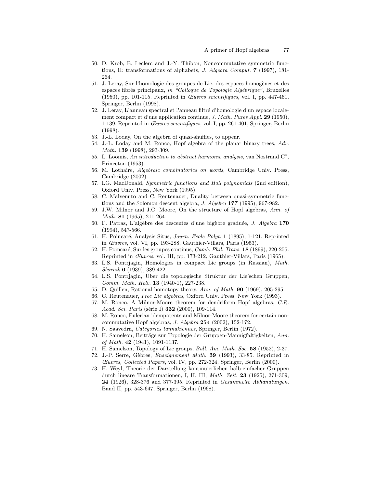- 50. D. Krob, B. Leclerc and J.-Y. Thibon, Noncommutative symmetric functions, II: transformations of alphabets, J. Algebra Comput. 7 (1997), 181- 264.
- 51. J. Leray, Sur l'homologie des groupes de Lie, des espaces homogènes et des espaces fibrés principaux, in "Colloque de Topologie Algébrique", Bruxelles (1950), pp. 101-115. Reprinted in Œuvres scientifiques, vol. I, pp. 447-461, Springer, Berlin (1998).
- 52. J. Leray, L'anneau spectral et l'anneau filtré d'homologie d'un espace localement compact et d'une application continue, J. Math. Pures Appl. 29 (1950), 1-139. Reprinted in Œuvres scientifiques, vol. I, pp. 261-401, Springer, Berlin (1998).
- 53. J.-L. Loday, On the algebra of quasi-shuffles, to appear.
- 54. J.-L. Loday and M. Ronco, Hopf algebra of the planar binary trees, Adv. Math. **139** (1998), 293-309.
- 55. L. Loomis, An introduction to abstract harmonic analysis, van Nostrand  $C^{\circ}$ , Princeton (1953).
- 56. M. Lothaire, Algebraic combinatorics on words, Cambridge Univ. Press, Cambridge (2002).
- 57. I.G. MacDonald, Symmetric functions and Hall polynomials (2nd edition), Oxford Univ. Press, New York (1995).
- 58. C. Malvenuto and C. Reutenauer, Duality between quasi-symmetric functions and the Solomon descent algebra, J. Algebra 177 (1995), 967-982.
- 59. J.W. Milnor and J.C. Moore, On the structure of Hopf algebras, Ann. of Math. 81 (1965), 211-264.
- 60. F. Patras, L'algèbre des descentes d'une bigèbre graduée, J. Algebra 170 (1994), 547-566.
- 61. H. Poincaré, Analysis Situs, Journ. Ecole Polyt. 1 (1895), 1-121. Reprinted in Œuvres, vol. VI, pp. 193-288, Gauthier-Villars, Paris (1953).
- 62. H. Poincaré, Sur les groupes continus, Camb. Phil. Trans. 18 (1899), 220-255. Reprinted in Œuvres, vol. III, pp. 173-212, Gauthier-Villars, Paris (1965).
- 63. L.S. Pontrjagin, Homologies in compact Lie groups (in Russian), Math. Sbornik 6 (1939), 389-422.
- 64. L.S. Pontrjagin, Uber die topologische Struktur der Lie'schen Gruppen, ¨ Comm. Math. Helv. 13 (1940-1), 227-238.
- 65. D. Quillen, Rational homotopy theory, Ann. of Math. **90** (1969), 205-295.
- 66. C. Reutenauer, Free Lie algebras, Oxford Univ. Press, New York (1993).
- 67. M. Ronco, A Milnor-Moore theorem for dendriform Hopf algebras, C.R. Acad. Sci. Paris (série I) 332 (2000), 109-114.
- 68. M. Ronco, Eulerian idempotents and Milnor-Moore theorem for certain noncommutative Hopf algebras, J. Algebra 254 (2002), 152-172.
- 69. N. Saavedra, Catégories tannakiennes, Springer, Berlin (1972).
- 70. H. Samelson, Beiträge zur Topologie der Gruppen-Mannigfaltigkeiten, Ann. of Math. 42 (1941), 1091-1137.
- 71. H. Samelson, Topology of Lie groups, Bull. Am. Math. Soc. 58 (1952), 2-37.
- 72. J.-P. Serre, Gèbres, *Enseignement Math.* 39 (1993), 33-85. Reprinted in Œuvres, Collected Papers, vol. IV, pp. 272-324, Springer, Berlin (2000).
- 73. H. Weyl, Theorie der Darstellung kontinuierlichen halb-einfacher Gruppen durch lineare Transformationen, I, II, III, *Math. Zeit.* 23 (1925), 271-309; 24 (1926), 328-376 and 377-395. Reprinted in Gesammelte Abhandlungen, Band II, pp. 543-647, Springer, Berlin (1968).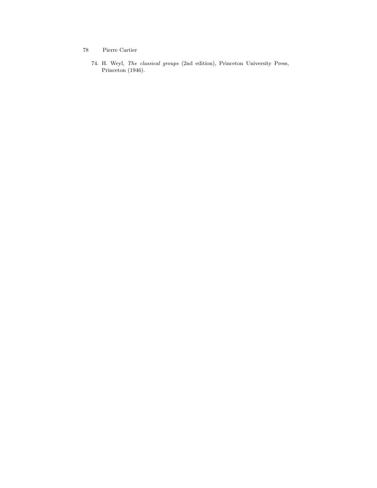- 78 Pierre Cartier
	- 74. H. Weyl, The classical groups (2nd edition), Princeton University Press, Princeton (1946).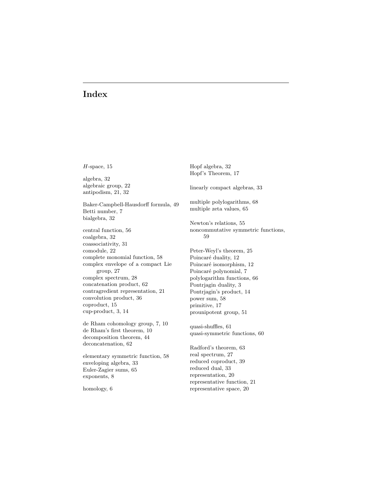# Index

 $H$ -space, 15

algebra, 32 algebraic group, 22 antipodism, 21, 32

Baker-Campbell-Hausdorff formula, 49 Betti number, 7 bialgebra, 32

central function, 56 coalgebra, 32 coassociativity, 31 comodule, 22 complete monomial function, 58 complex envelope of a compact Lie group, 27 complex spectrum, 28 concatenation product, 62 contragredient representation, 21 convolution product, 36 coproduct, 15 cup-product, 3, 14

de Rham cohomology group, 7, 10 de Rham's first theorem, 10 decomposition theorem, 44 deconcatenation, 62

elementary symmetric function, 58 enveloping algebra, 33 Euler-Zagier sums, 65 exponents, 8

homology, 6

Hopf's Theorem, 17 linearly compact algebras, 33 multiple polylogarithms, 68 multiple zeta values, 65 Newton's relations, 55 noncommutative symmetric functions, 59

Hopf algebra, 32

Peter-Weyl's theorem, 25 Poincaré duality, 12 Poincaré isomorphism, 12 Poincaré polynomial, 7 polylogarithm functions, 66 Pontrjagin duality, 3 Pontrjagin's product, 14 power sum, 58 primitive, 17 prounipotent group, 51

quasi-shuffles, 61 quasi-symmetric functions, 60

Radford's theorem, 63 real spectrum, 27 reduced coproduct, 39 reduced dual, 33 representation, 20 representative function, 21 representative space, 20